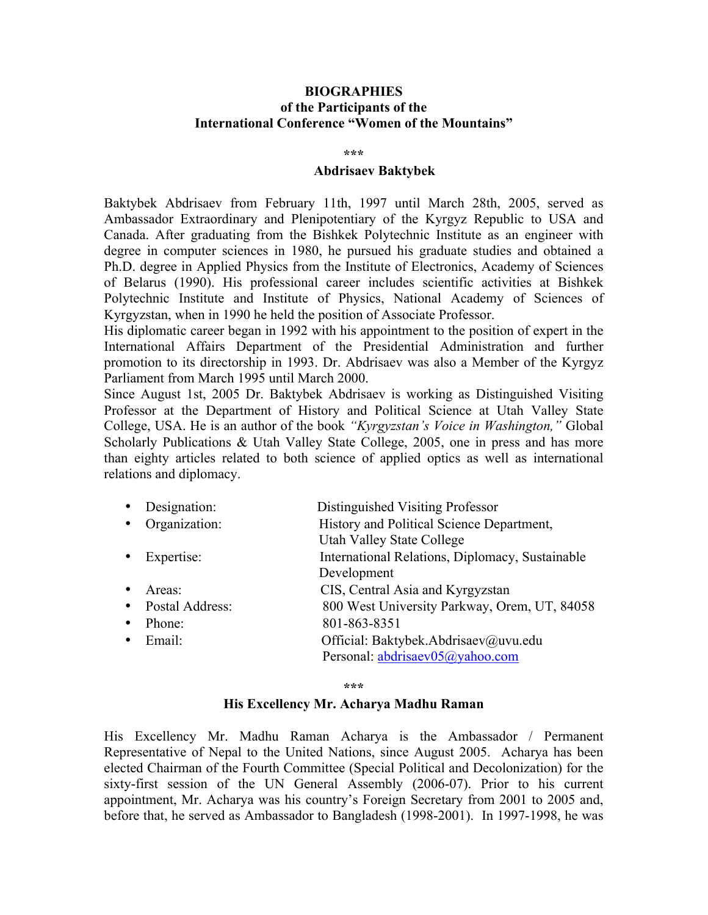# **BIOGRAPHIES of the Participants of the International Conference "Women of the Mountains"**

#### **\*\*\***

### **Abdrisaev Baktybek**

Baktybek Abdrisaev from February 11th, 1997 until March 28th, 2005, served as Ambassador Extraordinary and Plenipotentiary of the Kyrgyz Republic to USA and Canada. After graduating from the Bishkek Polytechnic Institute as an engineer with degree in computer sciences in 1980, he pursued his graduate studies and obtained a Ph.D. degree in Applied Physics from the Institute of Electronics, Academy of Sciences of Belarus (1990). His professional career includes scientific activities at Bishkek Polytechnic Institute and Institute of Physics, National Academy of Sciences of Kyrgyzstan, when in 1990 he held the position of Associate Professor.

His diplomatic career began in 1992 with his appointment to the position of expert in the International Affairs Department of the Presidential Administration and further promotion to its directorship in 1993. Dr. Abdrisaev was also a Member of the Kyrgyz Parliament from March 1995 until March 2000.

Since August 1st, 2005 Dr. Baktybek Abdrisaev is working as Distinguished Visiting Professor at the Department of History and Political Science at Utah Valley State College, USA. He is an author of the book *"Kyrgyzstan's Voice in Washington,"* Global Scholarly Publications & Utah Valley State College, 2005, one in press and has more than eighty articles related to both science of applied optics as well as international relations and diplomacy.

| Designation:<br>$\bullet$    | Distinguished Visiting Professor                |
|------------------------------|-------------------------------------------------|
| Organization:<br>$\bullet$   | History and Political Science Department,       |
|                              | <b>Utah Valley State College</b>                |
| Expertise:<br>٠              | International Relations, Diplomacy, Sustainable |
|                              | Development                                     |
| Areas:<br>٠                  | CIS, Central Asia and Kyrgyzstan                |
| Postal Address:<br>$\bullet$ | 800 West University Parkway, Orem, UT, 84058    |
| Phone:<br>$\bullet$          | 801-863-8351                                    |
| Email:<br>٠                  | Official: Baktybek.Abdrisaev@uvu.edu            |
|                              | Personal: abdrisaev05@yahoo.com                 |
|                              |                                                 |

**\*\*\***

### **His Excellency Mr. Acharya Madhu Raman**

His Excellency Mr. Madhu Raman Acharya is the Ambassador / Permanent Representative of Nepal to the United Nations, since August 2005. Acharya has been elected Chairman of the Fourth Committee (Special Political and Decolonization) for the sixty-first session of the UN General Assembly (2006-07). Prior to his current appointment, Mr. Acharya was his country's Foreign Secretary from 2001 to 2005 and, before that, he served as Ambassador to Bangladesh (1998-2001). In 1997-1998, he was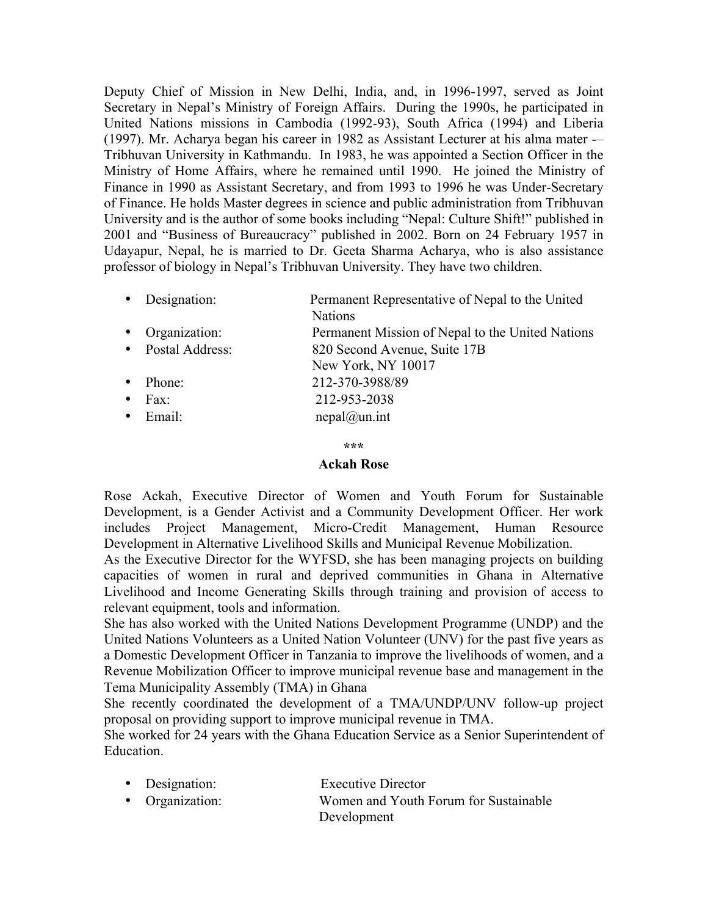Deputy Chief of Mission in New Delhi, India, and, in 1996-1997, served as Joint Secretary in Nepal's Ministry of Foreign Affairs. During the 1990s, he participated in United Nations missions in Cambodia (1992-93), South Africa (1994) and Liberia (1997). Mr. Acharya began his career in 1982 as Assistant Lecturer at his alma mater -– Tribhuvan University in Kathmandu. In 1983, he was appointed a Section Officer in the Ministry of Home Affairs, where he remained until 1990. He joined the Ministry of Finance in 1990 as Assistant Secretary, and from 1993 to 1996 he was Under-Secretary of Finance. He holds Master degrees in science and public administration from Tribhuvan University and is the author of some books including "Nepal: Culture Shift!" published in 2001 and "Business of Bureaucracy" published in 2002. Born on 24 February 1957 in Udayapur, Nepal, he is married to Dr. Geeta Sharma Acharya, who is also assistance professor of biology in Nepal's Tribhuvan University. They have two children.

| • Designation:  | Permanent Representative of Nepal to the United  |
|-----------------|--------------------------------------------------|
|                 | <b>Nations</b>                                   |
| • Organization: | Permanent Mission of Nepal to the United Nations |

- Postal Address: 820 Second Avenue, Suite 17B
- New York, NY 10017 • Phone: 212-370-3988/89
- Fax: 212-953-2038
- Email: nepal@un.int

### **\*\*\***

# **Ackah Rose**

Rose Ackah, Executive Director of Women and Youth Forum for Sustainable Development, is a Gender Activist and a Community Development Officer. Her work includes Project Management, Micro-Credit Management, Human Resource Development in Alternative Livelihood Skills and Municipal Revenue Mobilization.

As the Executive Director for the WYFSD, she has been managing projects on building capacities of women in rural and deprived communities in Ghana in Alternative Livelihood and Income Generating Skills through training and provision of access to relevant equipment, tools and information.

She has also worked with the United Nations Development Programme (UNDP) and the United Nations Volunteers as a United Nation Volunteer (UNV) for the past five years as a Domestic Development Officer in Tanzania to improve the livelihoods of women, and a Revenue Mobilization Officer to improve municipal revenue base and management in the Tema Municipality Assembly (TMA) in Ghana

She recently coordinated the development of a TMA/UNDP/UNV follow-up project proposal on providing support to improve municipal revenue in TMA.

She worked for 24 years with the Ghana Education Service as a Senior Superintendent of **Education** 

| • Designation: | <b>Executive Director</b> |  |  |
|----------------|---------------------------|--|--|
|                |                           |  |  |

• Organization: Women and Youth Forum for Sustainable Development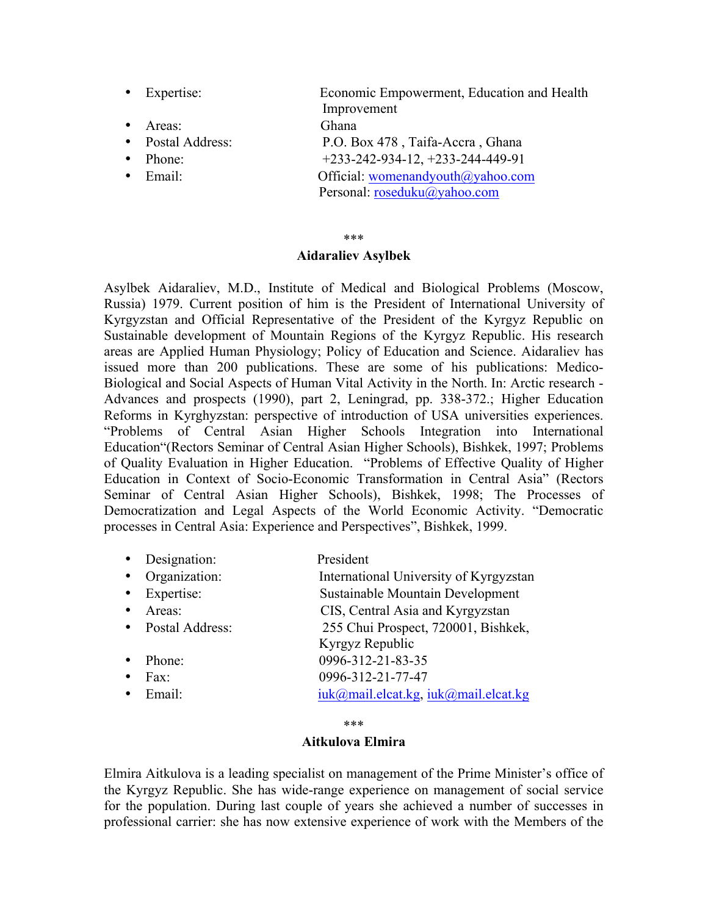| Expertise:        | Economic Empowerment, Education and Health |
|-------------------|--------------------------------------------|
|                   | Improvement                                |
| Areas:            | Ghana                                      |
| • Postal Address: | P.O. Box 478, Taifa-Accra, Ghana           |
| Phone:            | $+233-242-934-12, +233-244-449-91$         |
| $\bullet$ Email:  | Official: womenandyouth@yahoo.com          |
|                   | Personal: roseduku@yahoo.com               |
|                   |                                            |

#### \*\*\*

### **Aidaraliev Asylbek**

Asylbek Aidaraliev, M.D., Institute of Medical and Biological Problems (Moscow, Russia) 1979. Current position of him is the President of International University of Kyrgyzstan and Official Representative of the President of the Kyrgyz Republic on Sustainable development of Mountain Regions of the Kyrgyz Republic. His research areas are Applied Human Physiology; Policy of Education and Science. Aidaraliev has issued more than 200 publications. These are some of his publications: Medico-Biological and Social Aspects of Human Vital Activity in the North. In: Arctic research - Advances and prospects (1990), part 2, Leningrad, pp. 338-372.; Higher Education Reforms in Kyrghyzstan: perspective of introduction of USA universities experiences. "Problems of Central Asian Higher Schools Integration into International Education"(Rectors Seminar of Central Asian Higher Schools), Bishkek, 1997; Problems of Quality Evaluation in Higher Education. "Problems of Effective Quality of Higher Education in Context of Socio-Economic Transformation in Central Asia" (Rectors Seminar of Central Asian Higher Schools), Bishkek, 1998; The Processes of Democratization and Legal Aspects of the World Economic Activity. "Democratic processes in Central Asia: Experience and Perspectives", Bishkek, 1999.

| Designation:    | President                              |
|-----------------|----------------------------------------|
| Organization:   | International University of Kyrgyzstan |
| Expertise:      | Sustainable Mountain Development       |
| Areas:          | CIS, Central Asia and Kyrgyzstan       |
| Postal Address: | 255 Chui Prospect, 720001, Bishkek,    |
|                 | Kyrgyz Republic                        |
| Phone:          | 0996-312-21-83-35                      |
| Fax:            | 0996-312-21-77-47                      |
| Email:          | iuk@mail.elcat.kg, iuk@mail.elcat.kg   |
|                 |                                        |

### \*\*\*

# **Aitkulova Elmira**

Elmira Aitkulova is a leading specialist on management of the Prime Minister's office of the Kyrgyz Republic. She has wide-range experience on management of social service for the population. During last couple of years she achieved a number of successes in professional carrier: she has now extensive experience of work with the Members of the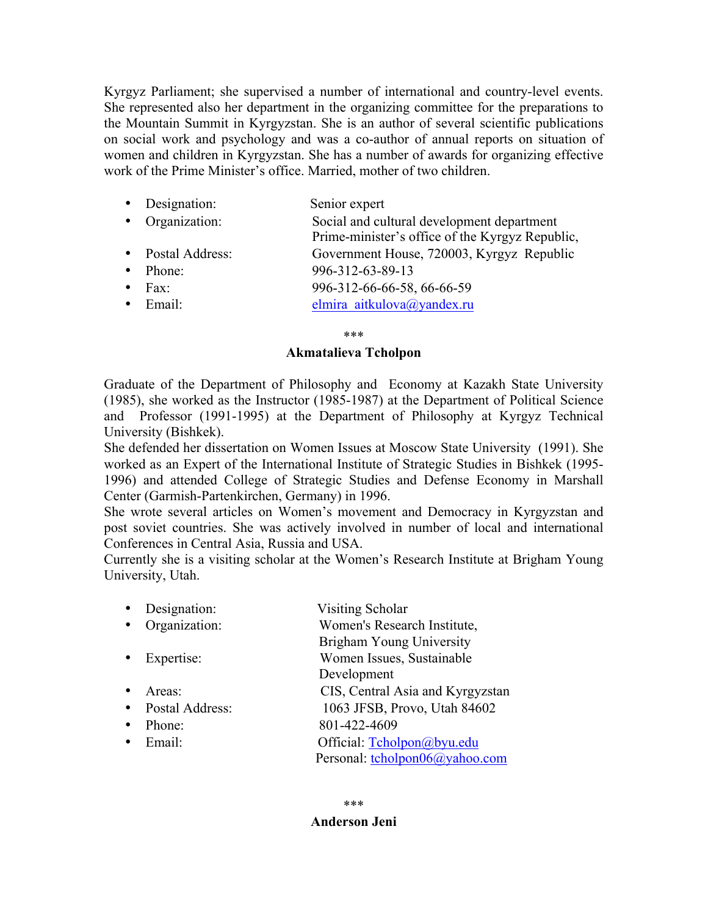Kyrgyz Parliament; she supervised a number of international and country-level events. She represented also her department in the organizing committee for the preparations to the Mountain Summit in Kyrgyzstan. She is an author of several scientific publications on social work and psychology and was a co-author of annual reports on situation of women and children in Kyrgyzstan. She has a number of awards for organizing effective work of the Prime Minister's office. Married, mother of two children.

| • Designation:    | Senior expert                                                                                 |
|-------------------|-----------------------------------------------------------------------------------------------|
| • Organization:   | Social and cultural development department<br>Prime-minister's office of the Kyrgyz Republic, |
| • Postal Address: | Government House, 720003, Kyrgyz Republic                                                     |
| • Phone:          | 996-312-63-89-13                                                                              |
| $\bullet$ Fax:    | 996-312-66-66-58, 66-66-59                                                                    |
| $\bullet$ Email:  | elmira aitkulova@yandex.ru                                                                    |

\*\*\*

# **Akmatalieva Tcholpon**

Graduate of the Department of Philosophy and Economy at Kazakh State University (1985), she worked as the Instructor (1985-1987) at the Department of Political Science and Professor (1991-1995) at the Department of Philosophy at Kyrgyz Technical University (Bishkek).

She defended her dissertation on Women Issues at Moscow State University (1991). She worked as an Expert of the International Institute of Strategic Studies in Bishkek (1995- 1996) and attended College of Strategic Studies and Defense Economy in Marshall Center (Garmish-Partenkirchen, Germany) in 1996.

She wrote several articles on Women's movement and Democracy in Kyrgyzstan and post soviet countries. She was actively involved in number of local and international Conferences in Central Asia, Russia and USA.

Currently she is a visiting scholar at the Women's Research Institute at Brigham Young University, Utah.

|   | Designation:     | Visiting Scholar                 |
|---|------------------|----------------------------------|
| ٠ | Organization:    | Women's Research Institute,      |
|   |                  | Brigham Young University         |
|   | • Expertise:     | Women Issues, Sustainable        |
|   |                  | Development                      |
|   | Areas:           | CIS, Central Asia and Kyrgyzstan |
|   | Postal Address:  | 1063 JFSB, Provo, Utah 84602     |
|   | Phone:           | 801-422-4609                     |
|   | $\bullet$ Email: | Official: Tcholpon@byu.edu       |
|   |                  | Personal: tcholpon06@yahoo.com   |
|   |                  |                                  |

# **Anderson Jeni**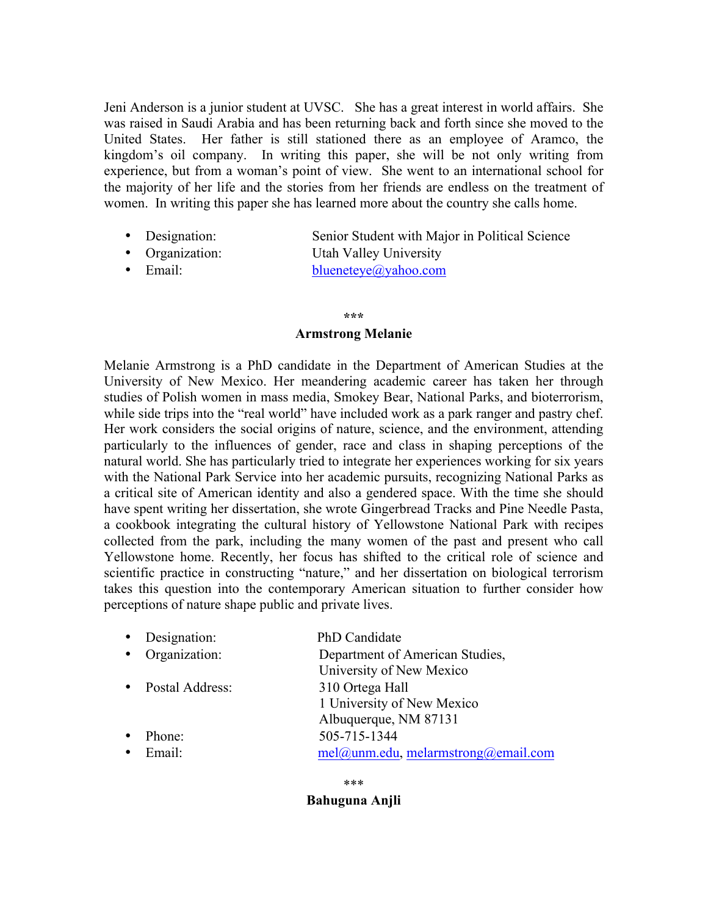Jeni Anderson is a junior student at UVSC. She has a great interest in world affairs. She was raised in Saudi Arabia and has been returning back and forth since she moved to the United States. Her father is still stationed there as an employee of Aramco, the kingdom's oil company. In writing this paper, she will be not only writing from experience, but from a woman's point of view. She went to an international school for the majority of her life and the stories from her friends are endless on the treatment of women. In writing this paper she has learned more about the country she calls home.

- Designation: Senior Student with Major in Political Science
- Organization: Utah Valley University
- Email: blueneteye@yahoo.com

### **\*\*\***

### **Armstrong Melanie**

Melanie Armstrong is a PhD candidate in the Department of American Studies at the University of New Mexico. Her meandering academic career has taken her through studies of Polish women in mass media, Smokey Bear, National Parks, and bioterrorism, while side trips into the "real world" have included work as a park ranger and pastry chef. Her work considers the social origins of nature, science, and the environment, attending particularly to the influences of gender, race and class in shaping perceptions of the natural world. She has particularly tried to integrate her experiences working for six years with the National Park Service into her academic pursuits, recognizing National Parks as a critical site of American identity and also a gendered space. With the time she should have spent writing her dissertation, she wrote Gingerbread Tracks and Pine Needle Pasta, a cookbook integrating the cultural history of Yellowstone National Park with recipes collected from the park, including the many women of the past and present who call Yellowstone home. Recently, her focus has shifted to the critical role of science and scientific practice in constructing "nature," and her dissertation on biological terrorism takes this question into the contemporary American situation to further consider how perceptions of nature shape public and private lives.

| • Designation:      | PhD Candidate                          |
|---------------------|----------------------------------------|
| • Organization:     | Department of American Studies,        |
|                     | University of New Mexico               |
| • Postal Address:   | 310 Ortega Hall                        |
|                     | 1 University of New Mexico             |
|                     | Albuquerque, NM 87131                  |
| Phone:<br>$\bullet$ | 505-715-1344                           |
| Email:<br>$\bullet$ | $mel@$ unm.edu, melarmstrong@email.com |

\*\*\*

**Bahuguna Anjli**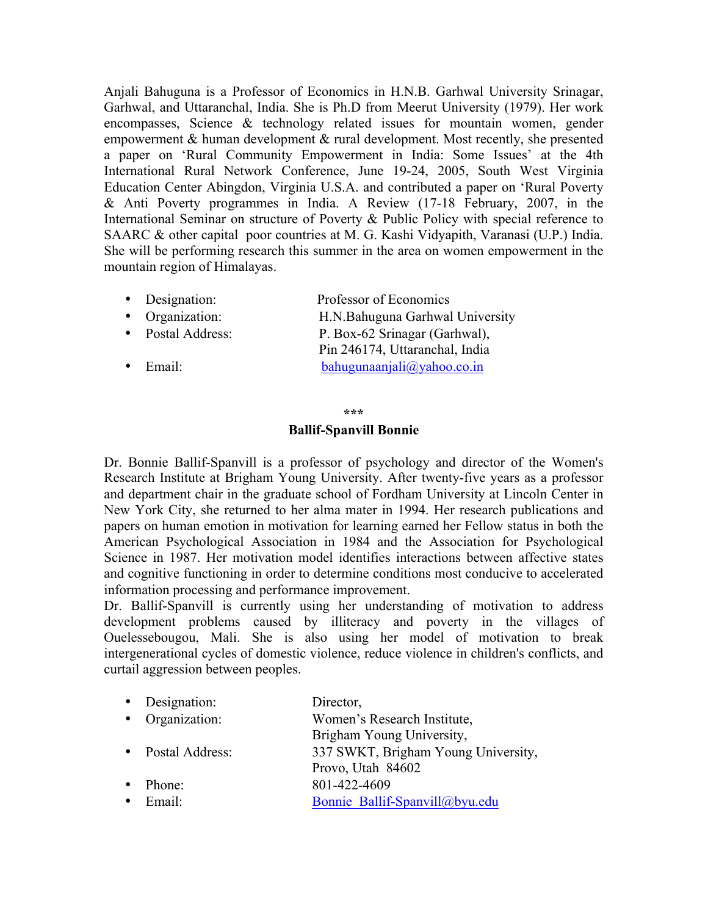Anjali Bahuguna is a Professor of Economics in H.N.B. Garhwal University Srinagar, Garhwal, and Uttaranchal, India. She is Ph.D from Meerut University (1979). Her work encompasses, Science & technology related issues for mountain women, gender empowerment & human development & rural development. Most recently, she presented a paper on 'Rural Community Empowerment in India: Some Issues' at the 4th International Rural Network Conference, June 19-24, 2005, South West Virginia Education Center Abingdon, Virginia U.S.A. and contributed a paper on 'Rural Poverty & Anti Poverty programmes in India. A Review (17-18 February, 2007, in the International Seminar on structure of Poverty & Public Policy with special reference to SAARC & other capital poor countries at M. G. Kashi Vidyapith, Varanasi (U.P.) India. She will be performing research this summer in the area on women empowerment in the mountain region of Himalayas.

|  | • Designation: | Professor of Economics |
|--|----------------|------------------------|
|--|----------------|------------------------|

- Organization: H.N.Bahuguna Garhwal University
- Postal Address: P. Box-62 Srinagar (Garhwal),
- 

 Pin 246174, Uttaranchal, India • Email: bahugunaanjali@yahoo.co.in

### **\*\*\***

# **Ballif-Spanvill Bonnie**

Dr. Bonnie Ballif-Spanvill is a professor of psychology and director of the Women's Research Institute at Brigham Young University. After twenty-five years as a professor and department chair in the graduate school of Fordham University at Lincoln Center in New York City, she returned to her alma mater in 1994. Her research publications and papers on human emotion in motivation for learning earned her Fellow status in both the American Psychological Association in 1984 and the Association for Psychological Science in 1987. Her motivation model identifies interactions between affective states and cognitive functioning in order to determine conditions most conducive to accelerated information processing and performance improvement.

Dr. Ballif-Spanvill is currently using her understanding of motivation to address development problems caused by illiteracy and poverty in the villages of Ouelessebougou, Mali. She is also using her model of motivation to break intergenerational cycles of domestic violence, reduce violence in children's conflicts, and curtail aggression between peoples.

| • Designation:     | Director,                           |
|--------------------|-------------------------------------|
| • Organization:    | Women's Research Institute,         |
|                    | Brigham Young University,           |
| • Postal Address:  | 337 SWKT, Brigham Young University, |
|                    | Provo, Utah 84602                   |
| Phone:             | 801-422-4609                        |
| Email <sup>-</sup> | Bonnie Ballif-Spanvill@byu.edu      |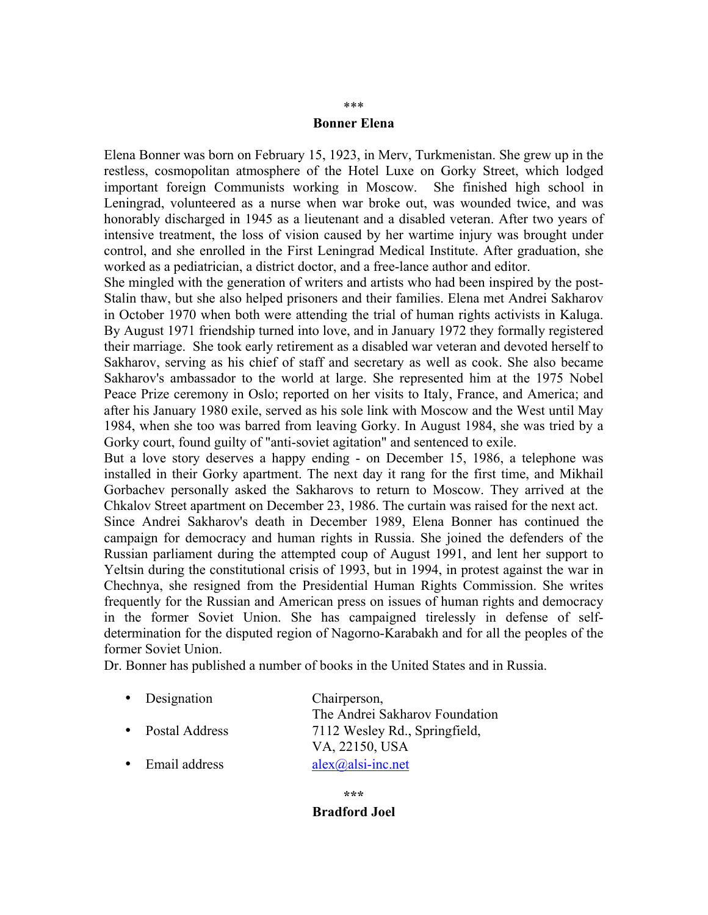### **Bonner Elena**

Elena Bonner was born on February 15, 1923, in Merv, Turkmenistan. She grew up in the restless, cosmopolitan atmosphere of the Hotel Luxe on Gorky Street, which lodged important foreign Communists working in Moscow. She finished high school in Leningrad, volunteered as a nurse when war broke out, was wounded twice, and was honorably discharged in 1945 as a lieutenant and a disabled veteran. After two years of intensive treatment, the loss of vision caused by her wartime injury was brought under control, and she enrolled in the First Leningrad Medical Institute. After graduation, she worked as a pediatrician, a district doctor, and a free-lance author and editor.

She mingled with the generation of writers and artists who had been inspired by the post-Stalin thaw, but she also helped prisoners and their families. Elena met Andrei Sakharov in October 1970 when both were attending the trial of human rights activists in Kaluga. By August 1971 friendship turned into love, and in January 1972 they formally registered their marriage. She took early retirement as a disabled war veteran and devoted herself to Sakharov, serving as his chief of staff and secretary as well as cook. She also became Sakharov's ambassador to the world at large. She represented him at the 1975 Nobel Peace Prize ceremony in Oslo; reported on her visits to Italy, France, and America; and after his January 1980 exile, served as his sole link with Moscow and the West until May 1984, when she too was barred from leaving Gorky. In August 1984, she was tried by a Gorky court, found guilty of "anti-soviet agitation" and sentenced to exile.

But a love story deserves a happy ending - on December 15, 1986, a telephone was installed in their Gorky apartment. The next day it rang for the first time, and Mikhail Gorbachev personally asked the Sakharovs to return to Moscow. They arrived at the Chkalov Street apartment on December 23, 1986. The curtain was raised for the next act.

Since Andrei Sakharov's death in December 1989, Elena Bonner has continued the campaign for democracy and human rights in Russia. She joined the defenders of the Russian parliament during the attempted coup of August 1991, and lent her support to Yeltsin during the constitutional crisis of 1993, but in 1994, in protest against the war in Chechnya, she resigned from the Presidential Human Rights Commission. She writes frequently for the Russian and American press on issues of human rights and democracy in the former Soviet Union. She has campaigned tirelessly in defense of selfdetermination for the disputed region of Nagorno-Karabakh and for all the peoples of the former Soviet Union.

Dr. Bonner has published a number of books in the United States and in Russia.

• Designation Chairperson, The Andrei Sakharov Foundation • Postal Address 7112 Wesley Rd., Springfield, VA, 22150, USA • Email address  $alex(\hat{a})$ alsi-inc.net

> **\*\*\* Bradford Joel**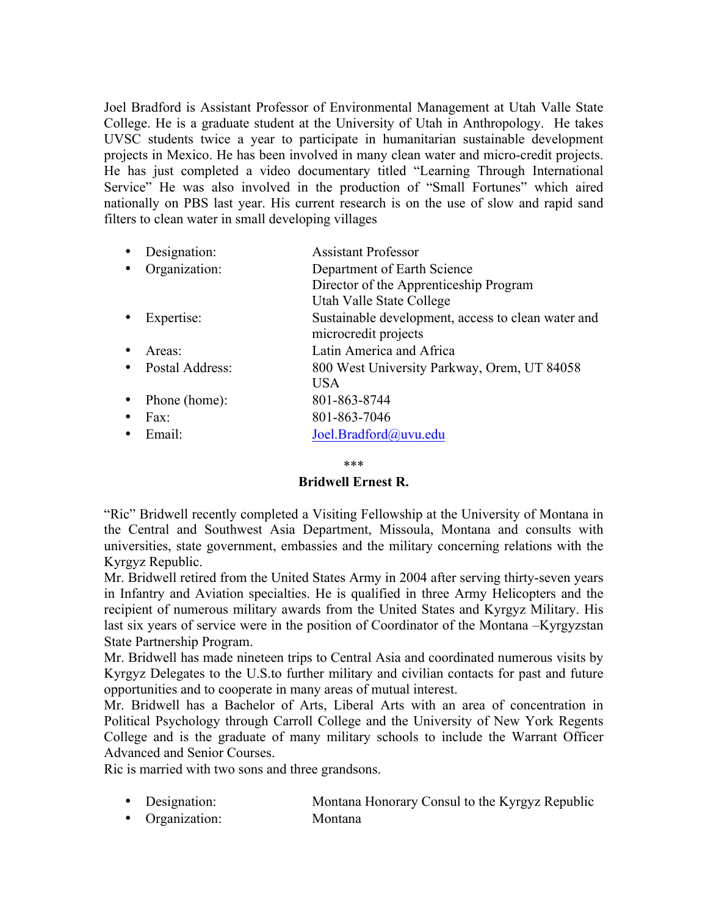Joel Bradford is Assistant Professor of Environmental Management at Utah Valle State College. He is a graduate student at the University of Utah in Anthropology. He takes UVSC students twice a year to participate in humanitarian sustainable development projects in Mexico. He has been involved in many clean water and micro-credit projects. He has just completed a video documentary titled "Learning Through International Service" He was also involved in the production of "Small Fortunes" which aired nationally on PBS last year. His current research is on the use of slow and rapid sand filters to clean water in small developing villages

| Designation:      | <b>Assistant Professor</b>                                                 |
|-------------------|----------------------------------------------------------------------------|
| Organization:     | Department of Earth Science                                                |
|                   | Director of the Apprenticeship Program<br>Utah Valle State College         |
| Expertise:        | Sustainable development, access to clean water and<br>microcredit projects |
| Areas:            | Latin America and Africa                                                   |
| • Postal Address: | 800 West University Parkway, Orem, UT 84058<br><b>USA</b>                  |
| Phone (home):     | 801-863-8744                                                               |
| Fax:              | 801-863-7046                                                               |
| Email:            | Joel.Bradford@uvu.edu                                                      |
|                   |                                                                            |

\*\*\*

# **Bridwell Ernest R.**

"Ric" Bridwell recently completed a Visiting Fellowship at the University of Montana in the Central and Southwest Asia Department, Missoula, Montana and consults with universities, state government, embassies and the military concerning relations with the Kyrgyz Republic.

Mr. Bridwell retired from the United States Army in 2004 after serving thirty-seven years in Infantry and Aviation specialties. He is qualified in three Army Helicopters and the recipient of numerous military awards from the United States and Kyrgyz Military. His last six years of service were in the position of Coordinator of the Montana –Kyrgyzstan State Partnership Program.

Mr. Bridwell has made nineteen trips to Central Asia and coordinated numerous visits by Kyrgyz Delegates to the U.S.to further military and civilian contacts for past and future opportunities and to cooperate in many areas of mutual interest.

Mr. Bridwell has a Bachelor of Arts, Liberal Arts with an area of concentration in Political Psychology through Carroll College and the University of New York Regents College and is the graduate of many military schools to include the Warrant Officer Advanced and Senior Courses.

Ric is married with two sons and three grandsons.

- Designation: Montana Honorary Consul to the Kyrgyz Republic
- Organization: Montana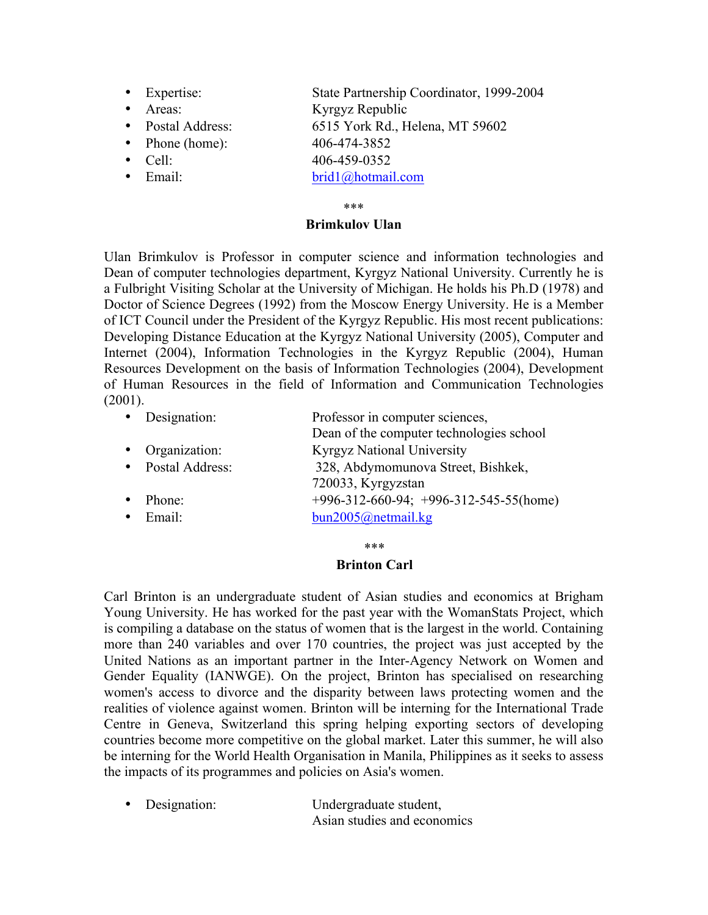- Expertise: State Partnership Coordinator, 1999-2004
- Areas: Kyrgyz Republic
- Postal Address: 6515 York Rd., Helena, MT 59602
- Phone (home): 406-474-3852
- Cell: 406-459-0352
- 

- 
- Email: brid1@hotmail.com

# \*\*\*

# **Brimkulov Ulan**

Ulan Brimkulov is Professor in computer science and information technologies and Dean of computer technologies department, Kyrgyz National University. Currently he is a Fulbright Visiting Scholar at the University of Michigan. He holds his Ph.D (1978) and Doctor of Science Degrees (1992) from the Moscow Energy University. He is a Member of ICT Council under the President of the Kyrgyz Republic. His most recent publications: Developing Distance Education at the Kyrgyz National University (2005), Computer and Internet (2004), Information Technologies in the Kyrgyz Republic (2004), Human Resources Development on the basis of Information Technologies (2004), Development of Human Resources in the field of Information and Communication Technologies  $(2001)$ .

|           | • Designation:    | Professor in computer sciences,              |
|-----------|-------------------|----------------------------------------------|
|           |                   | Dean of the computer technologies school     |
|           | • Organization:   | <b>Kyrgyz National University</b>            |
|           | • Postal Address: | 328, Abdymomunova Street, Bishkek,           |
|           |                   | 720033, Kyrgyzstan                           |
| $\bullet$ | Phone:            | $+996-312-660-94$ ; $+996-312-545-55$ (home) |
|           | $\bullet$ Email:  | bun2005@netmail.kg                           |

# \*\*\*

# **Brinton Carl**

Carl Brinton is an undergraduate student of Asian studies and economics at Brigham Young University. He has worked for the past year with the WomanStats Project, which is compiling a database on the status of women that is the largest in the world. Containing more than 240 variables and over 170 countries, the project was just accepted by the United Nations as an important partner in the Inter-Agency Network on Women and Gender Equality (IANWGE). On the project, Brinton has specialised on researching women's access to divorce and the disparity between laws protecting women and the realities of violence against women. Brinton will be interning for the International Trade Centre in Geneva, Switzerland this spring helping exporting sectors of developing countries become more competitive on the global market. Later this summer, he will also be interning for the World Health Organisation in Manila, Philippines as it seeks to assess the impacts of its programmes and policies on Asia's women.

• Designation: Undergraduate student, Asian studies and economics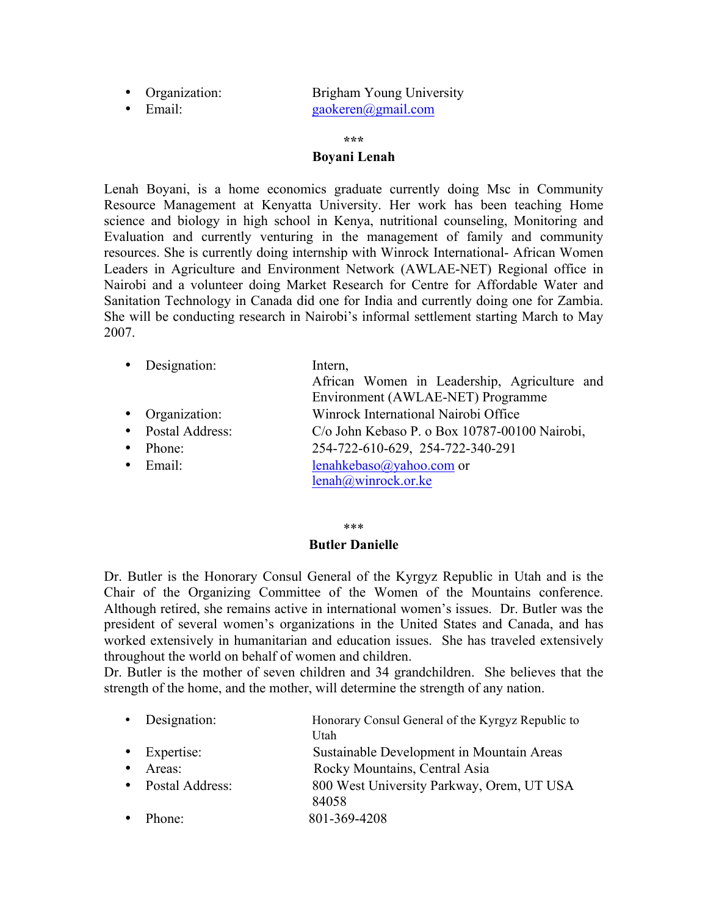• Organization: Brigham Young University • Email: gaokeren@gmail.com

#### **\*\*\***

### **Boyani Lenah**

Lenah Boyani, is a home economics graduate currently doing Msc in Community Resource Management at Kenyatta University. Her work has been teaching Home science and biology in high school in Kenya, nutritional counseling, Monitoring and Evaluation and currently venturing in the management of family and community resources. She is currently doing internship with Winrock International- African Women Leaders in Agriculture and Environment Network (AWLAE-NET) Regional office in Nairobi and a volunteer doing Market Research for Centre for Affordable Water and Sanitation Technology in Canada did one for India and currently doing one for Zambia. She will be conducting research in Nairobi's informal settlement starting March to May 2007.

|           | • Designation:    | Intern,<br>African Women in Leadership, Agriculture and<br>Environment (AWLAE-NET) Programme |
|-----------|-------------------|----------------------------------------------------------------------------------------------|
|           | • Organization:   | Winrock International Nairobi Office                                                         |
|           | • Postal Address: | C/o John Kebaso P. o Box 10787-00100 Nairobi,                                                |
| $\bullet$ | Phone:            | 254-722-610-629, 254-722-340-291                                                             |
|           | $\bullet$ Email:  | lenahkebaso@yahoo.com or<br>lenah@winrock.or.ke                                              |

\*\*\*

### **Butler Danielle**

Dr. Butler is the Honorary Consul General of the Kyrgyz Republic in Utah and is the Chair of the Organizing Committee of the Women of the Mountains conference. Although retired, she remains active in international women's issues. Dr. Butler was the president of several women's organizations in the United States and Canada, and has worked extensively in humanitarian and education issues. She has traveled extensively throughout the world on behalf of women and children.

Dr. Butler is the mother of seven children and 34 grandchildren. She believes that the strength of the home, and the mother, will determine the strength of any nation.

|           | • Designation:    | Honorary Consul General of the Kyrgyz Republic to |
|-----------|-------------------|---------------------------------------------------|
|           |                   | Utah                                              |
|           | • Expertise:      | Sustainable Development in Mountain Areas         |
| $\bullet$ | Areas:            | Rocky Mountains, Central Asia                     |
|           | • Postal Address: | 800 West University Parkway, Orem, UT USA         |
|           |                   | 84058                                             |
|           | Phone:            | 801-369-4208                                      |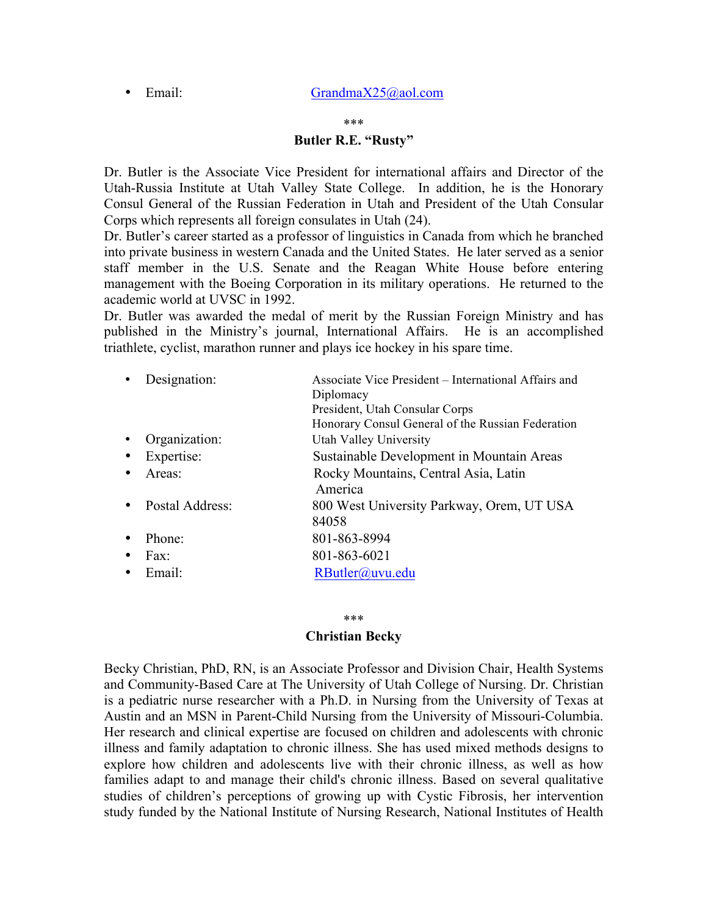• Email: GrandmaX25@aol.com

#### \*\*\*

# **Butler R.E. "Rusty"**

Dr. Butler is the Associate Vice President for international affairs and Director of the Utah-Russia Institute at Utah Valley State College. In addition, he is the Honorary Consul General of the Russian Federation in Utah and President of the Utah Consular Corps which represents all foreign consulates in Utah (24).

Dr. Butler's career started as a professor of linguistics in Canada from which he branched into private business in western Canada and the United States. He later served as a senior staff member in the U.S. Senate and the Reagan White House before entering management with the Boeing Corporation in its military operations. He returned to the academic world at UVSC in 1992.

Dr. Butler was awarded the medal of merit by the Russian Foreign Ministry and has published in the Ministry's journal, International Affairs. He is an accomplished triathlete, cyclist, marathon runner and plays ice hockey in his spare time.

| Designation:    | Associate Vice President – International Affairs and |
|-----------------|------------------------------------------------------|
|                 | Diplomacy                                            |
|                 | President, Utah Consular Corps                       |
|                 | Honorary Consul General of the Russian Federation    |
| Organization:   | Utah Valley University                               |
| Expertise:      | Sustainable Development in Mountain Areas            |
| Areas:          | Rocky Mountains, Central Asia, Latin<br>America      |
| Postal Address: | 800 West University Parkway, Orem, UT USA            |
|                 | 84058                                                |
| Phone:          | 801-863-8994                                         |
| Fax:            | 801-863-6021                                         |
| Email:          | RButler@uvu.edu                                      |

#### \*\*\*

### **Christian Becky**

Becky Christian, PhD, RN, is an Associate Professor and Division Chair, Health Systems and Community-Based Care at The University of Utah College of Nursing. Dr. Christian is a pediatric nurse researcher with a Ph.D. in Nursing from the University of Texas at Austin and an MSN in Parent-Child Nursing from the University of Missouri-Columbia. Her research and clinical expertise are focused on children and adolescents with chronic illness and family adaptation to chronic illness. She has used mixed methods designs to explore how children and adolescents live with their chronic illness, as well as how families adapt to and manage their child's chronic illness. Based on several qualitative studies of children's perceptions of growing up with Cystic Fibrosis, her intervention study funded by the National Institute of Nursing Research, National Institutes of Health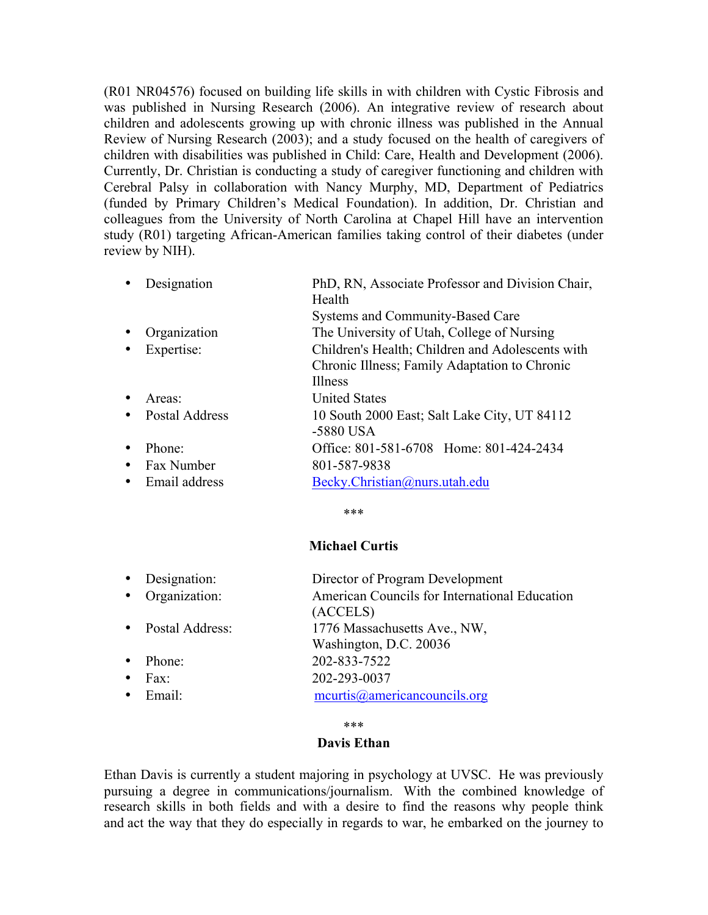(R01 NR04576) focused on building life skills in with children with Cystic Fibrosis and was published in Nursing Research (2006). An integrative review of research about children and adolescents growing up with chronic illness was published in the Annual Review of Nursing Research (2003); and a study focused on the health of caregivers of children with disabilities was published in Child: Care, Health and Development (2006). Currently, Dr. Christian is conducting a study of caregiver functioning and children with Cerebral Palsy in collaboration with Nancy Murphy, MD, Department of Pediatrics (funded by Primary Children's Medical Foundation). In addition, Dr. Christian and colleagues from the University of North Carolina at Chapel Hill have an intervention study (R01) targeting African-American families taking control of their diabetes (under review by NIH).

| Designation    | PhD, RN, Associate Professor and Division Chair,          |
|----------------|-----------------------------------------------------------|
|                | Health                                                    |
|                | Systems and Community-Based Care                          |
| Organization   | The University of Utah, College of Nursing                |
| Expertise:     | Children's Health; Children and Adolescents with          |
|                | Chronic Illness; Family Adaptation to Chronic             |
|                | <b>Illness</b>                                            |
| Areas:         | <b>United States</b>                                      |
| Postal Address | 10 South 2000 East; Salt Lake City, UT 84112<br>-5880 USA |
| Phone:         | Office: 801-581-6708 Home: 801-424-2434                   |
| Fax Number     | 801-587-9838                                              |
| Email address  | Becky.Christian@nurs.utah.edu                             |
|                |                                                           |

\*\*\*

# **Michael Curtis**

|           | • Designation:    | Director of Program Development                           |
|-----------|-------------------|-----------------------------------------------------------|
|           | • Organization:   | American Councils for International Education<br>(ACCELS) |
|           | • Postal Address: | 1776 Massachusetts Ave., NW,<br>Washington, D.C. 20036    |
| $\bullet$ | Phone:            | 202-833-7522                                              |
| $\bullet$ | Fax:              | 202-293-0037                                              |
|           | $\bullet$ Email:  | meurtis@americancouncils.org                              |

### \*\*\*

### **Davis Ethan**

Ethan Davis is currently a student majoring in psychology at UVSC. He was previously pursuing a degree in communications/journalism. With the combined knowledge of research skills in both fields and with a desire to find the reasons why people think and act the way that they do especially in regards to war, he embarked on the journey to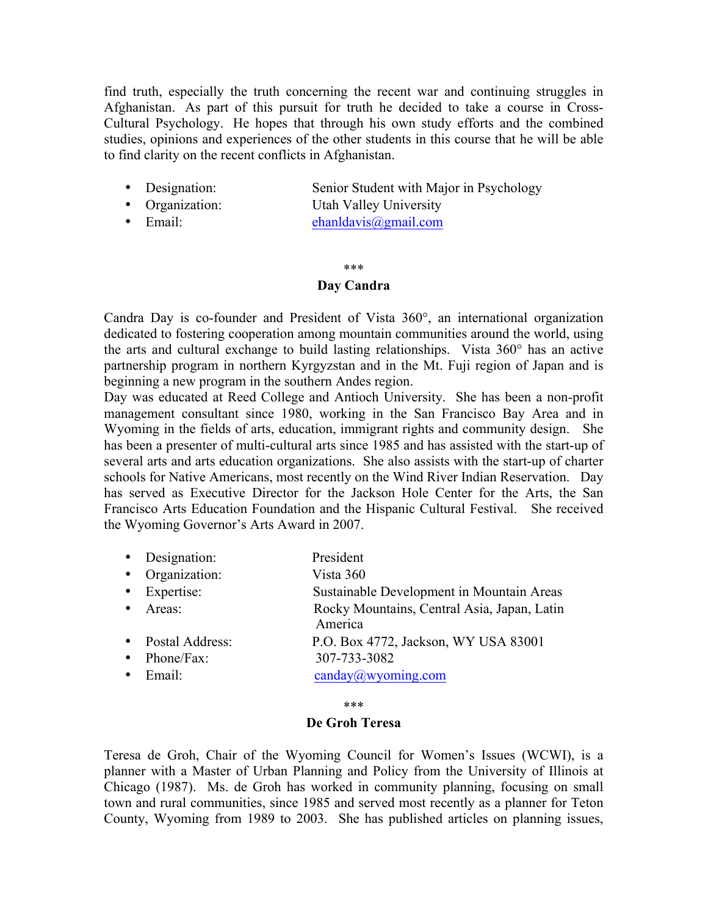find truth, especially the truth concerning the recent war and continuing struggles in Afghanistan. As part of this pursuit for truth he decided to take a course in Cross-Cultural Psychology. He hopes that through his own study efforts and the combined studies, opinions and experiences of the other students in this course that he will be able to find clarity on the recent conflicts in Afghanistan.

- Designation: Senior Student with Major in Psychology
- Organization: Utah Valley University
- Email: ehanldavis@gmail.com

### \*\*\*

## **Day Candra**

Candra Day is co-founder and President of Vista 360°, an international organization dedicated to fostering cooperation among mountain communities around the world, using the arts and cultural exchange to build lasting relationships. Vista 360° has an active partnership program in northern Kyrgyzstan and in the Mt. Fuji region of Japan and is beginning a new program in the southern Andes region.

Day was educated at Reed College and Antioch University. She has been a non-profit management consultant since 1980, working in the San Francisco Bay Area and in Wyoming in the fields of arts, education, immigrant rights and community design. She has been a presenter of multi-cultural arts since 1985 and has assisted with the start-up of several arts and arts education organizations. She also assists with the start-up of charter schools for Native Americans, most recently on the Wind River Indian Reservation. Day has served as Executive Director for the Jackson Hole Center for the Arts, the San Francisco Arts Education Foundation and the Hispanic Cultural Festival. She received the Wyoming Governor's Arts Award in 2007.

| Designation: | President |
|--------------|-----------|
|              |           |

- Organization: Vista 360<br>• Expertise: Sustainabl
- Sustainable Development in Mountain Areas
- Areas: Rocky Mountains, Central Asia, Japan, Latin America
- Postal Address: P.O. Box 4772, Jackson, WY USA 83001 • Phone/Fax: 307-733-3082

| ------------- |                       |
|---------------|-----------------------|
| Email:        | $c$ anday@wyoming.com |

\*\*\*

### **De Groh Teresa**

Teresa de Groh, Chair of the Wyoming Council for Women's Issues (WCWI), is a planner with a Master of Urban Planning and Policy from the University of Illinois at Chicago (1987). Ms. de Groh has worked in community planning, focusing on small town and rural communities, since 1985 and served most recently as a planner for Teton County, Wyoming from 1989 to 2003. She has published articles on planning issues,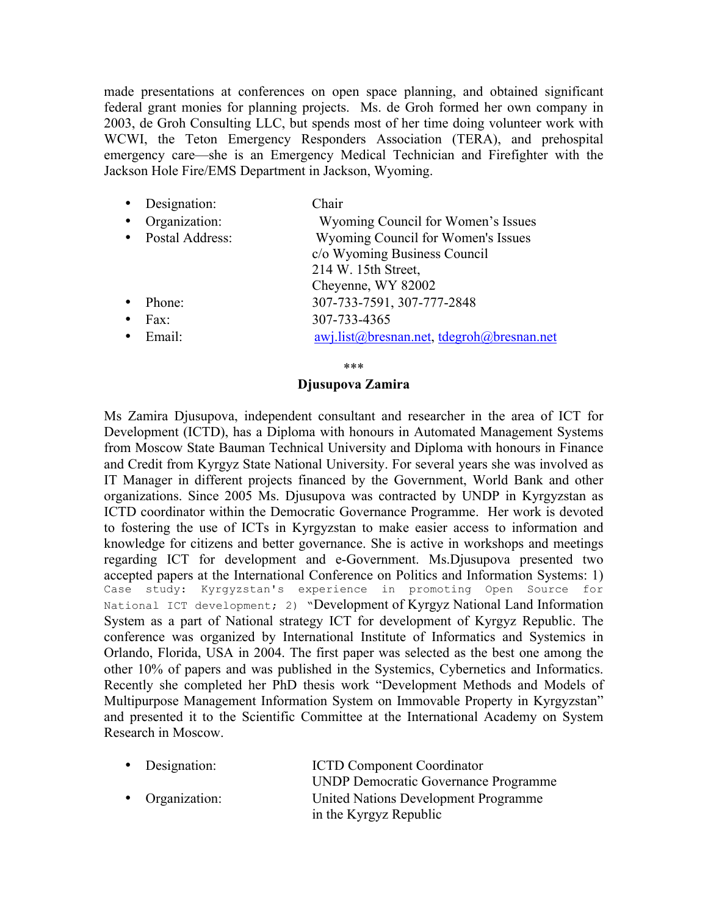made presentations at conferences on open space planning, and obtained significant federal grant monies for planning projects. Ms. de Groh formed her own company in 2003, de Groh Consulting LLC, but spends most of her time doing volunteer work with WCWI, the Teton Emergency Responders Association (TERA), and prehospital emergency care—she is an Emergency Medical Technician and Firefighter with the Jackson Hole Fire/EMS Department in Jackson, Wyoming.

|           | • Designation:    | Chair                                    |
|-----------|-------------------|------------------------------------------|
| $\bullet$ | Organization:     | Wyoming Council for Women's Issues       |
|           | • Postal Address: | Wyoming Council for Women's Issues       |
|           |                   | c/o Wyoming Business Council             |
|           |                   | 214 W. 15th Street,                      |
|           |                   | Cheyenne, WY 82002                       |
| $\bullet$ | Phone:            | 307-733-7591, 307-777-2848               |
|           | Fax:              | 307-733-4365                             |
|           | $\bullet$ Email:  | awj.list@bresnan.net.tdegroh@bresnan.net |
|           |                   |                                          |

\*\*\*

### **Djusupova Zamira**

Ms Zamira Djusupova, independent consultant and researcher in the area of ICT for Development (ICTD), has a Diploma with honours in Automated Management Systems from Moscow State Bauman Technical University and Diploma with honours in Finance and Credit from Kyrgyz State National University. For several years she was involved as IT Manager in different projects financed by the Government, World Bank and other organizations. Since 2005 Ms. Djusupova was contracted by UNDP in Kyrgyzstan as ICTD coordinator within the Democratic Governance Programme. Her work is devoted to fostering the use of ICTs in Kyrgyzstan to make easier access to information and knowledge for citizens and better governance. She is active in workshops and meetings regarding ICT for development and e-Government. Ms.Djusupova presented two accepted papers at the International Conference on Politics and Information Systems: 1) Case study: Kyrgyzstan's experience in promoting Open Source for National ICT development; 2) "Development of Kyrgyz National Land Information System as a part of National strategy ICT for development of Kyrgyz Republic. The conference was organized by International Institute of Informatics and Systemics in Orlando, Florida, USA in 2004. The first paper was selected as the best one among the other 10% of papers and was published in the Systemics, Cybernetics and Informatics. Recently she completed her PhD thesis work "Development Methods and Models of Multipurpose Management Information System on Immovable Property in Kyrgyzstan" and presented it to the Scientific Committee at the International Academy on System Research in Moscow.

| • Designation:  | <b>ICTD Component Coordinator</b>           |
|-----------------|---------------------------------------------|
|                 | <b>UNDP Democratic Governance Programme</b> |
| • Organization: | United Nations Development Programme        |
|                 | in the Kyrgyz Republic                      |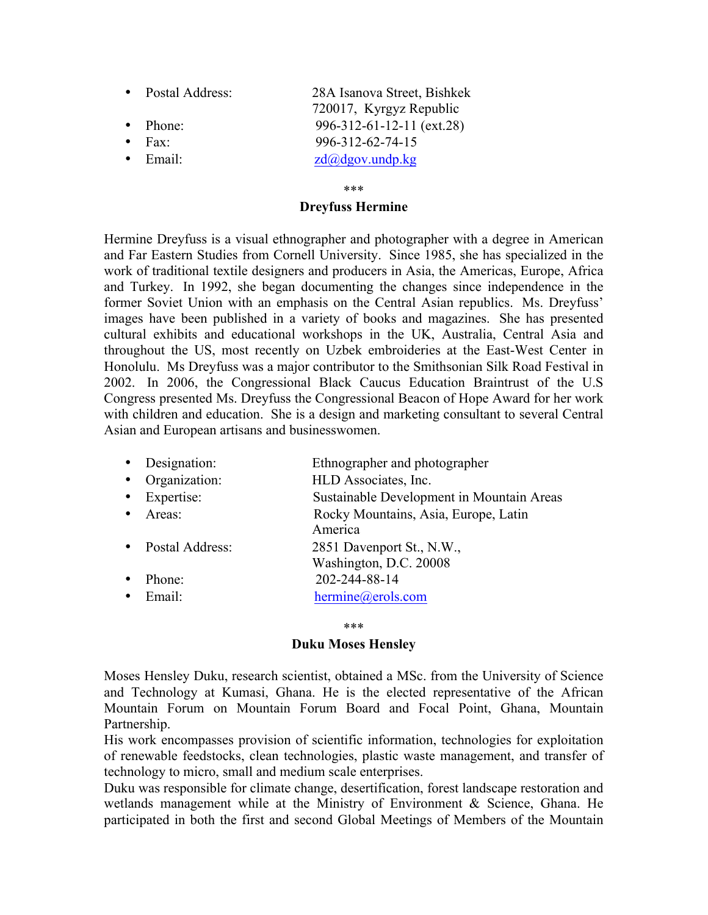- Postal Address: 28A Isanova Street, Bishkek 720017, Kyrgyz Republic • Phone: 996-312-61-12-11 (ext.28) • Fax: 996-312-62-74-15
- 
- 

• Email:  $zd(\partial_d d \rho g \circ \nu, \nu \circ d \rho, k \rho g)$ 

# \*\*\*

# **Dreyfuss Hermine**

Hermine Dreyfuss is a visual ethnographer and photographer with a degree in American and Far Eastern Studies from Cornell University. Since 1985, she has specialized in the work of traditional textile designers and producers in Asia, the Americas, Europe, Africa and Turkey. In 1992, she began documenting the changes since independence in the former Soviet Union with an emphasis on the Central Asian republics. Ms. Dreyfuss' images have been published in a variety of books and magazines. She has presented cultural exhibits and educational workshops in the UK, Australia, Central Asia and throughout the US, most recently on Uzbek embroideries at the East-West Center in Honolulu. Ms Dreyfuss was a major contributor to the Smithsonian Silk Road Festival in 2002. In 2006, the Congressional Black Caucus Education Braintrust of the U.S Congress presented Ms. Dreyfuss the Congressional Beacon of Hope Award for her work with children and education. She is a design and marketing consultant to several Central Asian and European artisans and businesswomen.

|           | • Designation:    | Ethnographer and photographer                   |
|-----------|-------------------|-------------------------------------------------|
|           | • Organization:   | HLD Associates, Inc.                            |
|           | • Expertise:      | Sustainable Development in Mountain Areas       |
|           | • Areas:          | Rocky Mountains, Asia, Europe, Latin<br>America |
|           | • Postal Address: | 2851 Davenport St., N.W.,                       |
|           |                   | Washington, D.C. 20008                          |
|           | Phone:            | 202-244-88-14                                   |
| $\bullet$ | Email:            | hermine@erols.com                               |

### \*\*\*

# **Duku Moses Hensley**

Moses Hensley Duku, research scientist, obtained a MSc. from the University of Science and Technology at Kumasi, Ghana. He is the elected representative of the African Mountain Forum on Mountain Forum Board and Focal Point, Ghana, Mountain Partnership.

His work encompasses provision of scientific information, technologies for exploitation of renewable feedstocks, clean technologies, plastic waste management, and transfer of technology to micro, small and medium scale enterprises.

Duku was responsible for climate change, desertification, forest landscape restoration and wetlands management while at the Ministry of Environment & Science, Ghana. He participated in both the first and second Global Meetings of Members of the Mountain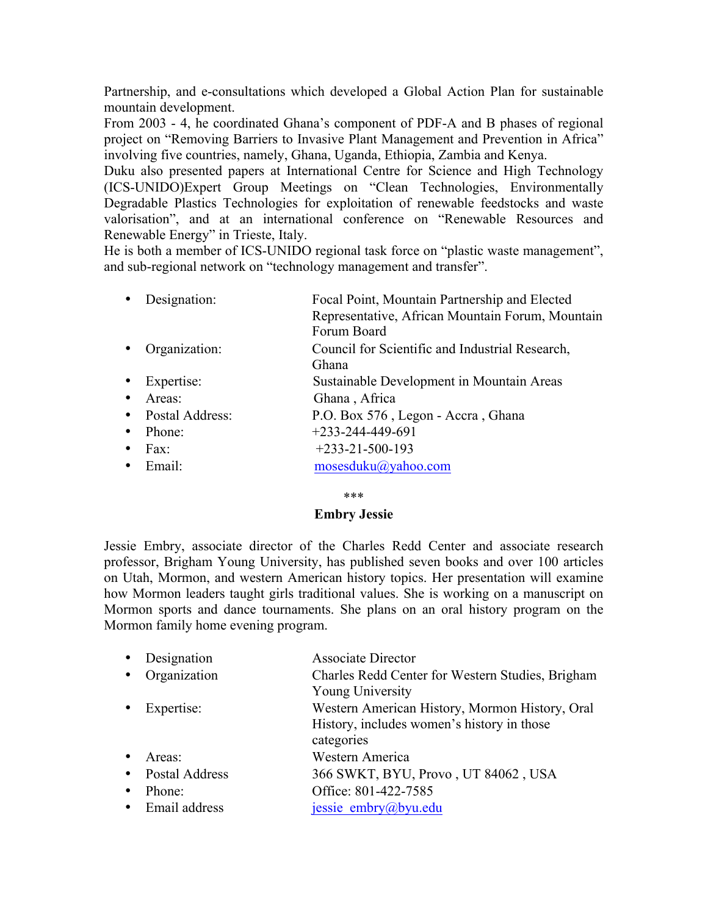Partnership, and e-consultations which developed a Global Action Plan for sustainable mountain development.

From 2003 - 4, he coordinated Ghana's component of PDF-A and B phases of regional project on "Removing Barriers to Invasive Plant Management and Prevention in Africa" involving five countries, namely, Ghana, Uganda, Ethiopia, Zambia and Kenya.

Duku also presented papers at International Centre for Science and High Technology (ICS-UNIDO)Expert Group Meetings on "Clean Technologies, Environmentally Degradable Plastics Technologies for exploitation of renewable feedstocks and waste valorisation", and at an international conference on "Renewable Resources and Renewable Energy" in Trieste, Italy.

He is both a member of ICS-UNIDO regional task force on "plastic waste management", and sub-regional network on "technology management and transfer".

| • Designation:  | Focal Point, Mountain Partnership and Elected<br>Representative, African Mountain Forum, Mountain<br>Forum Board |
|-----------------|------------------------------------------------------------------------------------------------------------------|
| • Organization: | Council for Scientific and Industrial Research,                                                                  |

- Ghana
- Expertise: Sustainable Development in Mountain Areas
- Areas: Ghana , Africa
- Postal Address: P.O. Box 576 , Legon Accra , Ghana
- Phone:  $+233-244-449-691$
- Fax:  $+233-21-500-193$
- Email: mosesduku@yahoo.com

### \*\*\*

# **Embry Jessie**

Jessie Embry, associate director of the Charles Redd Center and associate research professor, Brigham Young University, has published seven books and over 100 articles on Utah, Mormon, and western American history topics. Her presentation will examine how Mormon leaders taught girls traditional values. She is working on a manuscript on Mormon sports and dance tournaments. She plans on an oral history program on the Mormon family home evening program.

|           | • Designation    | <b>Associate Director</b>                                                                                  |
|-----------|------------------|------------------------------------------------------------------------------------------------------------|
| $\bullet$ | Organization     | Charles Redd Center for Western Studies, Brigham<br><b>Young University</b>                                |
| $\bullet$ | Expertise:       | Western American History, Mormon History, Oral<br>History, includes women's history in those<br>categories |
|           | Areas:           | Western America                                                                                            |
|           | • Postal Address | 366 SWKT, BYU, Provo, UT 84062, USA                                                                        |
|           | Phone:           | Office: 801-422-7585                                                                                       |
|           | • Email address  | jessie_embry@byu.edu                                                                                       |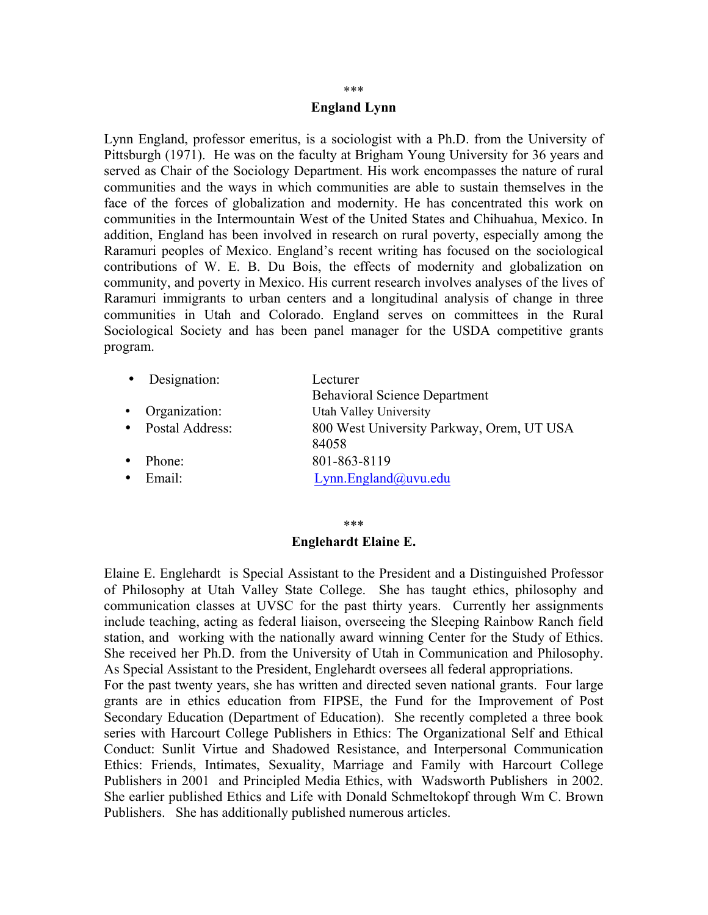# **England Lynn**

Lynn England, professor emeritus, is a sociologist with a Ph.D. from the University of Pittsburgh (1971). He was on the faculty at Brigham Young University for 36 years and served as Chair of the Sociology Department. His work encompasses the nature of rural communities and the ways in which communities are able to sustain themselves in the face of the forces of globalization and modernity. He has concentrated this work on communities in the Intermountain West of the United States and Chihuahua, Mexico. In addition, England has been involved in research on rural poverty, especially among the Raramuri peoples of Mexico. England's recent writing has focused on the sociological contributions of W. E. B. Du Bois, the effects of modernity and globalization on community, and poverty in Mexico. His current research involves analyses of the lives of Raramuri immigrants to urban centers and a longitudinal analysis of change in three communities in Utah and Colorado. England serves on committees in the Rural Sociological Society and has been panel manager for the USDA competitive grants program.

|           | Designation:      | Lecturer                                           |
|-----------|-------------------|----------------------------------------------------|
|           |                   | <b>Behavioral Science Department</b>               |
|           | • Organization:   | Utah Valley University                             |
|           | • Postal Address: | 800 West University Parkway, Orem, UT USA<br>84058 |
| $\bullet$ | Phone:            | 801-863-8119                                       |
| $\bullet$ | Email:            | $Lymn$ . England@uvu. edu                          |
|           |                   |                                                    |

# \*\*\*

# **Englehardt Elaine E.**

Elaine E. Englehardt is Special Assistant to the President and a Distinguished Professor of Philosophy at Utah Valley State College. She has taught ethics, philosophy and communication classes at UVSC for the past thirty years. Currently her assignments include teaching, acting as federal liaison, overseeing the Sleeping Rainbow Ranch field station, and working with the nationally award winning Center for the Study of Ethics. She received her Ph.D. from the University of Utah in Communication and Philosophy. As Special Assistant to the President, Englehardt oversees all federal appropriations. For the past twenty years, she has written and directed seven national grants. Four large grants are in ethics education from FIPSE, the Fund for the Improvement of Post Secondary Education (Department of Education). She recently completed a three book series with Harcourt College Publishers in Ethics: The Organizational Self and Ethical Conduct: Sunlit Virtue and Shadowed Resistance, and Interpersonal Communication Ethics: Friends, Intimates, Sexuality, Marriage and Family with Harcourt College Publishers in 2001 and Principled Media Ethics, with Wadsworth Publishers in 2002. She earlier published Ethics and Life with Donald Schmeltokopf through Wm C. Brown Publishers. She has additionally published numerous articles.

#### \*\*\*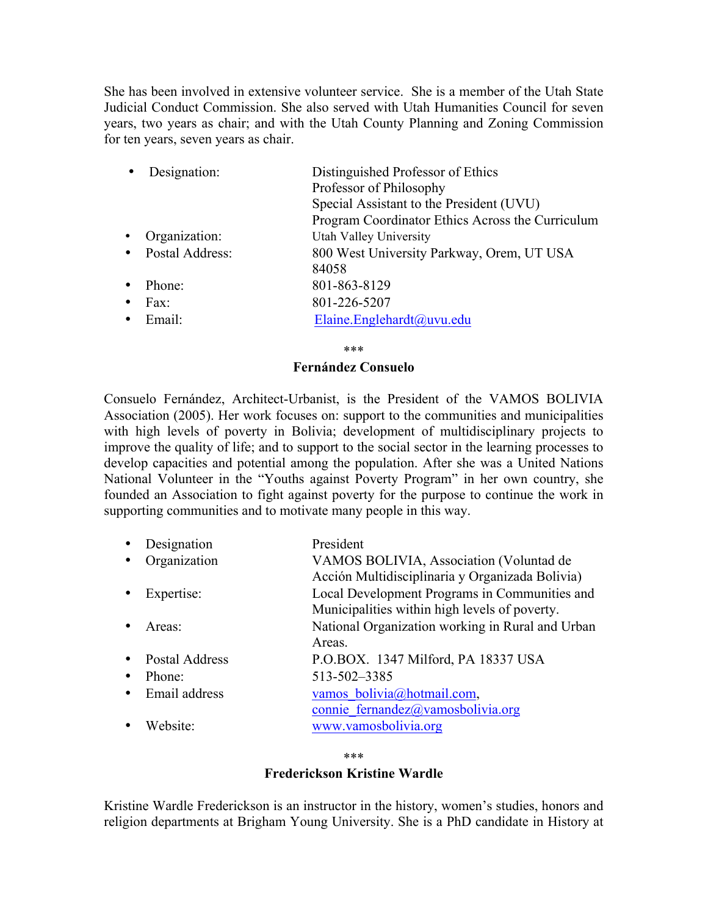She has been involved in extensive volunteer service. She is a member of the Utah State Judicial Conduct Commission. She also served with Utah Humanities Council for seven years, two years as chair; and with the Utah County Planning and Zoning Commission for ten years, seven years as chair.

|           | Designation:      | Distinguished Professor of Ethics                |
|-----------|-------------------|--------------------------------------------------|
|           |                   | Professor of Philosophy                          |
|           |                   | Special Assistant to the President (UVU)         |
|           |                   | Program Coordinator Ethics Across the Curriculum |
| $\bullet$ | Organization:     | Utah Valley University                           |
|           | • Postal Address: | 800 West University Parkway, Orem, UT USA        |
|           |                   | 84058                                            |
|           | Phone:            | 801-863-8129                                     |
| $\bullet$ | Fax:              | 801-226-5207                                     |
|           | Email:            | Elaine.Englehardt@uvu.edu                        |

\*\*\*

# **Fernández Consuelo**

Consuelo Fernández, Architect-Urbanist, is the President of the VAMOS BOLIVIA Association (2005). Her work focuses on: support to the communities and municipalities with high levels of poverty in Bolivia; development of multidisciplinary projects to improve the quality of life; and to support to the social sector in the learning processes to develop capacities and potential among the population. After she was a United Nations National Volunteer in the "Youths against Poverty Program" in her own country, she founded an Association to fight against poverty for the purpose to continue the work in supporting communities and to motivate many people in this way.

| Designation          | President                                        |
|----------------------|--------------------------------------------------|
| Organization         | VAMOS BOLIVIA, Association (Voluntad de          |
|                      | Acción Multidisciplinaria y Organizada Bolivia)  |
| Expertise:           | Local Development Programs in Communities and    |
|                      | Municipalities within high levels of poverty.    |
| Areas:               | National Organization working in Rural and Urban |
|                      | Areas.                                           |
| Postal Address       | P.O.BOX. 1347 Milford, PA 18337 USA              |
| Phone:               | 513-502-3385                                     |
| Email address        | vamos bolivia@hotmail.com,                       |
|                      | connie fernandez@vamosbolivia.org                |
| Website <sup>.</sup> | www.vamosbolivia.org                             |

\*\*\*

# **Frederickson Kristine Wardle**

Kristine Wardle Frederickson is an instructor in the history, women's studies, honors and religion departments at Brigham Young University. She is a PhD candidate in History at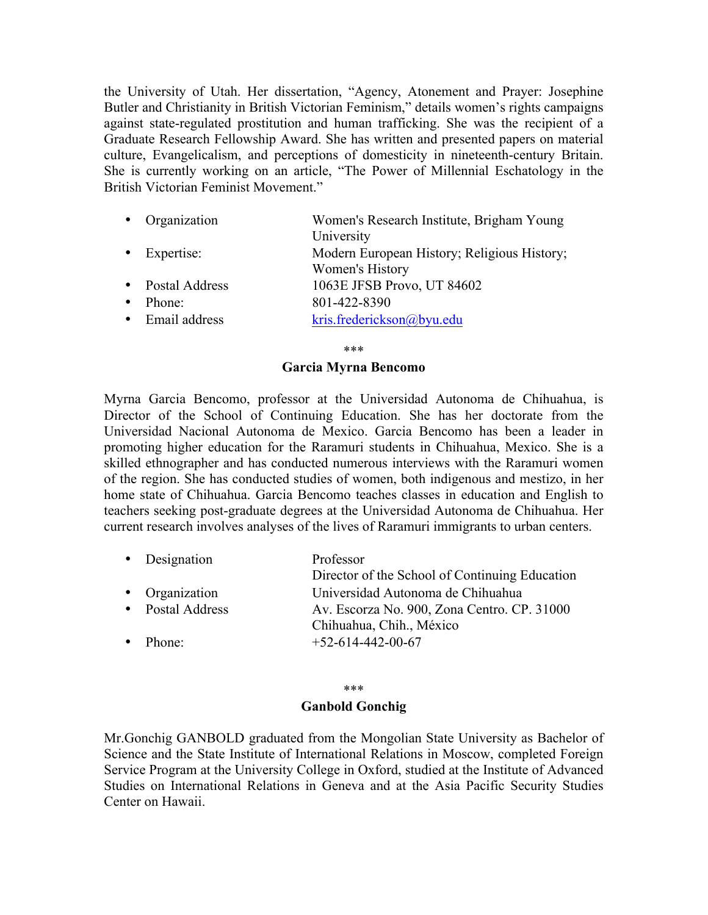the University of Utah. Her dissertation, "Agency, Atonement and Prayer: Josephine Butler and Christianity in British Victorian Feminism," details women's rights campaigns against state-regulated prostitution and human trafficking. She was the recipient of a Graduate Research Fellowship Award. She has written and presented papers on material culture, Evangelicalism, and perceptions of domesticity in nineteenth-century Britain. She is currently working on an article, "The Power of Millennial Eschatology in the British Victorian Feminist Movement."

|           | • Organization       | Women's Research Institute, Brigham Young   |
|-----------|----------------------|---------------------------------------------|
|           |                      | University                                  |
|           | $\bullet$ Expertise: | Modern European History; Religious History; |
|           |                      | Women's History                             |
|           | • Postal Address     | 1063E JFSB Provo, UT 84602                  |
| $\bullet$ | Phone:               | 801-422-8390                                |
|           | • Email address      | kris.frederickson@byu.edu                   |

\*\*\*

### **Garcia Myrna Bencomo**

Myrna Garcia Bencomo, professor at the Universidad Autonoma de Chihuahua, is Director of the School of Continuing Education. She has her doctorate from the Universidad Nacional Autonoma de Mexico. Garcia Bencomo has been a leader in promoting higher education for the Raramuri students in Chihuahua, Mexico. She is a skilled ethnographer and has conducted numerous interviews with the Raramuri women of the region. She has conducted studies of women, both indigenous and mestizo, in her home state of Chihuahua. Garcia Bencomo teaches classes in education and English to teachers seeking post-graduate degrees at the Universidad Autonoma de Chihuahua. Her current research involves analyses of the lives of Raramuri immigrants to urban centers.

|           | • Designation    | Professor<br>Director of the School of Continuing Education |
|-----------|------------------|-------------------------------------------------------------|
|           |                  |                                                             |
|           | • Organization   | Universidad Autonoma de Chihuahua                           |
|           | • Postal Address | Av. Escorza No. 900, Zona Centro. CP. 31000                 |
|           |                  | Chihuahua, Chih., México                                    |
| $\bullet$ | Phone:           | $+52-614-442-00-67$                                         |

### \*\*\*

### **Ganbold Gonchig**

Mr.Gonchig GANBOLD graduated from the Mongolian State University as Bachelor of Science and the State Institute of International Relations in Moscow, completed Foreign Service Program at the University College in Oxford, studied at the Institute of Advanced Studies on International Relations in Geneva and at the Asia Pacific Security Studies Center on Hawaii.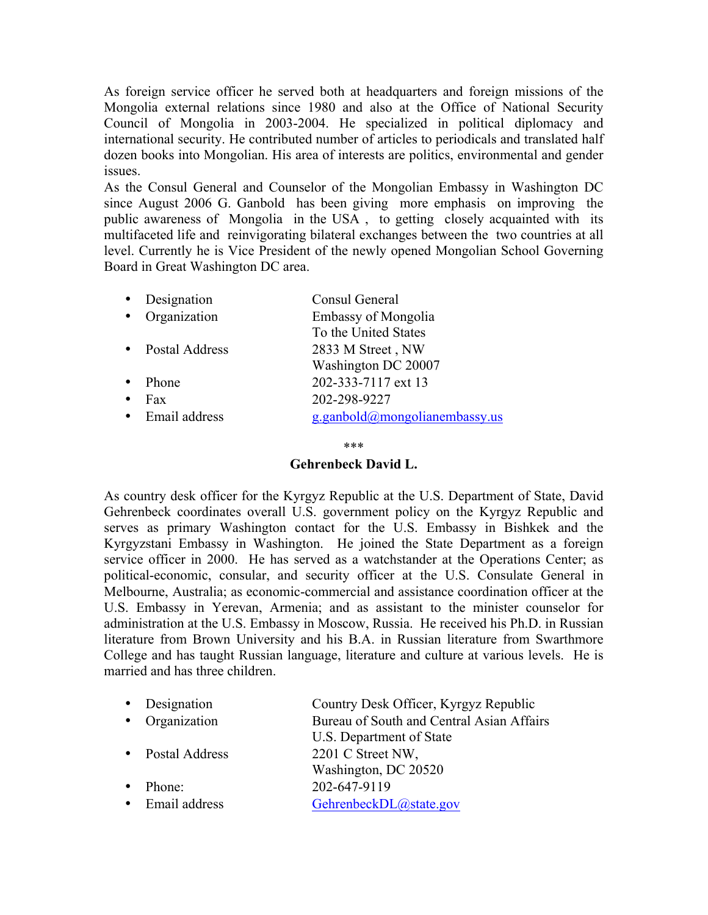As foreign service officer he served both at headquarters and foreign missions of the Mongolia external relations since 1980 and also at the Office of National Security Council of Mongolia in 2003-2004. He specialized in political diplomacy and international security. He contributed number of articles to periodicals and translated half dozen books into Mongolian. His area of interests are politics, environmental and gender issues.

As the Consul General and Counselor of the Mongolian Embassy in Washington DC since August 2006 G. Ganbold has been giving more emphasis on improving the public awareness of Mongolia in the USA , to getting closely acquainted with its multifaceted life and reinvigorating bilateral exchanges between the two countries at all level. Currently he is Vice President of the newly opened Mongolian School Governing Board in Great Washington DC area.

| Designation           | Consul General                |
|-----------------------|-------------------------------|
| Organization          | <b>Embassy of Mongolia</b>    |
|                       | To the United States          |
| <b>Postal Address</b> | 2833 M Street, NW             |
|                       | Washington DC 20007           |
| Phone                 | 202-333-7117 ext 13           |
| Fax                   | 202-298-9227                  |
| Email address         | g.ganbold@mongolianembassy.us |
|                       |                               |

\*\*\*

# **Gehrenbeck David L.**

As country desk officer for the Kyrgyz Republic at the U.S. Department of State, David Gehrenbeck coordinates overall U.S. government policy on the Kyrgyz Republic and serves as primary Washington contact for the U.S. Embassy in Bishkek and the Kyrgyzstani Embassy in Washington. He joined the State Department as a foreign service officer in 2000. He has served as a watchstander at the Operations Center; as political-economic, consular, and security officer at the U.S. Consulate General in Melbourne, Australia; as economic-commercial and assistance coordination officer at the U.S. Embassy in Yerevan, Armenia; and as assistant to the minister counselor for administration at the U.S. Embassy in Moscow, Russia. He received his Ph.D. in Russian literature from Brown University and his B.A. in Russian literature from Swarthmore College and has taught Russian language, literature and culture at various levels. He is married and has three children.

| • Designation    | Country Desk Officer, Kyrgyz Republic     |
|------------------|-------------------------------------------|
| • Organization   | Bureau of South and Central Asian Affairs |
|                  | U.S. Department of State                  |
| • Postal Address | 2201 C Street NW,                         |
|                  | Washington, DC 20520                      |
| Phone:           | 202-647-9119                              |
| Email address    | GehrenbeckDL@state.gov                    |
|                  |                                           |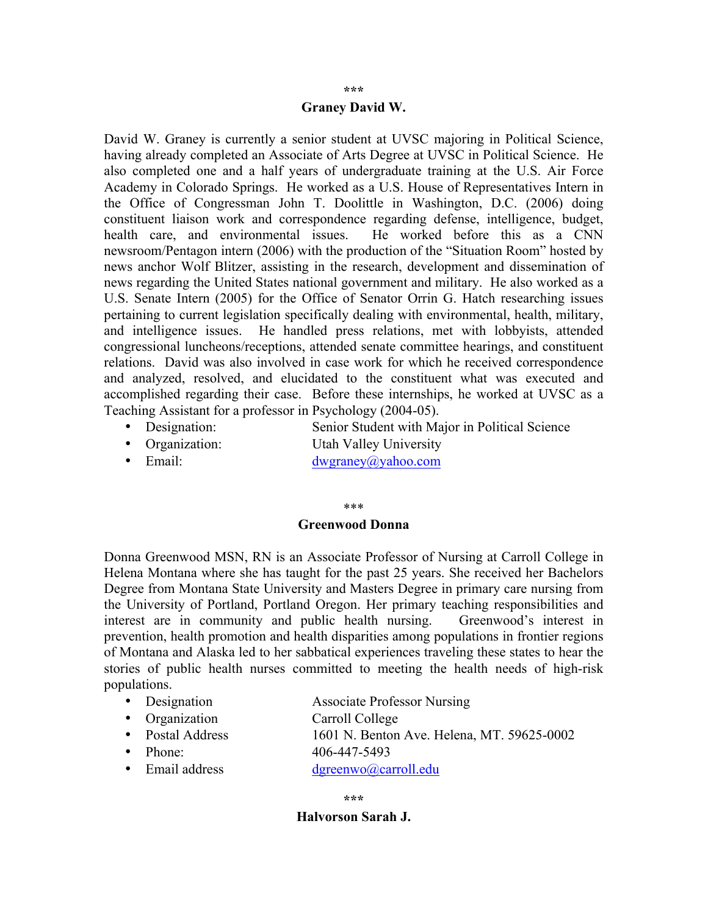#### **\*\*\***

### **Graney David W.**

David W. Graney is currently a senior student at UVSC majoring in Political Science, having already completed an Associate of Arts Degree at UVSC in Political Science. He also completed one and a half years of undergraduate training at the U.S. Air Force Academy in Colorado Springs. He worked as a U.S. House of Representatives Intern in the Office of Congressman John T. Doolittle in Washington, D.C. (2006) doing constituent liaison work and correspondence regarding defense, intelligence, budget, health care, and environmental issues. He worked before this as a CNN newsroom/Pentagon intern (2006) with the production of the "Situation Room" hosted by news anchor Wolf Blitzer, assisting in the research, development and dissemination of news regarding the United States national government and military. He also worked as a U.S. Senate Intern (2005) for the Office of Senator Orrin G. Hatch researching issues pertaining to current legislation specifically dealing with environmental, health, military, and intelligence issues. He handled press relations, met with lobbyists, attended congressional luncheons/receptions, attended senate committee hearings, and constituent relations. David was also involved in case work for which he received correspondence and analyzed, resolved, and elucidated to the constituent what was executed and accomplished regarding their case. Before these internships, he worked at UVSC as a Teaching Assistant for a professor in Psychology (2004-05).

- Designation: Senior Student with Major in Political Science
- Organization: Utah Valley University
- Email: dwgraney@yahoo.com

#### \*\*\*

### **Greenwood Donna**

Donna Greenwood MSN, RN is an Associate Professor of Nursing at Carroll College in Helena Montana where she has taught for the past 25 years. She received her Bachelors Degree from Montana State University and Masters Degree in primary care nursing from the University of Portland, Portland Oregon. Her primary teaching responsibilities and interest are in community and public health nursing. Greenwood's interest in prevention, health promotion and health disparities among populations in frontier regions of Montana and Alaska led to her sabbatical experiences traveling these states to hear the stories of public health nurses committed to meeting the health needs of high-risk populations.

- Designation Associate Professor Nursing
- Organization Carroll College
- Postal Address 1601 N. Benton Ave. Helena, MT. 59625-0002
- 
- Phone: 406-447-5493
- Email address dgreenwo@carroll.edu

### **\*\*\***

# **Halvorson Sarah J.**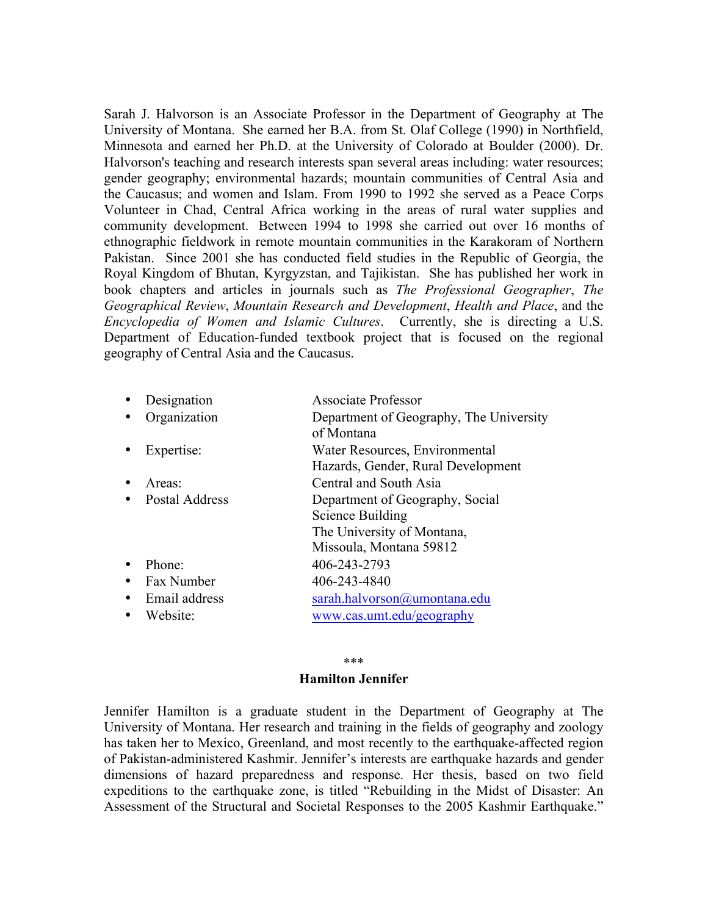Sarah J. Halvorson is an Associate Professor in the Department of Geography at The University of Montana. She earned her B.A. from St. Olaf College (1990) in Northfield, Minnesota and earned her Ph.D. at the University of Colorado at Boulder (2000). Dr. Halvorson's teaching and research interests span several areas including: water resources; gender geography; environmental hazards; mountain communities of Central Asia and the Caucasus; and women and Islam. From 1990 to 1992 she served as a Peace Corps Volunteer in Chad, Central Africa working in the areas of rural water supplies and community development. Between 1994 to 1998 she carried out over 16 months of ethnographic fieldwork in remote mountain communities in the Karakoram of Northern Pakistan. Since 2001 she has conducted field studies in the Republic of Georgia, the Royal Kingdom of Bhutan, Kyrgyzstan, and Tajikistan. She has published her work in book chapters and articles in journals such as *The Professional Geographer*, *The Geographical Review*, *Mountain Research and Development*, *Health and Place*, and the *Encyclopedia of Women and Islamic Cultures*. Currently, she is directing a U.S. Department of Education-funded textbook project that is focused on the regional geography of Central Asia and the Caucasus.

| Designation           | <b>Associate Professor</b>                                                                                   |
|-----------------------|--------------------------------------------------------------------------------------------------------------|
| Organization          | Department of Geography, The University<br>of Montana                                                        |
| Expertise:            | Water Resources, Environmental<br>Hazards, Gender, Rural Development                                         |
| Areas:                | Central and South Asia                                                                                       |
| <b>Postal Address</b> | Department of Geography, Social<br>Science Building<br>The University of Montana,<br>Missoula, Montana 59812 |
| Phone:                | 406-243-2793                                                                                                 |
| Fax Number            | 406-243-4840                                                                                                 |
| Email address         | sarah.halvorson@umontana.edu                                                                                 |
| Website:              | www.cas.umt.edu/geography                                                                                    |
|                       |                                                                                                              |

### \*\*\*

### **Hamilton Jennifer**

Jennifer Hamilton is a graduate student in the Department of Geography at The University of Montana. Her research and training in the fields of geography and zoology has taken her to Mexico, Greenland, and most recently to the earthquake-affected region of Pakistan-administered Kashmir. Jennifer's interests are earthquake hazards and gender dimensions of hazard preparedness and response. Her thesis, based on two field expeditions to the earthquake zone, is titled "Rebuilding in the Midst of Disaster: An Assessment of the Structural and Societal Responses to the 2005 Kashmir Earthquake."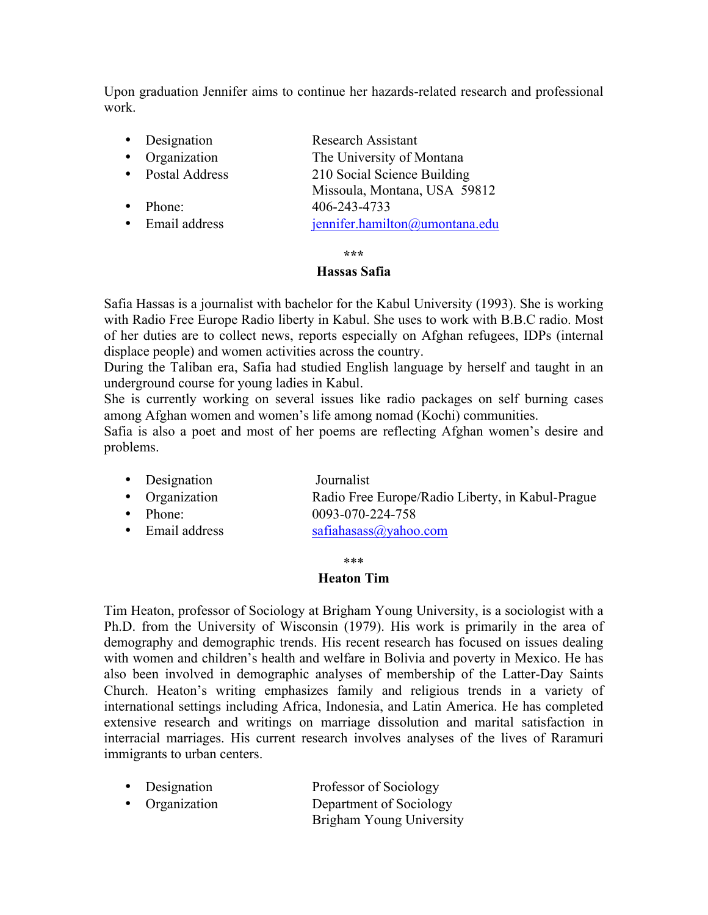Upon graduation Jennifer aims to continue her hazards-related research and professional work.

| • Designation    | Research Assistant             |
|------------------|--------------------------------|
| Organization     | The University of Montana      |
| • Postal Address | 210 Social Science Building    |
|                  | Missoula, Montana, USA 59812   |
| Phone:           | 406-243-4733                   |
| • Email address  | jennifer.hamilton@umontana.edu |
|                  |                                |
|                  | ***                            |

# **Hassas Safia**

Safia Hassas is a journalist with bachelor for the Kabul University (1993). She is working with Radio Free Europe Radio liberty in Kabul. She uses to work with B.B.C radio. Most of her duties are to collect news, reports especially on Afghan refugees, IDPs (internal displace people) and women activities across the country.

During the Taliban era, Safia had studied English language by herself and taught in an underground course for young ladies in Kabul.

She is currently working on several issues like radio packages on self burning cases among Afghan women and women's life among nomad (Kochi) communities.

Safia is also a poet and most of her poems are reflecting Afghan women's desire and problems.

| • Designation | Journalist                                                                                                                                                                                                                                                                                                         |  |
|---------------|--------------------------------------------------------------------------------------------------------------------------------------------------------------------------------------------------------------------------------------------------------------------------------------------------------------------|--|
|               | $\sqrt{2}$ $\sqrt{2}$ $\sqrt{2}$ $\sqrt{2}$ $\sqrt{2}$ $\sqrt{2}$ $\sqrt{2}$ $\sqrt{2}$ $\sqrt{2}$ $\sqrt{2}$ $\sqrt{2}$ $\sqrt{2}$ $\sqrt{2}$ $\sqrt{2}$ $\sqrt{2}$ $\sqrt{2}$ $\sqrt{2}$ $\sqrt{2}$ $\sqrt{2}$ $\sqrt{2}$ $\sqrt{2}$ $\sqrt{2}$ $\sqrt{2}$ $\sqrt{2}$ $\sqrt{2}$ $\sqrt{2}$ $\sqrt{2}$ $\sqrt{2$ |  |

- Organization **Radio Free Europe/Radio Liberty, in Kabul-Prague**
- Phone: 0093-070-224-758
- Email address safiahasass@yahoo.com

\*\*\*

# **Heaton Tim**

Tim Heaton, professor of Sociology at Brigham Young University, is a sociologist with a Ph.D. from the University of Wisconsin (1979). His work is primarily in the area of demography and demographic trends. His recent research has focused on issues dealing with women and children's health and welfare in Bolivia and poverty in Mexico. He has also been involved in demographic analyses of membership of the Latter-Day Saints Church. Heaton's writing emphasizes family and religious trends in a variety of international settings including Africa, Indonesia, and Latin America. He has completed extensive research and writings on marriage dissolution and marital satisfaction in interracial marriages. His current research involves analyses of the lives of Raramuri immigrants to urban centers.

| • Designation  | Professor of Sociology   |
|----------------|--------------------------|
| • Organization | Department of Sociology  |
|                | Brigham Young University |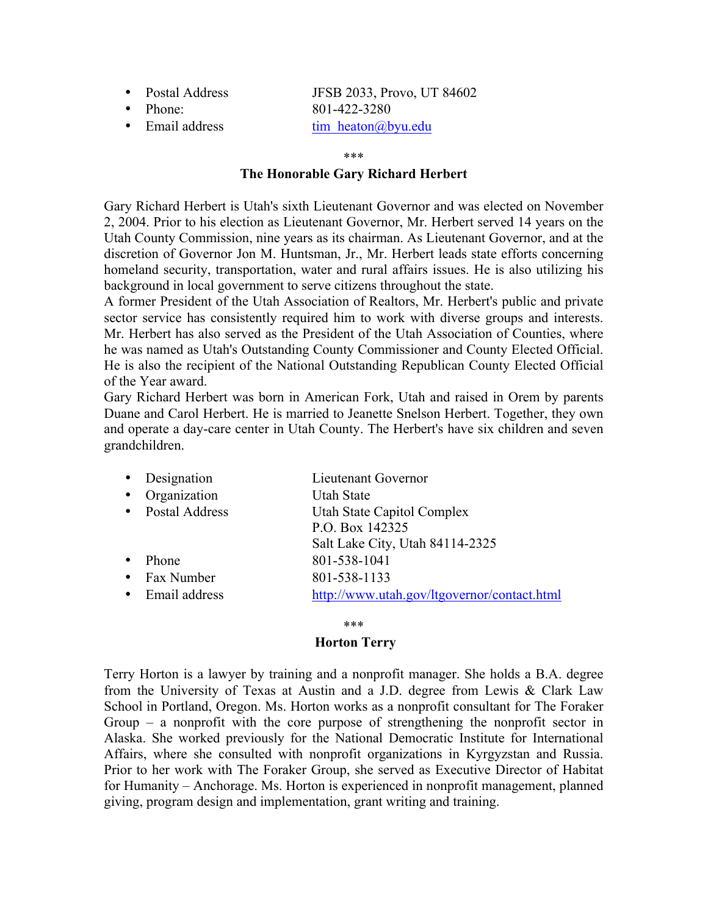- Postal Address JFSB 2033, Provo, UT 84602
- 

• Phone: 801-422-3280 • Email address  $\qquad \qquad \text{tim} \ \text{heaton}(\partial_t)$  by u.edu

#### \*\*\*

# **The Honorable Gary Richard Herbert**

Gary Richard Herbert is Utah's sixth Lieutenant Governor and was elected on November 2, 2004. Prior to his election as Lieutenant Governor, Mr. Herbert served 14 years on the Utah County Commission, nine years as its chairman. As Lieutenant Governor, and at the discretion of Governor Jon M. Huntsman, Jr., Mr. Herbert leads state efforts concerning homeland security, transportation, water and rural affairs issues. He is also utilizing his background in local government to serve citizens throughout the state.

A former President of the Utah Association of Realtors, Mr. Herbert's public and private sector service has consistently required him to work with diverse groups and interests. Mr. Herbert has also served as the President of the Utah Association of Counties, where he was named as Utah's Outstanding County Commissioner and County Elected Official. He is also the recipient of the National Outstanding Republican County Elected Official of the Year award.

Gary Richard Herbert was born in American Fork, Utah and raised in Orem by parents Duane and Carol Herbert. He is married to Jeanette Snelson Herbert. Together, they own and operate a day-care center in Utah County. The Herbert's have six children and seven grandchildren.

|           | • Designation    | Lieutenant Governor                         |
|-----------|------------------|---------------------------------------------|
| $\bullet$ | Organization     | <b>Utah State</b>                           |
|           | • Postal Address | Utah State Capitol Complex                  |
|           |                  | P.O. Box 142325                             |
|           |                  | Salt Lake City, Utah 84114-2325             |
| $\bullet$ | Phone            | 801-538-1041                                |
|           | • Fax Number     | 801-538-1133                                |
|           | • Email address  | http://www.utah.gov/ltgovernor/contact.html |
|           |                  |                                             |

### \*\*\*

# **Horton Terry**

Terry Horton is a lawyer by training and a nonprofit manager. She holds a B.A. degree from the University of Texas at Austin and a J.D. degree from Lewis & Clark Law School in Portland, Oregon. Ms. Horton works as a nonprofit consultant for The Foraker Group – a nonprofit with the core purpose of strengthening the nonprofit sector in Alaska. She worked previously for the National Democratic Institute for International Affairs, where she consulted with nonprofit organizations in Kyrgyzstan and Russia. Prior to her work with The Foraker Group, she served as Executive Director of Habitat for Humanity – Anchorage. Ms. Horton is experienced in nonprofit management, planned giving, program design and implementation, grant writing and training.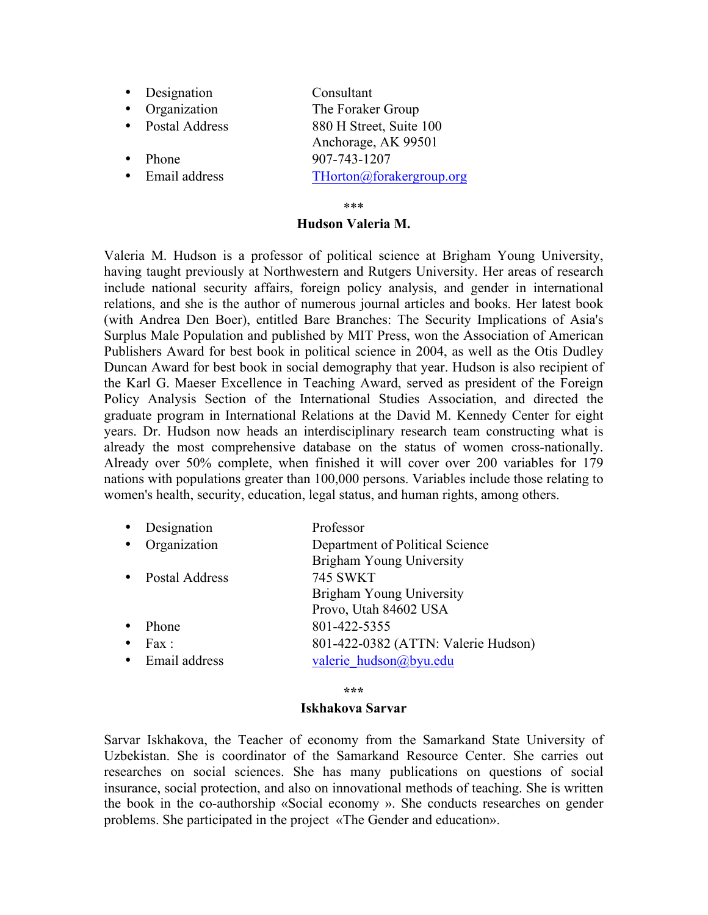- Designation Consultant
- 
- 
- 
- 

• Organization The Foraker Group • Postal Address 880 H Street, Suite 100 Anchorage, AK 99501 Phone 907-743-1207 • Email address THorton@forakergroup.org

### \*\*\*

# **Hudson Valeria M.**

Valeria M. Hudson is a professor of political science at Brigham Young University, having taught previously at Northwestern and Rutgers University. Her areas of research include national security affairs, foreign policy analysis, and gender in international relations, and she is the author of numerous journal articles and books. Her latest book (with Andrea Den Boer), entitled Bare Branches: The Security Implications of Asia's Surplus Male Population and published by MIT Press, won the Association of American Publishers Award for best book in political science in 2004, as well as the Otis Dudley Duncan Award for best book in social demography that year. Hudson is also recipient of the Karl G. Maeser Excellence in Teaching Award, served as president of the Foreign Policy Analysis Section of the International Studies Association, and directed the graduate program in International Relations at the David M. Kennedy Center for eight years. Dr. Hudson now heads an interdisciplinary research team constructing what is already the most comprehensive database on the status of women cross-nationally. Already over 50% complete, when finished it will cover over 200 variables for 179 nations with populations greater than 100,000 persons. Variables include those relating to women's health, security, education, legal status, and human rights, among others.

| $\bullet$ | Designation    | Professor                           |
|-----------|----------------|-------------------------------------|
|           | Organization   | Department of Political Science     |
|           |                | Brigham Young University            |
|           | Postal Address | <b>745 SWKT</b>                     |
|           |                | Brigham Young University            |
|           |                | Provo, Utah 84602 USA               |
|           | Phone          | 801-422-5355                        |
|           | Fax :          | 801-422-0382 (ATTN: Valerie Hudson) |
|           | Email address  | valerie hudson@byu.edu              |

**\*\*\***

### **Iskhakova Sarvar**

Sarvar Iskhakova, the Teacher of economy from the Samarkand State University of Uzbekistan. She is coordinator of the Samarkand Resource Center. She carries out researches on social sciences. She has many publications on questions of social insurance, social protection, and also on innovational methods of teaching. She is written the book in the co-authorship «Social economy ». She conducts researches on gender problems. She participated in the project «The Gender and education».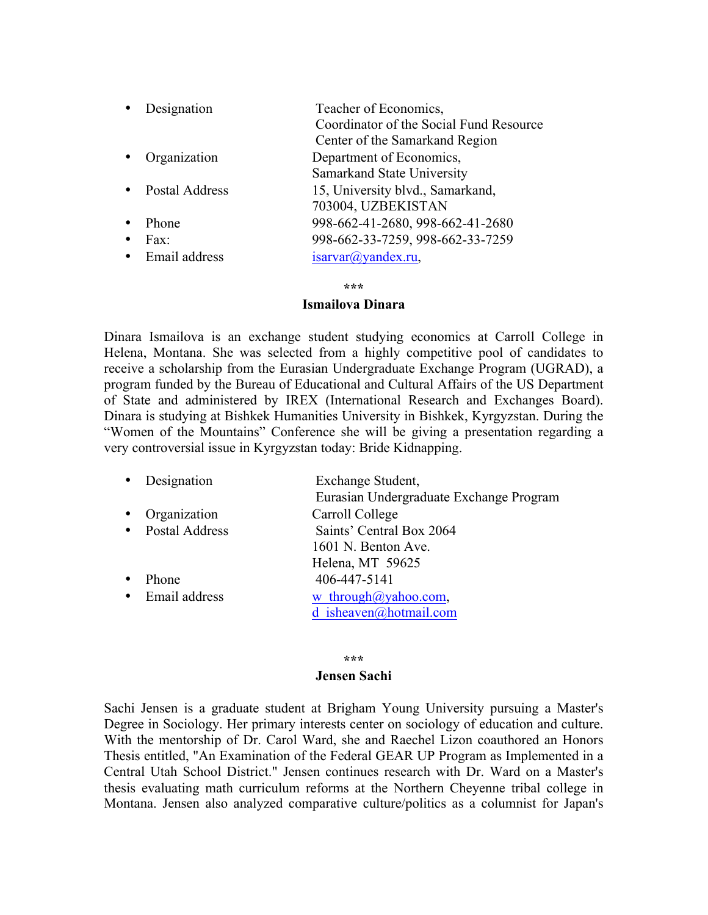|           | • Designation    | Teacher of Economics,                   |
|-----------|------------------|-----------------------------------------|
|           |                  | Coordinator of the Social Fund Resource |
|           |                  | Center of the Samarkand Region          |
| $\bullet$ | Organization     | Department of Economics,                |
|           |                  | Samarkand State University              |
|           | • Postal Address | 15, University blvd., Samarkand,        |
|           |                  | 703004, UZBEKISTAN                      |
|           | Phone            | 998-662-41-2680, 998-662-41-2680        |
|           | Fax:             | 998-662-33-7259, 998-662-33-7259        |
|           | • Email address  | $isarvar(a)$ yandex.ru,                 |

**\*\*\***

### **Ismailova Dinara**

Dinara Ismailova is an exchange student studying economics at Carroll College in Helena, Montana. She was selected from a highly competitive pool of candidates to receive a scholarship from the Eurasian Undergraduate Exchange Program (UGRAD), a program funded by the Bureau of Educational and Cultural Affairs of the US Department of State and administered by IREX (International Research and Exchanges Board). Dinara is studying at Bishkek Humanities University in Bishkek, Kyrgyzstan. During the "Women of the Mountains" Conference she will be giving a presentation regarding a very controversial issue in Kyrgyzstan today: Bride Kidnapping.

| Designation   | Exchange Student,<br>Eurasian Undergraduate Exchange Program |
|---------------|--------------------------------------------------------------|
|               |                                                              |
|               | Carroll College                                              |
|               | Saints' Central Box 2064                                     |
|               | 1601 N. Benton Ave.                                          |
|               | Helena, MT 59625                                             |
| Phone         | 406-447-5141                                                 |
| Email address | w through $\omega$ yahoo.com,<br>d isheaven@hotmail.com      |
|               | Organization<br>• Postal Address                             |

#### **\*\*\***

#### **Jensen Sachi**

Sachi Jensen is a graduate student at Brigham Young University pursuing a Master's Degree in Sociology. Her primary interests center on sociology of education and culture. With the mentorship of Dr. Carol Ward, she and Raechel Lizon coauthored an Honors Thesis entitled, "An Examination of the Federal GEAR UP Program as Implemented in a Central Utah School District." Jensen continues research with Dr. Ward on a Master's thesis evaluating math curriculum reforms at the Northern Cheyenne tribal college in Montana. Jensen also analyzed comparative culture/politics as a columnist for Japan's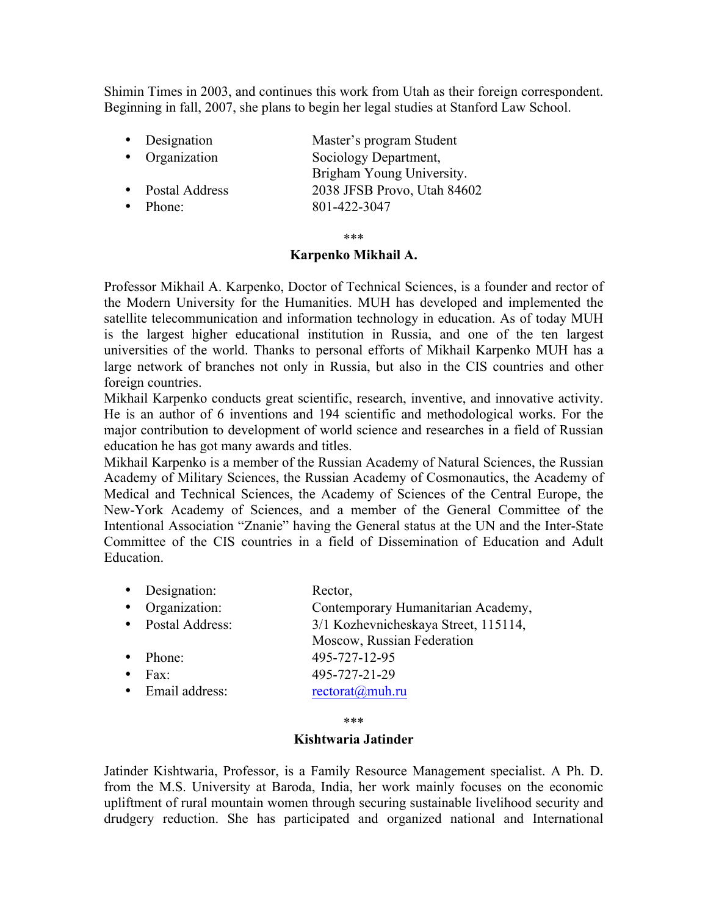Shimin Times in 2003, and continues this work from Utah as their foreign correspondent. Beginning in fall, 2007, she plans to begin her legal studies at Stanford Law School.

| • Designation    | Master's program Student    |
|------------------|-----------------------------|
| • Organization   | Sociology Department,       |
|                  | Brigham Young University.   |
| • Postal Address | 2038 JFSB Provo, Utah 84602 |
| Phone:           | 801-422-3047                |

\*\*\*

### **Karpenko Mikhail A.**

Professor Mikhail A. Karpenko, Doctor of Technical Sciences, is a founder and rector of the Modern University for the Humanities. MUH has developed and implemented the satellite telecommunication and information technology in education. As of today MUH is the largest higher educational institution in Russia, and one of the ten largest universities of the world. Thanks to personal efforts of Mikhail Karpenko MUH has a large network of branches not only in Russia, but also in the CIS countries and other foreign countries.

Mikhail Karpenko conducts great scientific, research, inventive, and innovative activity. He is an author of 6 inventions and 194 scientific and methodological works. For the major contribution to development of world science and researches in a field of Russian education he has got many awards and titles.

Mikhail Karpenko is a member of the Russian Academy of Natural Sciences, the Russian Academy of Military Sciences, the Russian Academy of Cosmonautics, the Academy of Medical and Technical Sciences, the Academy of Sciences of the Central Europe, the New-York Academy of Sciences, and a member of the General Committee of the Intentional Association "Znanie" having the General status at the UN and the Inter-State Committee of the CIS countries in a field of Dissemination of Education and Adult **Education** 

| • Designation:         | Rector,                           |
|------------------------|-----------------------------------|
| $\bullet$ Organization | Contemporary Humanitarian Academy |

| $O$ -Handanon.  |                                      |
|-----------------|--------------------------------------|
| Postal Address: | 3/1 Kozhevnicheskaya Street, 115114, |

- Moscow, Russian Federation • Phone: 495-727-12-95
- Fax: 495-727-21-29
- Email address: rectorat@muh.ru

\*\*\*

# **Kishtwaria Jatinder**

Jatinder Kishtwaria, Professor, is a Family Resource Management specialist. A Ph. D. from the M.S. University at Baroda, India, her work mainly focuses on the economic upliftment of rural mountain women through securing sustainable livelihood security and drudgery reduction. She has participated and organized national and International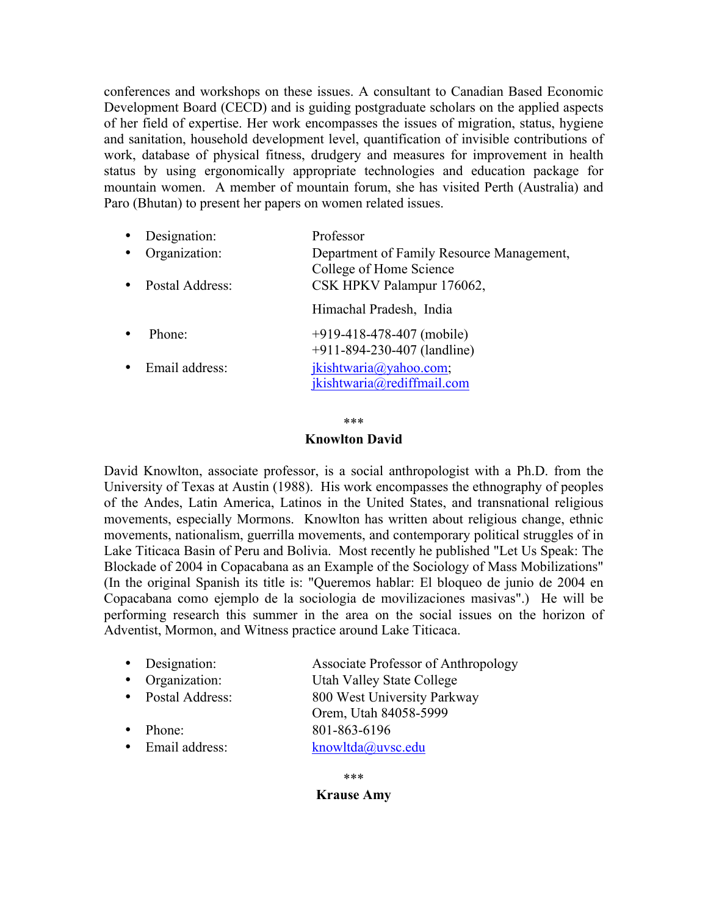conferences and workshops on these issues. A consultant to Canadian Based Economic Development Board (CECD) and is guiding postgraduate scholars on the applied aspects of her field of expertise. Her work encompasses the issues of migration, status, hygiene and sanitation, household development level, quantification of invisible contributions of work, database of physical fitness, drudgery and measures for improvement in health status by using ergonomically appropriate technologies and education package for mountain women. A member of mountain forum, she has visited Perth (Australia) and Paro (Bhutan) to present her papers on women related issues.

| Designation:<br>Organization:<br>Postal Address: | Professor<br>Department of Family Resource Management,<br>College of Home Science<br>CSK HPKV Palampur 176062, |
|--------------------------------------------------|----------------------------------------------------------------------------------------------------------------|
|                                                  | Himachal Pradesh, India                                                                                        |
| Phone:                                           | $+919-418-478-407$ (mobile)<br>+911-894-230-407 (landline)                                                     |
| Email address:                                   | jkishtwaria@yahoo.com;<br>jkishtwaria@rediffmail.com                                                           |

\*\*\*

### **Knowlton David**

David Knowlton, associate professor, is a social anthropologist with a Ph.D. from the University of Texas at Austin (1988). His work encompasses the ethnography of peoples of the Andes, Latin America, Latinos in the United States, and transnational religious movements, especially Mormons. Knowlton has written about religious change, ethnic movements, nationalism, guerrilla movements, and contemporary political struggles of in Lake Titicaca Basin of Peru and Bolivia. Most recently he published "Let Us Speak: The Blockade of 2004 in Copacabana as an Example of the Sociology of Mass Mobilizations" (In the original Spanish its title is: "Queremos hablar: El bloqueo de junio de 2004 en Copacabana como ejemplo de la sociologia de movilizaciones masivas".) He will be performing research this summer in the area on the social issues on the horizon of Adventist, Mormon, and Witness practice around Lake Titicaca.

| • Designation:    | Associate Professor of Anthropology |
|-------------------|-------------------------------------|
| • Organization:   | Utah Valley State College           |
| • Postal Address: | 800 West University Parkway         |
|                   | Orem, Utah 84058-5999               |
| Phone:            | 801-863-6196                        |
| • Email address:  | knowltda@uvsc.edu                   |
|                   |                                     |

# **Krause Amy**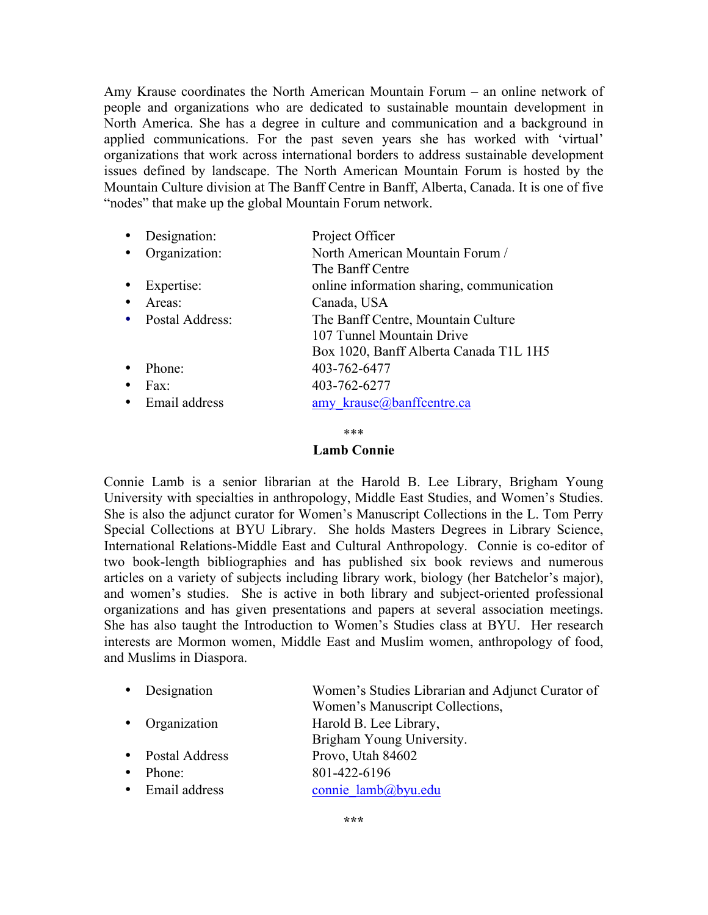Amy Krause coordinates the North American Mountain Forum – an online network of people and organizations who are dedicated to sustainable mountain development in North America. She has a degree in culture and communication and a background in applied communications. For the past seven years she has worked with 'virtual' organizations that work across international borders to address sustainable development issues defined by landscape. The North American Mountain Forum is hosted by the Mountain Culture division at The Banff Centre in Banff, Alberta, Canada. It is one of five "nodes" that make up the global Mountain Forum network.

| $\bullet$ | Designation:      | Project Officer                           |
|-----------|-------------------|-------------------------------------------|
| $\bullet$ | Organization:     | North American Mountain Forum /           |
|           |                   | The Banff Centre                          |
|           | Expertise:        | online information sharing, communication |
| $\bullet$ | Areas:            | Canada, USA                               |
|           | • Postal Address: | The Banff Centre, Mountain Culture        |
|           |                   | 107 Tunnel Mountain Drive                 |
|           |                   | Box 1020, Banff Alberta Canada T1L 1H5    |
|           | Phone:            | 403-762-6477                              |
| $\bullet$ | Fax:              | 403-762-6277                              |
|           | • Email address   | amy krause@banffcentre.ca                 |

\*\*\*

### **Lamb Connie**

Connie Lamb is a senior librarian at the Harold B. Lee Library, Brigham Young University with specialties in anthropology, Middle East Studies, and Women's Studies. She is also the adjunct curator for Women's Manuscript Collections in the L. Tom Perry Special Collections at BYU Library. She holds Masters Degrees in Library Science, International Relations-Middle East and Cultural Anthropology. Connie is co-editor of two book-length bibliographies and has published six book reviews and numerous articles on a variety of subjects including library work, biology (her Batchelor's major), and women's studies. She is active in both library and subject-oriented professional organizations and has given presentations and papers at several association meetings. She has also taught the Introduction to Women's Studies class at BYU. Her research interests are Mormon women, Middle East and Muslim women, anthropology of food, and Muslims in Diaspora.

| • Designation    | Women's Studies Librarian and Adjunct Curator of<br>Women's Manuscript Collections, |
|------------------|-------------------------------------------------------------------------------------|
| • Organization   | Harold B. Lee Library,<br>Brigham Young University.                                 |
| • Postal Address | Provo, Utah 84602                                                                   |
| Phone:           | 801-422-6196                                                                        |
| • Email address  | connie lamb@byu.edu                                                                 |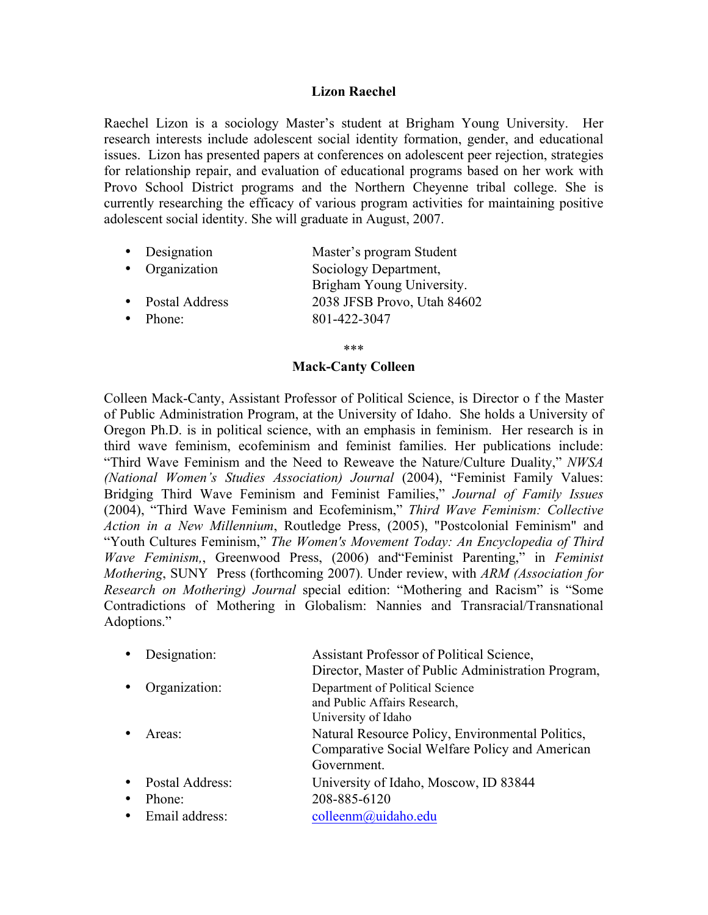# **Lizon Raechel**

Raechel Lizon is a sociology Master's student at Brigham Young University. Her research interests include adolescent social identity formation, gender, and educational issues. Lizon has presented papers at conferences on adolescent peer rejection, strategies for relationship repair, and evaluation of educational programs based on her work with Provo School District programs and the Northern Cheyenne tribal college. She is currently researching the efficacy of various program activities for maintaining positive adolescent social identity. She will graduate in August, 2007.

- Designation Master's program Student
- Organization Sociology Department, Brigham Young University. • Postal Address 2038 JFSB Provo, Utah 84602 • Phone: 801-422-3047

\*\*\*

### **Mack-Canty Colleen**

Colleen Mack-Canty, Assistant Professor of Political Science, is Director o f the Master of Public Administration Program, at the University of Idaho. She holds a University of Oregon Ph.D. is in political science, with an emphasis in feminism. Her research is in third wave feminism, ecofeminism and feminist families. Her publications include: "Third Wave Feminism and the Need to Reweave the Nature/Culture Duality," *NWSA (National Women's Studies Association) Journal* (2004), "Feminist Family Values: Bridging Third Wave Feminism and Feminist Families," *Journal of Family Issues* (2004), "Third Wave Feminism and Ecofeminism," *Third Wave Feminism: Collective Action in a New Millennium*, Routledge Press, (2005), "Postcolonial Feminism" and "Youth Cultures Feminism," *The Women's Movement Today: An Encyclopedia of Third Wave Feminism,*, Greenwood Press, (2006) and"Feminist Parenting," in *Feminist Mothering*, SUNY Press (forthcoming 2007). Under review, with *ARM (Association for Research on Mothering) Journal* special edition: "Mothering and Racism" is "Some Contradictions of Mothering in Globalism: Nannies and Transracial/Transnational Adoptions."

|           | Designation:       | Assistant Professor of Political Science,          |
|-----------|--------------------|----------------------------------------------------|
|           |                    | Director, Master of Public Administration Program, |
|           | Organization:      | Department of Political Science                    |
|           |                    | and Public Affairs Research,                       |
|           |                    | University of Idaho                                |
|           | Areas <sup>-</sup> | Natural Resource Policy, Environmental Politics,   |
|           |                    | Comparative Social Welfare Policy and American     |
|           |                    | Government.                                        |
|           | Postal Address:    | University of Idaho, Moscow, ID 83844              |
| $\bullet$ | Phone:             | 208-885-6120                                       |
| $\bullet$ | Email address:     | colleenm@uidaho.edu                                |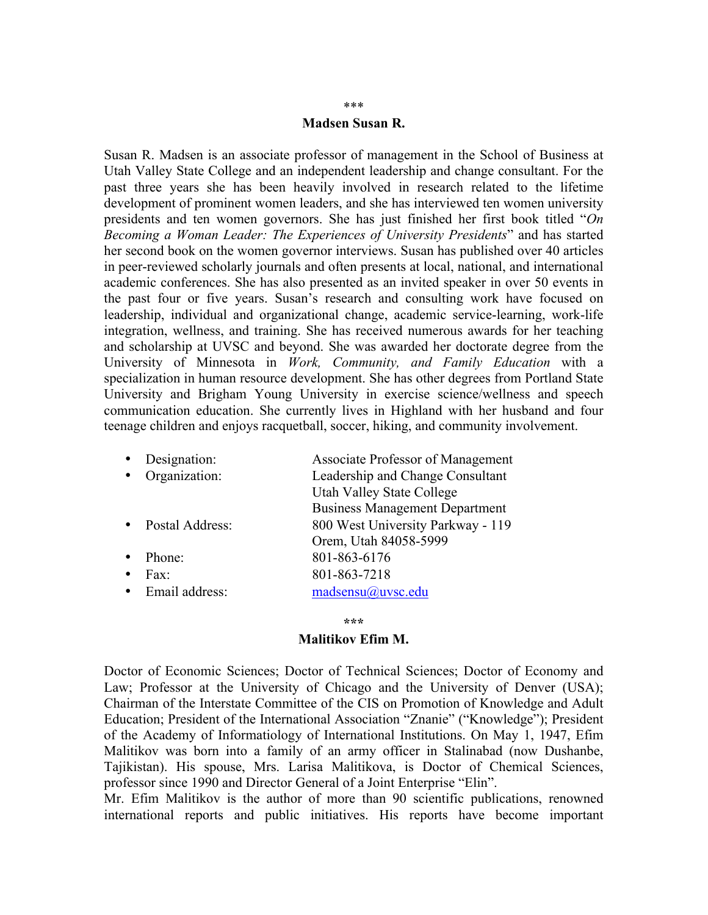## \*\*\*

### **Madsen Susan R.**

Susan R. Madsen is an associate professor of management in the School of Business at Utah Valley State College and an independent leadership and change consultant. For the past three years she has been heavily involved in research related to the lifetime development of prominent women leaders, and she has interviewed ten women university presidents and ten women governors. She has just finished her first book titled "*On Becoming a Woman Leader: The Experiences of University Presidents*" and has started her second book on the women governor interviews. Susan has published over 40 articles in peer-reviewed scholarly journals and often presents at local, national, and international academic conferences. She has also presented as an invited speaker in over 50 events in the past four or five years. Susan's research and consulting work have focused on leadership, individual and organizational change, academic service-learning, work-life integration, wellness, and training. She has received numerous awards for her teaching and scholarship at UVSC and beyond. She was awarded her doctorate degree from the University of Minnesota in *Work, Community, and Family Education* with a specialization in human resource development. She has other degrees from Portland State University and Brigham Young University in exercise science/wellness and speech communication education. She currently lives in Highland with her husband and four teenage children and enjoys racquetball, soccer, hiking, and community involvement.

| Designation:    | Associate Professor of Management     |
|-----------------|---------------------------------------|
| Organization:   | Leadership and Change Consultant      |
|                 | <b>Utah Valley State College</b>      |
|                 | <b>Business Management Department</b> |
| Postal Address: | 800 West University Parkway - 119     |
|                 | Orem, Utah 84058-5999                 |
| Phone:          | 801-863-6176                          |
| Fax:            | 801-863-7218                          |
| Email address:  | madsensu@uvsc.edu                     |

#### **\*\*\***

### **Malitikov Efim M.**

Doctor of Economic Sciences; Doctor of Technical Sciences; Doctor of Economy and Law; Professor at the University of Chicago and the University of Denver (USA); Chairman of the Interstate Committee of the CIS on Promotion of Knowledge and Adult Education; President of the International Association "Znanie" ("Knowledge"); President of the Academy of Informatiology of International Institutions. On May 1, 1947, Efim Malitikov was born into a family of an army officer in Stalinabad (now Dushanbe, Tajikistan). His spouse, Mrs. Larisa Malitikova, is Doctor of Chemical Sciences, professor since 1990 and Director General of a Joint Enterprise "Elin".

Mr. Efim Malitikov is the author of more than 90 scientific publications, renowned international reports and public initiatives. His reports have become important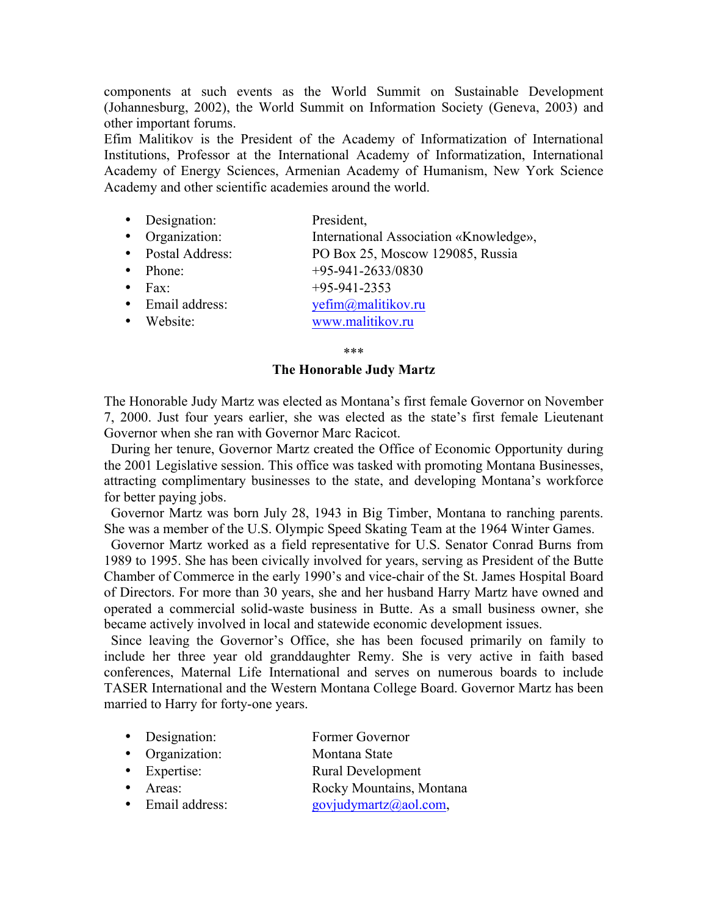components at such events as the World Summit on Sustainable Development (Johannesburg, 2002), the World Summit on Information Society (Geneva, 2003) and other important forums.

Efim Malitikov is the President of the Academy of Informatization of International Institutions, Professor at the International Academy of Informatization, International Academy of Energy Sciences, Armenian Academy of Humanism, New York Science Academy and other scientific academies around the world.

- Designation: President,
- Organization: International Association «Knowledge»,
- Postal Address: PO Box 25, Moscow 129085, Russia
- Phone:  $+95-941-2633/0830$ <br>• Fax:  $+95-941-2353$
- $+95-941-2353$
- Email address:  $v \in \text{Fim}(a)$  malitikov.ru
- Website: www.malitikov.ru

\*\*\*

### **The Honorable Judy Martz**

The Honorable Judy Martz was elected as Montana's first female Governor on November 7, 2000. Just four years earlier, she was elected as the state's first female Lieutenant Governor when she ran with Governor Marc Racicot.

 During her tenure, Governor Martz created the Office of Economic Opportunity during the 2001 Legislative session. This office was tasked with promoting Montana Businesses, attracting complimentary businesses to the state, and developing Montana's workforce for better paying jobs.

 Governor Martz was born July 28, 1943 in Big Timber, Montana to ranching parents. She was a member of the U.S. Olympic Speed Skating Team at the 1964 Winter Games.

 Governor Martz worked as a field representative for U.S. Senator Conrad Burns from 1989 to 1995. She has been civically involved for years, serving as President of the Butte Chamber of Commerce in the early 1990's and vice-chair of the St. James Hospital Board of Directors. For more than 30 years, she and her husband Harry Martz have owned and operated a commercial solid-waste business in Butte. As a small business owner, she became actively involved in local and statewide economic development issues.

 Since leaving the Governor's Office, she has been focused primarily on family to include her three year old granddaughter Remy. She is very active in faith based conferences, Maternal Life International and serves on numerous boards to include TASER International and the Western Montana College Board. Governor Martz has been married to Harry for forty-one years.

- Designation: Former Governor
- Organization: Montana State
- Expertise: Rural Development
- Areas: Rocky Mountains, Montana
- Email address: govjudymartz@aol.com,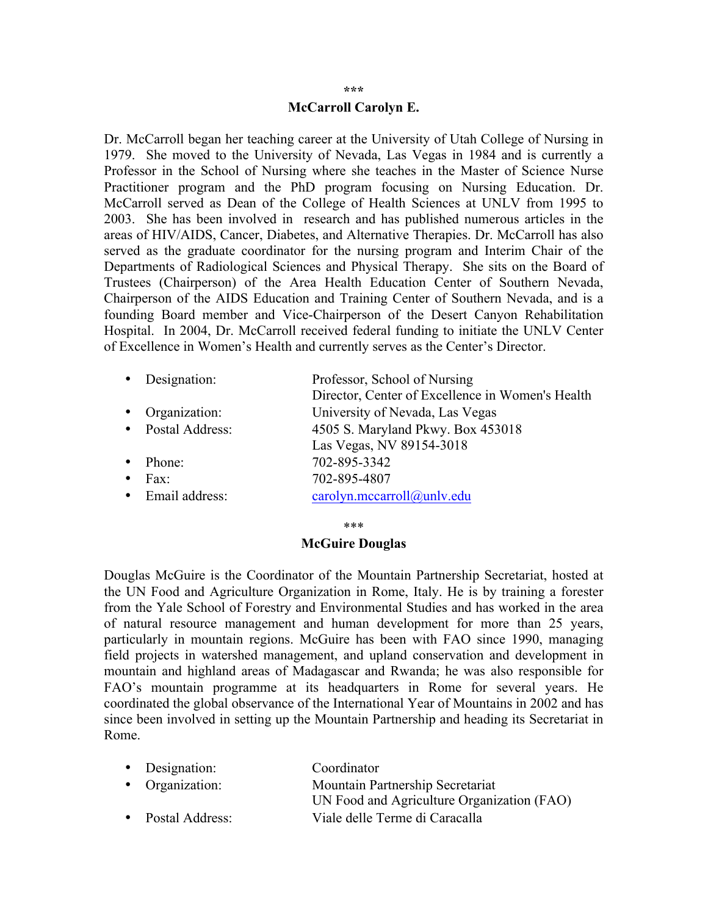#### **\*\*\***

### **McCarroll Carolyn E.**

Dr. McCarroll began her teaching career at the University of Utah College of Nursing in 1979. She moved to the University of Nevada, Las Vegas in 1984 and is currently a Professor in the School of Nursing where she teaches in the Master of Science Nurse Practitioner program and the PhD program focusing on Nursing Education. Dr. McCarroll served as Dean of the College of Health Sciences at UNLV from 1995 to 2003. She has been involved in research and has published numerous articles in the areas of HIV/AIDS, Cancer, Diabetes, and Alternative Therapies. Dr. McCarroll has also served as the graduate coordinator for the nursing program and Interim Chair of the Departments of Radiological Sciences and Physical Therapy. She sits on the Board of Trustees (Chairperson) of the Area Health Education Center of Southern Nevada, Chairperson of the AIDS Education and Training Center of Southern Nevada, and is a founding Board member and Vice-Chairperson of the Desert Canyon Rehabilitation Hospital. In 2004, Dr. McCarroll received federal funding to initiate the UNLV Center of Excellence in Women's Health and currently serves as the Center's Director.

| $\bullet$ | Designation:      | Professor, School of Nursing                     |
|-----------|-------------------|--------------------------------------------------|
|           |                   | Director, Center of Excellence in Women's Health |
| $\bullet$ | Organization:     | University of Nevada, Las Vegas                  |
|           | • Postal Address: | 4505 S. Maryland Pkwy. Box 453018                |
|           |                   | Las Vegas, NV 89154-3018                         |
|           | Phone:            | 702-895-3342                                     |
| $\bullet$ | Fax <sup>-</sup>  | 702-895-4807                                     |
|           | • Email address:  | carolyn.mccarroll@unlv.edu                       |
|           |                   |                                                  |

#### \*\*\*

### **McGuire Douglas**

Douglas McGuire is the Coordinator of the Mountain Partnership Secretariat, hosted at the UN Food and Agriculture Organization in Rome, Italy. He is by training a forester from the Yale School of Forestry and Environmental Studies and has worked in the area of natural resource management and human development for more than 25 years, particularly in mountain regions. McGuire has been with FAO since 1990, managing field projects in watershed management, and upland conservation and development in mountain and highland areas of Madagascar and Rwanda; he was also responsible for FAO's mountain programme at its headquarters in Rome for several years. He coordinated the global observance of the International Year of Mountains in 2002 and has since been involved in setting up the Mountain Partnership and heading its Secretariat in Rome.

| • Designation:    | Coordinator                                |
|-------------------|--------------------------------------------|
| • Organization:   | Mountain Partnership Secretariat           |
|                   | UN Food and Agriculture Organization (FAO) |
| • Postal Address: | Viale delle Terme di Caracalla             |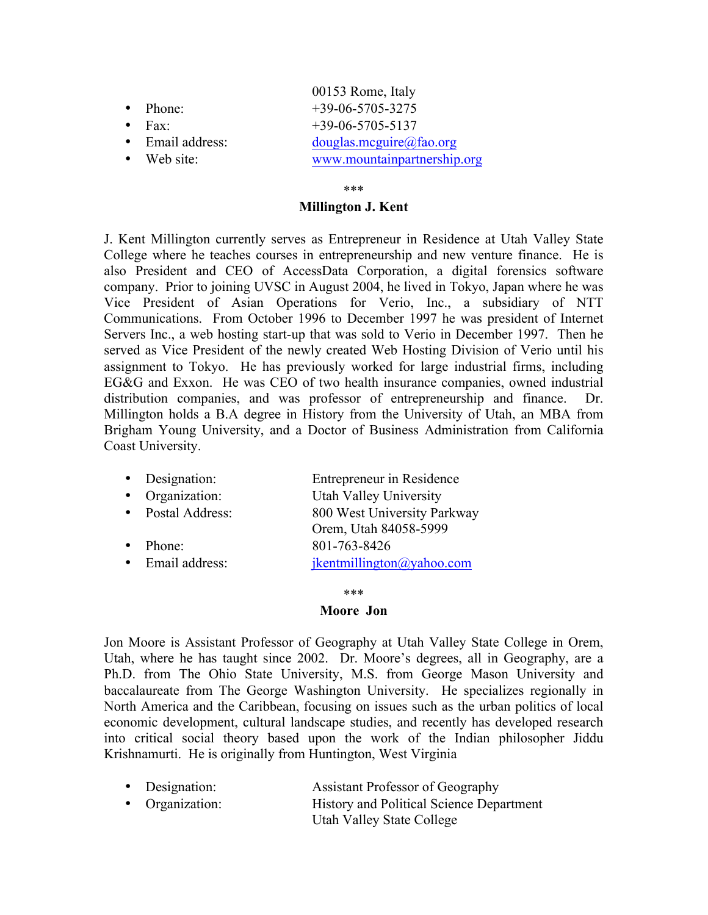|                     | 00153 Rome, Italy           |
|---------------------|-----------------------------|
| $\bullet$ Phone:    | $+39-06-5705-3275$          |
| $\bullet$ Fax       | $+39-06-5705-5137$          |
| • Email address:    | douglas.mcguire@fao.org     |
| $\bullet$ Web site: | www.mountainpartnership.org |
|                     |                             |

### \*\*\*

### **Millington J. Kent**

J. Kent Millington currently serves as Entrepreneur in Residence at Utah Valley State College where he teaches courses in entrepreneurship and new venture finance. He is also President and CEO of AccessData Corporation, a digital forensics software company. Prior to joining UVSC in August 2004, he lived in Tokyo, Japan where he was Vice President of Asian Operations for Verio, Inc., a subsidiary of NTT Communications. From October 1996 to December 1997 he was president of Internet Servers Inc., a web hosting start-up that was sold to Verio in December 1997. Then he served as Vice President of the newly created Web Hosting Division of Verio until his assignment to Tokyo. He has previously worked for large industrial firms, including EG&G and Exxon. He was CEO of two health insurance companies, owned industrial distribution companies, and was professor of entrepreneurship and finance. Dr. Millington holds a B.A degree in History from the University of Utah, an MBA from Brigham Young University, and a Doctor of Business Administration from California Coast University.

| Designation:    | Entrepreneur in Residence   |
|-----------------|-----------------------------|
| Organization:   | Utah Valley University      |
| Postal Address: | 800 West University Parkway |
|                 | Orem, Utah 84058-5999       |
| Phone:          | 801-763-8426                |
| Email address:  | jkentmillington@yahoo.com   |
|                 |                             |

\*\*\*

#### **Moore Jon**

Jon Moore is Assistant Professor of Geography at Utah Valley State College in Orem, Utah, where he has taught since 2002. Dr. Moore's degrees, all in Geography, are a Ph.D. from The Ohio State University, M.S. from George Mason University and baccalaureate from The George Washington University. He specializes regionally in North America and the Caribbean, focusing on issues such as the urban politics of local economic development, cultural landscape studies, and recently has developed research into critical social theory based upon the work of the Indian philosopher Jiddu Krishnamurti. He is originally from Huntington, West Virginia

| • Designation:  | Assistant Professor of Geography                |
|-----------------|-------------------------------------------------|
| • Organization: | <b>History and Political Science Department</b> |
|                 | <b>Utah Valley State College</b>                |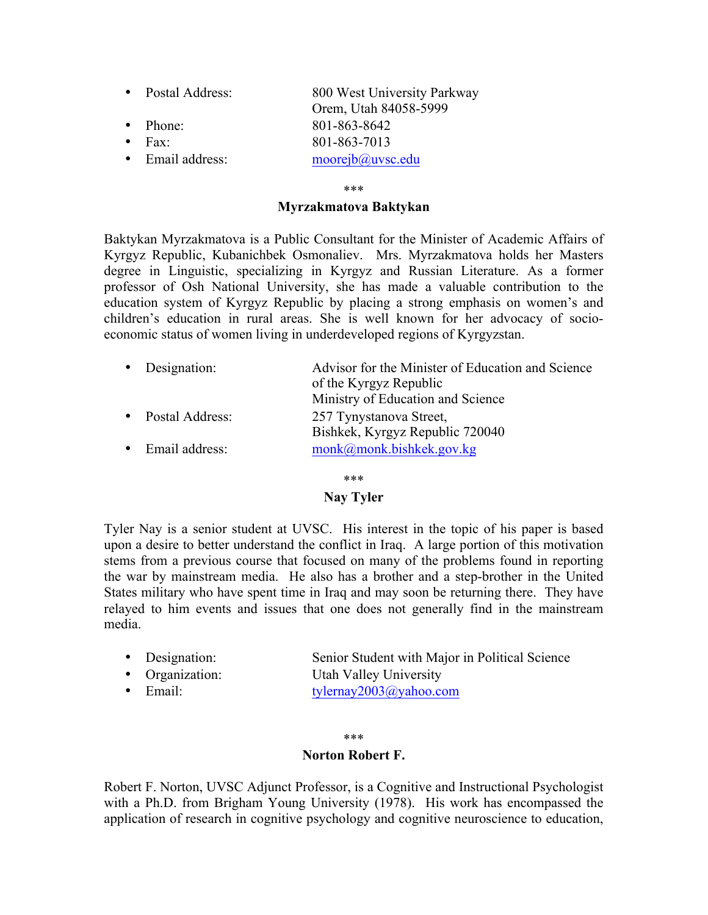• Postal Address: 800 West University Parkway Orem, Utah 84058-5999 • Phone: 801-863-8642 • Fax: 801-863-7013 • Email address: moorejb@uvsc.edu

### \*\*\*

### **Myrzakmatova Baktykan**

Baktykan Myrzakmatova is a Public Consultant for the Minister of Academic Affairs of Kyrgyz Republic, Kubanichbek Osmonaliev. Mrs. Myrzakmatova holds her Masters degree in Linguistic, specializing in Kyrgyz and Russian Literature. As a former professor of Osh National University, she has made a valuable contribution to the education system of Kyrgyz Republic by placing a strong emphasis on women's and children's education in rural areas. She is well known for her advocacy of socioeconomic status of women living in underdeveloped regions of Kyrgyzstan.

| • Designation:    | Advisor for the Minister of Education and Science<br>of the Kyrgyz Republic<br>Ministry of Education and Science |
|-------------------|------------------------------------------------------------------------------------------------------------------|
| • Postal Address: | 257 Tynystanova Street,<br>Bishkek, Kyrgyz Republic 720040                                                       |
| • Email address:  | $m$ onk $(a)$ monk.bishkek.gov.kg                                                                                |

\*\*\*

### **Nay Tyler**

Tyler Nay is a senior student at UVSC. His interest in the topic of his paper is based upon a desire to better understand the conflict in Iraq. A large portion of this motivation stems from a previous course that focused on many of the problems found in reporting the war by mainstream media. He also has a brother and a step-brother in the United States military who have spent time in Iraq and may soon be returning there. They have relayed to him events and issues that one does not generally find in the mainstream media.

| • Designation:   | Senior Student with Major in Political Science |
|------------------|------------------------------------------------|
| • Organization:  | Utah Valley University                         |
| $\bullet$ Email: | tylernay2003@yahoo.com                         |
|                  |                                                |

\*\*\*

### **Norton Robert F.**

Robert F. Norton, UVSC Adjunct Professor, is a Cognitive and Instructional Psychologist with a Ph.D. from Brigham Young University (1978). His work has encompassed the application of research in cognitive psychology and cognitive neuroscience to education,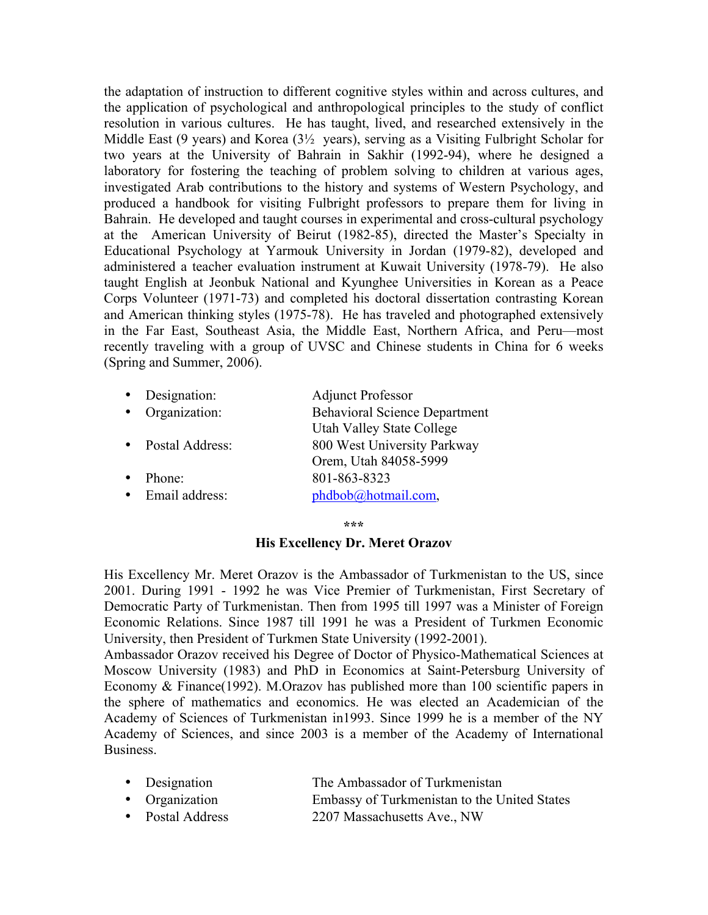the adaptation of instruction to different cognitive styles within and across cultures, and the application of psychological and anthropological principles to the study of conflict resolution in various cultures. He has taught, lived, and researched extensively in the Middle East (9 years) and Korea (3½ years), serving as a Visiting Fulbright Scholar for two years at the University of Bahrain in Sakhir (1992-94), where he designed a laboratory for fostering the teaching of problem solving to children at various ages, investigated Arab contributions to the history and systems of Western Psychology, and produced a handbook for visiting Fulbright professors to prepare them for living in Bahrain. He developed and taught courses in experimental and cross-cultural psychology at the American University of Beirut (1982-85), directed the Master's Specialty in Educational Psychology at Yarmouk University in Jordan (1979-82), developed and administered a teacher evaluation instrument at Kuwait University (1978-79). He also taught English at Jeonbuk National and Kyunghee Universities in Korean as a Peace Corps Volunteer (1971-73) and completed his doctoral dissertation contrasting Korean and American thinking styles (1975-78). He has traveled and photographed extensively in the Far East, Southeast Asia, the Middle East, Northern Africa, and Peru—most recently traveling with a group of UVSC and Chinese students in China for 6 weeks (Spring and Summer, 2006).

| Designation:    | <b>Adjunct Professor</b>             |
|-----------------|--------------------------------------|
| Organization:   | <b>Behavioral Science Department</b> |
|                 | <b>Utah Valley State College</b>     |
| Postal Address: | 800 West University Parkway          |
|                 | Orem, Utah 84058-5999                |
| Phone:          | 801-863-8323                         |
| Email address:  | phdbob@hotmail.com,                  |

**\*\*\***

### **His Excellency Dr. Meret Orazov**

His Excellency Mr. Meret Orazov is the Ambassador of Turkmenistan to the US, since 2001. During 1991 - 1992 he was Vice Premier of Turkmenistan, First Secretary of Democratic Party of Turkmenistan. Then from 1995 till 1997 was a Minister of Foreign Economic Relations. Since 1987 till 1991 he was a President of Turkmen Economic University, then President of Turkmen State University (1992-2001).

Ambassador Orazov received his Degree of Doctor of Physico-Mathematical Sciences at Moscow University (1983) and PhD in Economics at Saint-Petersburg University of Economy & Finance(1992). M.Orazov has published more than 100 scientific papers in the sphere of mathematics and economics. He was elected an Academician of the Academy of Sciences of Turkmenistan in1993. Since 1999 he is a member of the NY Academy of Sciences, and since 2003 is a member of the Academy of International Business.

|  | • Designation | The Ambassador of Turkmenistan |
|--|---------------|--------------------------------|
|--|---------------|--------------------------------|

- Organization Embassy of Turkmenistan to the United States
- Postal Address 2207 Massachusetts Ave., NW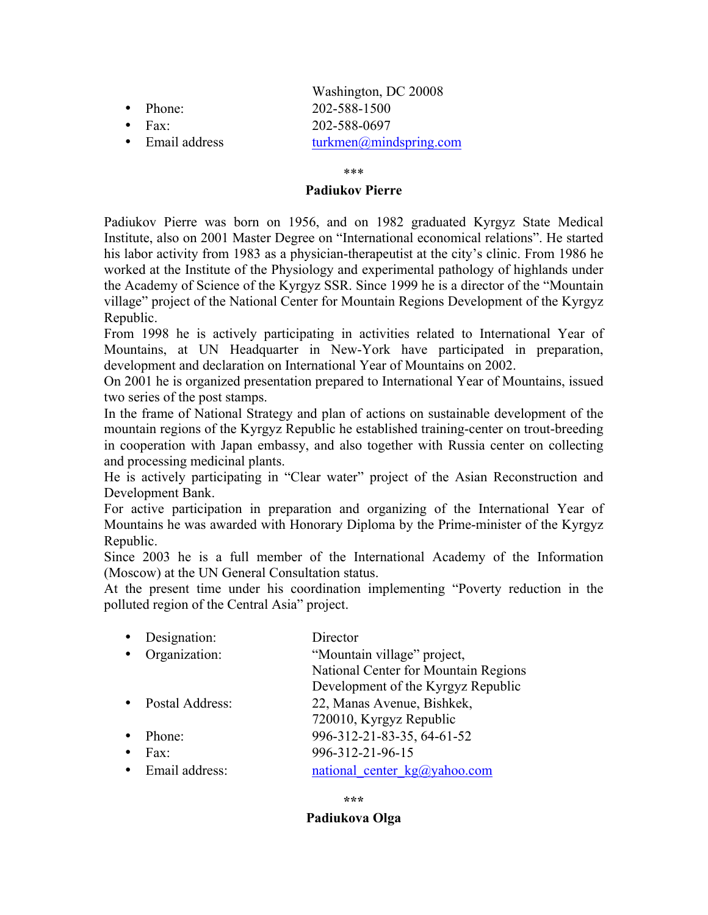- Washington, DC 20008 • Phone: 202-588-1500
- Fax: 202-588-0697
- 

• Email address turkmen@mindspring.com

\*\*\*

# **Padiukov Pierre**

Padiukov Pierre was born on 1956, and on 1982 graduated Kyrgyz State Medical Institute, also on 2001 Master Degree on "International economical relations". He started his labor activity from 1983 as a physician-therapeutist at the city's clinic. From 1986 he worked at the Institute of the Physiology and experimental pathology of highlands under the Academy of Science of the Kyrgyz SSR. Since 1999 he is a director of the "Mountain village" project of the National Center for Mountain Regions Development of the Kyrgyz Republic.

From 1998 he is actively participating in activities related to International Year of Mountains, at UN Headquarter in New-York have participated in preparation, development and declaration on International Year of Mountains on 2002.

On 2001 he is organized presentation prepared to International Year of Mountains, issued two series of the post stamps.

In the frame of National Strategy and plan of actions on sustainable development of the mountain regions of the Kyrgyz Republic he established training-center on trout-breeding in cooperation with Japan embassy, and also together with Russia center on collecting and processing medicinal plants.

He is actively participating in "Clear water" project of the Asian Reconstruction and Development Bank.

For active participation in preparation and organizing of the International Year of Mountains he was awarded with Honorary Diploma by the Prime-minister of the Kyrgyz Republic.

Since 2003 he is a full member of the International Academy of the Information (Moscow) at the UN General Consultation status.

At the present time under his coordination implementing "Poverty reduction in the polluted region of the Central Asia" project.

| Designation:    | Director                             |
|-----------------|--------------------------------------|
| Organization:   | "Mountain village" project,          |
|                 | National Center for Mountain Regions |
|                 | Development of the Kyrgyz Republic   |
| Postal Address: | 22, Manas Avenue, Bishkek,           |
|                 | 720010, Kyrgyz Republic              |
| Phone:          | 996-312-21-83-35, 64-61-52           |
| $Fax^{\dagger}$ | 996-312-21-96-15                     |
| Email address:  | national center kg@yahoo.com         |

**\*\*\***

# **Padiukova Olga**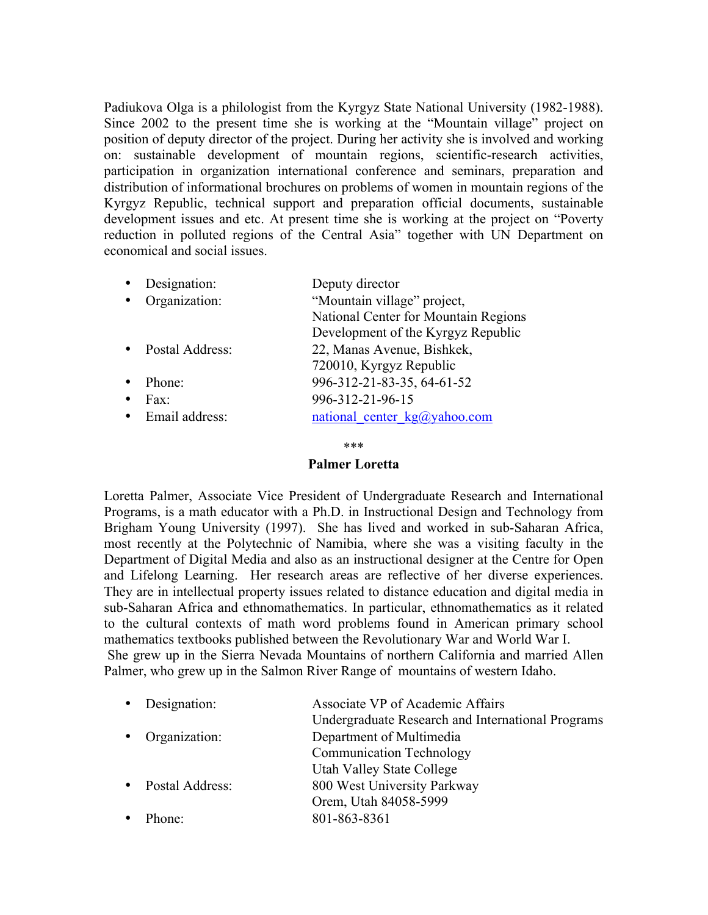Padiukova Olga is a philologist from the Kyrgyz State National University (1982-1988). Since 2002 to the present time she is working at the "Mountain village" project on position of deputy director of the project. During her activity she is involved and working on: sustainable development of mountain regions, scientific-research activities, participation in organization international conference and seminars, preparation and distribution of informational brochures on problems of women in mountain regions of the Kyrgyz Republic, technical support and preparation official documents, sustainable development issues and etc. At present time she is working at the project on "Poverty reduction in polluted regions of the Central Asia" together with UN Department on economical and social issues.

| Designation:    | Deputy director                      |
|-----------------|--------------------------------------|
| Organization:   | "Mountain village" project,          |
|                 | National Center for Mountain Regions |
|                 | Development of the Kyrgyz Republic   |
| Postal Address: | 22, Manas Avenue, Bishkek,           |
|                 | 720010, Kyrgyz Republic              |
| Phone:          | 996-312-21-83-35, 64-61-52           |
| Fax:            | 996-312-21-96-15                     |
| Email address:  | national_center_kg@yahoo.com         |
|                 |                                      |

\*\*\*

# **Palmer Loretta**

Loretta Palmer, Associate Vice President of Undergraduate Research and International Programs, is a math educator with a Ph.D. in Instructional Design and Technology from Brigham Young University (1997). She has lived and worked in sub-Saharan Africa, most recently at the Polytechnic of Namibia, where she was a visiting faculty in the Department of Digital Media and also as an instructional designer at the Centre for Open and Lifelong Learning. Her research areas are reflective of her diverse experiences. They are in intellectual property issues related to distance education and digital media in sub-Saharan Africa and ethnomathematics. In particular, ethnomathematics as it related to the cultural contexts of math word problems found in American primary school mathematics textbooks published between the Revolutionary War and World War I. She grew up in the Sierra Nevada Mountains of northern California and married Allen Palmer, who grew up in the Salmon River Range of mountains of western Idaho.

|        | Associate VP of Academic Affairs                       |
|--------|--------------------------------------------------------|
|        | Undergraduate Research and International Programs      |
|        | Department of Multimedia                               |
|        | <b>Communication Technology</b>                        |
|        | <b>Utah Valley State College</b>                       |
|        | 800 West University Parkway                            |
|        | Orem, Utah 84058-5999                                  |
| Phone: | 801-863-8361                                           |
|        | • Designation:<br>• Organization:<br>• Postal Address: |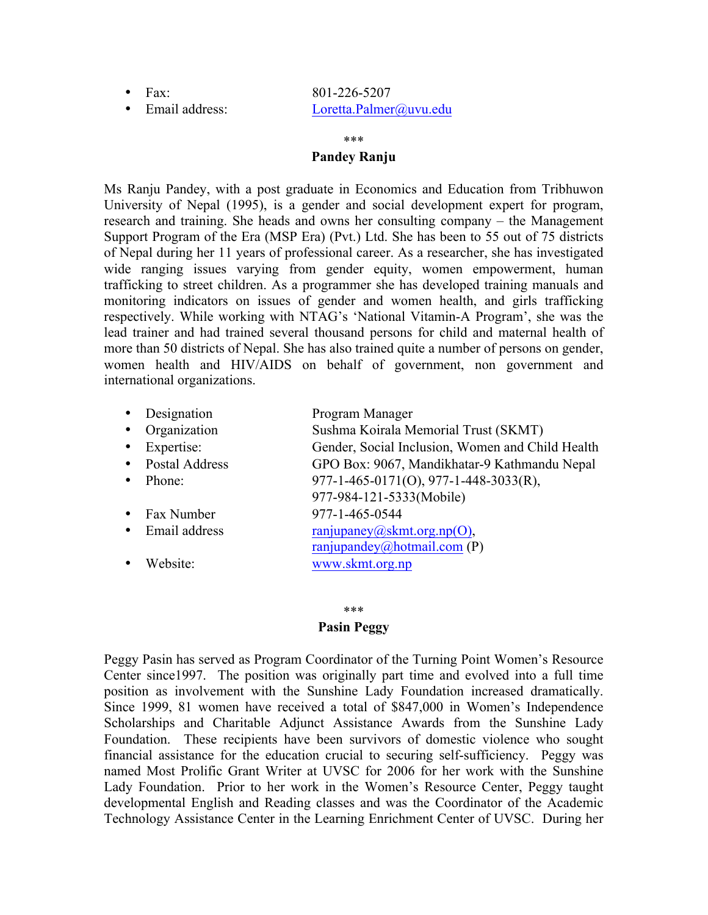# • Fax: 801-226-5207 • Email address: Loretta.Palmer@uvu.edu

#### \*\*\*

### **Pandey Ranju**

Ms Ranju Pandey, with a post graduate in Economics and Education from Tribhuwon University of Nepal (1995), is a gender and social development expert for program, research and training. She heads and owns her consulting company – the Management Support Program of the Era (MSP Era) (Pvt.) Ltd. She has been to 55 out of 75 districts of Nepal during her 11 years of professional career. As a researcher, she has investigated wide ranging issues varying from gender equity, women empowerment, human trafficking to street children. As a programmer she has developed training manuals and monitoring indicators on issues of gender and women health, and girls trafficking respectively. While working with NTAG's 'National Vitamin-A Program', she was the lead trainer and had trained several thousand persons for child and maternal health of more than 50 districts of Nepal. She has also trained quite a number of persons on gender, women health and HIV/AIDS on behalf of government, non government and international organizations.

| $\bullet$ | Designation      | Program Manager                                         |
|-----------|------------------|---------------------------------------------------------|
|           | • Organization   | Sushma Koirala Memorial Trust (SKMT)                    |
| $\bullet$ | Expertise:       | Gender, Social Inclusion, Women and Child Health        |
|           | • Postal Address | GPO Box: 9067, Mandikhatar-9 Kathmandu Nepal            |
|           | • Phone:         | $977 - 1 - 465 - 0171(0)$ , $977 - 1 - 448 - 3033(R)$ , |
|           |                  | 977-984-121-5333(Mobile)                                |
|           | • Fax Number     | 977-1-465-0544                                          |
|           | • Email address  | $\text{ranjupaney}(a)$ skmt.org.np(O),                  |
|           |                  | ranjupandey@hotmail.com (P)                             |
|           | Website:         | www.skmt.org.np                                         |

# \*\*\*

# **Pasin Peggy**

Peggy Pasin has served as Program Coordinator of the Turning Point Women's Resource Center since1997. The position was originally part time and evolved into a full time position as involvement with the Sunshine Lady Foundation increased dramatically. Since 1999, 81 women have received a total of \$847,000 in Women's Independence Scholarships and Charitable Adjunct Assistance Awards from the Sunshine Lady Foundation. These recipients have been survivors of domestic violence who sought financial assistance for the education crucial to securing self-sufficiency. Peggy was named Most Prolific Grant Writer at UVSC for 2006 for her work with the Sunshine Lady Foundation. Prior to her work in the Women's Resource Center, Peggy taught developmental English and Reading classes and was the Coordinator of the Academic Technology Assistance Center in the Learning Enrichment Center of UVSC. During her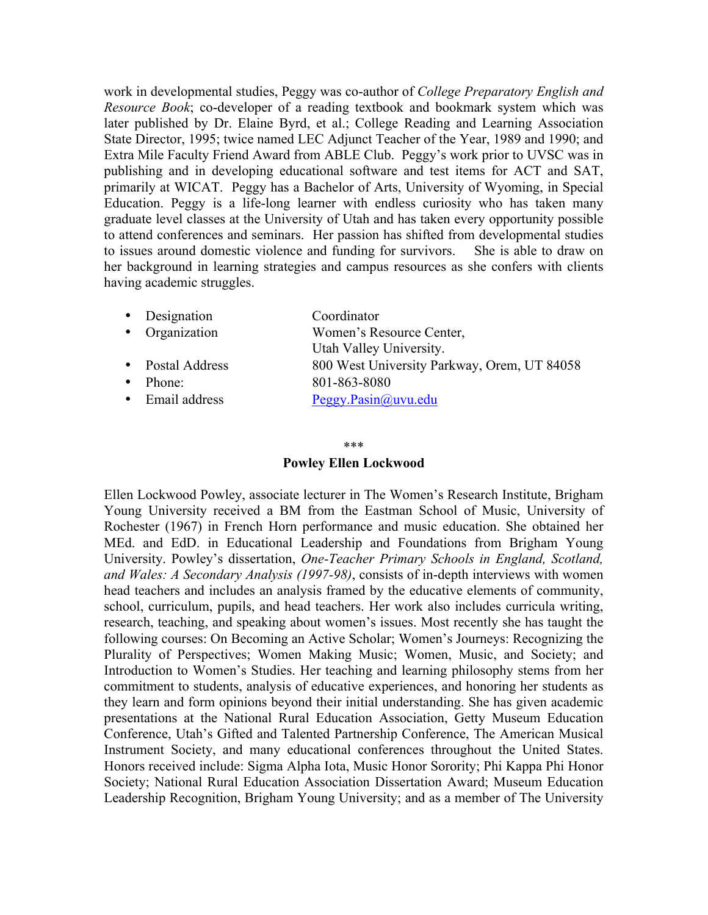work in developmental studies, Peggy was co-author of *College Preparatory English and Resource Book*; co-developer of a reading textbook and bookmark system which was later published by Dr. Elaine Byrd, et al.; College Reading and Learning Association State Director, 1995; twice named LEC Adjunct Teacher of the Year, 1989 and 1990; and Extra Mile Faculty Friend Award from ABLE Club. Peggy's work prior to UVSC was in publishing and in developing educational software and test items for ACT and SAT, primarily at WICAT. Peggy has a Bachelor of Arts, University of Wyoming, in Special Education. Peggy is a life-long learner with endless curiosity who has taken many graduate level classes at the University of Utah and has taken every opportunity possible to attend conferences and seminars. Her passion has shifted from developmental studies to issues around domestic violence and funding for survivors. She is able to draw on her background in learning strategies and campus resources as she confers with clients having academic struggles.

|           | • Designation    | Coordinator                                 |
|-----------|------------------|---------------------------------------------|
|           | • Organization   | Women's Resource Center,                    |
|           |                  | Utah Valley University.                     |
|           | • Postal Address | 800 West University Parkway, Orem, UT 84058 |
| $\bullet$ | Phone:           | 801-863-8080                                |
|           | • Email address  | Peggy.Pasin@uvu.edu                         |
|           |                  |                                             |

#### \*\*\*

### **Powley Ellen Lockwood**

Ellen Lockwood Powley, associate lecturer in The Women's Research Institute, Brigham Young University received a BM from the Eastman School of Music, University of Rochester (1967) in French Horn performance and music education. She obtained her MEd. and EdD. in Educational Leadership and Foundations from Brigham Young University. Powley's dissertation, *One-Teacher Primary Schools in England, Scotland, and Wales: A Secondary Analysis (1997-98)*, consists of in-depth interviews with women head teachers and includes an analysis framed by the educative elements of community, school, curriculum, pupils, and head teachers. Her work also includes curricula writing, research, teaching, and speaking about women's issues. Most recently she has taught the following courses: On Becoming an Active Scholar; Women's Journeys: Recognizing the Plurality of Perspectives; Women Making Music; Women, Music, and Society; and Introduction to Women's Studies. Her teaching and learning philosophy stems from her commitment to students, analysis of educative experiences, and honoring her students as they learn and form opinions beyond their initial understanding. She has given academic presentations at the National Rural Education Association, Getty Museum Education Conference, Utah's Gifted and Talented Partnership Conference, The American Musical Instrument Society, and many educational conferences throughout the United States. Honors received include: Sigma Alpha Iota, Music Honor Sorority; Phi Kappa Phi Honor Society; National Rural Education Association Dissertation Award; Museum Education Leadership Recognition, Brigham Young University; and as a member of The University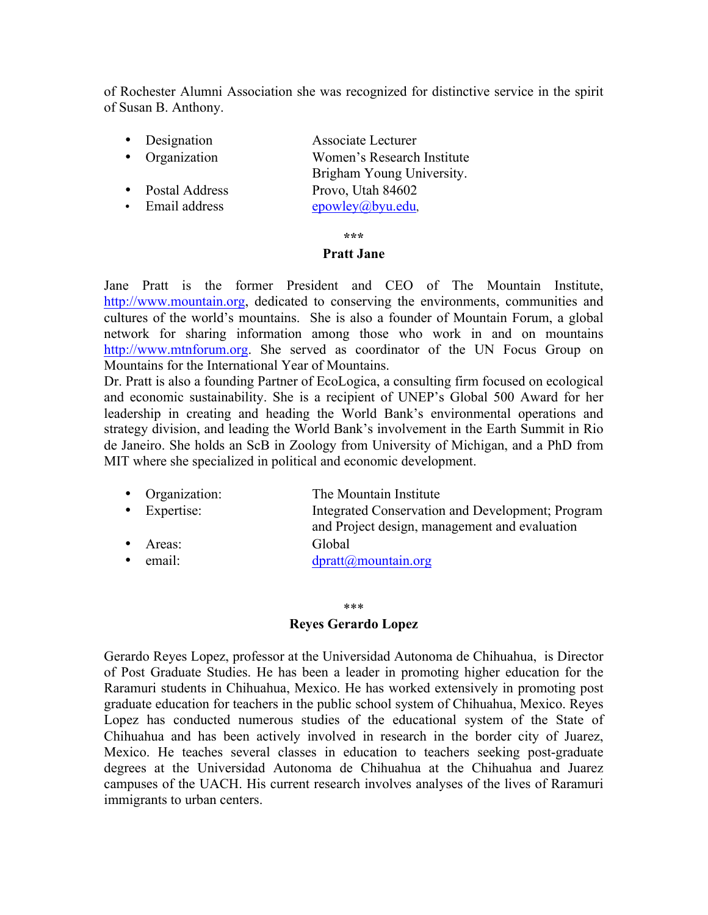of Rochester Alumni Association she was recognized for distinctive service in the spirit of Susan B. Anthony.

| • Designation  | Associate Lecturer         |
|----------------|----------------------------|
| • Organization | Women's Research Institute |
|                | Brigham Young University.  |
| Postal Address | Provo, Utah 84602          |
| Email address  | epowley@byu.edu,           |
|                |                            |

**\*\*\***

### **Pratt Jane**

Jane Pratt is the former President and CEO of The Mountain Institute, http://www.mountain.org, dedicated to conserving the environments, communities and cultures of the world's mountains. She is also a founder of Mountain Forum, a global network for sharing information among those who work in and on mountains http://www.mtnforum.org. She served as coordinator of the UN Focus Group on Mountains for the International Year of Mountains.

Dr. Pratt is also a founding Partner of EcoLogica, a consulting firm focused on ecological and economic sustainability. She is a recipient of UNEP's Global 500 Award for her leadership in creating and heading the World Bank's environmental operations and strategy division, and leading the World Bank's involvement in the Earth Summit in Rio de Janeiro. She holds an ScB in Zoology from University of Michigan, and a PhD from MIT where she specialized in political and economic development.

| • Organization:  | The Mountain Institute                                                                            |
|------------------|---------------------------------------------------------------------------------------------------|
| • Expertise:     | Integrated Conservation and Development; Program<br>and Project design, management and evaluation |
| $•$ Areas:       | Global                                                                                            |
| $\bullet$ email: | $d$ pratt@mountain.org                                                                            |

#### \*\*\*

### **Reyes Gerardo Lopez**

Gerardo Reyes Lopez, professor at the Universidad Autonoma de Chihuahua, is Director of Post Graduate Studies. He has been a leader in promoting higher education for the Raramuri students in Chihuahua, Mexico. He has worked extensively in promoting post graduate education for teachers in the public school system of Chihuahua, Mexico. Reyes Lopez has conducted numerous studies of the educational system of the State of Chihuahua and has been actively involved in research in the border city of Juarez, Mexico. He teaches several classes in education to teachers seeking post-graduate degrees at the Universidad Autonoma de Chihuahua at the Chihuahua and Juarez campuses of the UACH. His current research involves analyses of the lives of Raramuri immigrants to urban centers.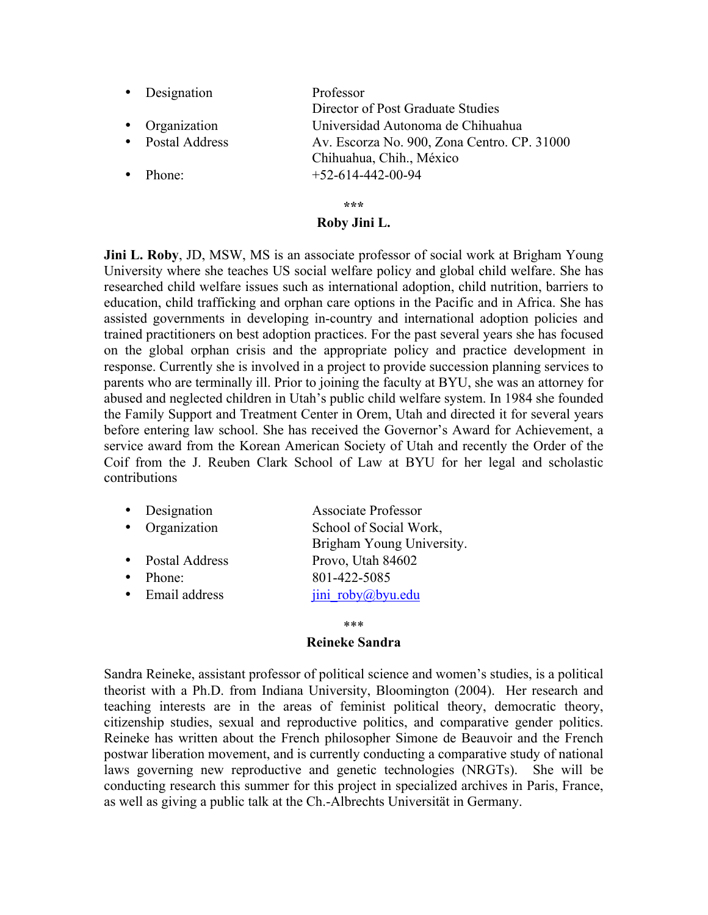|           | • Designation    | Professor                                   |
|-----------|------------------|---------------------------------------------|
|           |                  | Director of Post Graduate Studies           |
|           | • Organization   | Universidad Autonoma de Chihuahua           |
|           | • Postal Address | Av. Escorza No. 900, Zona Centro. CP. 31000 |
|           |                  | Chihuahua, Chih., México                    |
| $\bullet$ | Phone:           | $+52-614-442-00-94$                         |
|           |                  |                                             |
|           |                  | ***                                         |

# **Roby Jini L.**

**Jini L. Roby**, JD, MSW, MS is an associate professor of social work at Brigham Young University where she teaches US social welfare policy and global child welfare. She has researched child welfare issues such as international adoption, child nutrition, barriers to education, child trafficking and orphan care options in the Pacific and in Africa. She has assisted governments in developing in-country and international adoption policies and trained practitioners on best adoption practices. For the past several years she has focused on the global orphan crisis and the appropriate policy and practice development in response. Currently she is involved in a project to provide succession planning services to parents who are terminally ill. Prior to joining the faculty at BYU, she was an attorney for abused and neglected children in Utah's public child welfare system. In 1984 she founded the Family Support and Treatment Center in Orem, Utah and directed it for several years before entering law school. She has received the Governor's Award for Achievement, a service award from the Korean American Society of Utah and recently the Order of the Coif from the J. Reuben Clark School of Law at BYU for her legal and scholastic contributions

| Designation      | <b>Associate Professor</b> |
|------------------|----------------------------|
| • Organization   | School of Social Work,     |
|                  | Brigham Young University.  |
| • Postal Address | Provo, Utah 84602          |
| Phone:           | 801-422-5085               |
| Email address    | jini roby@byu.edu          |
|                  |                            |

### \*\*\*

### **Reineke Sandra**

Sandra Reineke, assistant professor of political science and women's studies, is a political theorist with a Ph.D. from Indiana University, Bloomington (2004). Her research and teaching interests are in the areas of feminist political theory, democratic theory, citizenship studies, sexual and reproductive politics, and comparative gender politics. Reineke has written about the French philosopher Simone de Beauvoir and the French postwar liberation movement, and is currently conducting a comparative study of national laws governing new reproductive and genetic technologies (NRGTs). She will be conducting research this summer for this project in specialized archives in Paris, France, as well as giving a public talk at the Ch.-Albrechts Universität in Germany.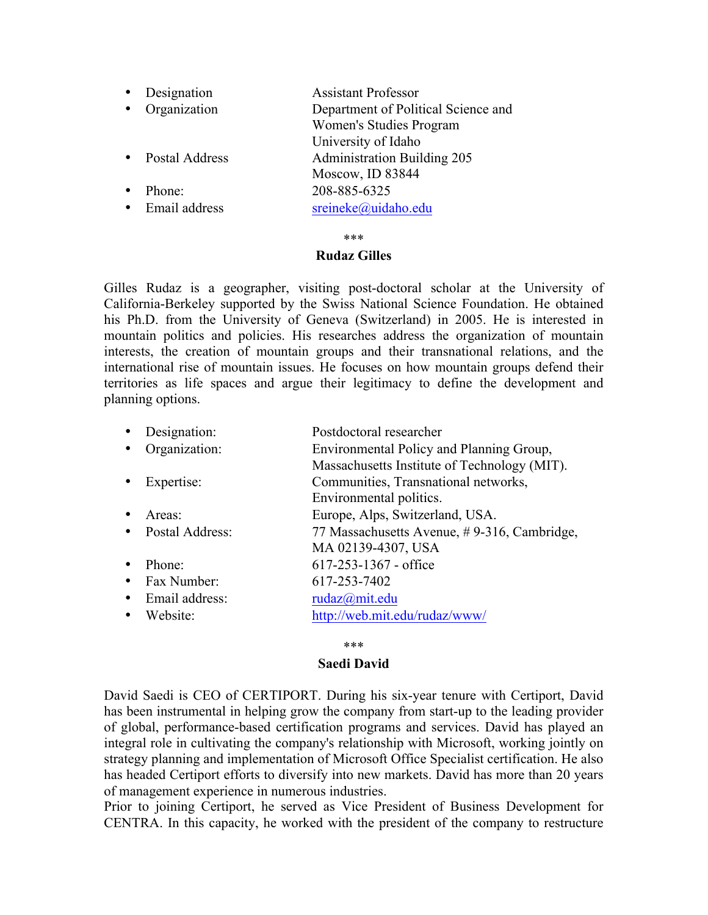| Designation           | <b>Assistant Professor</b>          |
|-----------------------|-------------------------------------|
| Organization          | Department of Political Science and |
|                       | Women's Studies Program             |
|                       | University of Idaho                 |
| <b>Postal Address</b> | <b>Administration Building 205</b>  |
|                       | Moscow, ID 83844                    |
| Phone:                | 208-885-6325                        |
| Email address         | sreineke@uidaho.edu                 |

\*\*\*

### **Rudaz Gilles**

Gilles Rudaz is a geographer, visiting post-doctoral scholar at the University of California-Berkeley supported by the Swiss National Science Foundation. He obtained his Ph.D. from the University of Geneva (Switzerland) in 2005. He is interested in mountain politics and policies. His researches address the organization of mountain interests, the creation of mountain groups and their transnational relations, and the international rise of mountain issues. He focuses on how mountain groups defend their territories as life spaces and argue their legitimacy to define the development and planning options.

| Designation:      | Postdoctoral researcher                      |
|-------------------|----------------------------------------------|
| Organization:     | Environmental Policy and Planning Group,     |
|                   | Massachusetts Institute of Technology (MIT). |
| Expertise:        | Communities, Transnational networks,         |
|                   | Environmental politics.                      |
| Areas:            | Europe, Alps, Switzerland, USA.              |
| • Postal Address: | 77 Massachusetts Avenue, #9-316, Cambridge,  |
|                   | MA 02139-4307, USA                           |
| Phone:            | $617 - 253 - 1367$ - office                  |
| Fax Number:       | 617-253-7402                                 |
| Email address:    | rudaz@mit.edu                                |
| Website:          | http://web.mit.edu/rudaz/www/                |
|                   |                                              |

### \*\*\*

### **Saedi David**

David Saedi is CEO of CERTIPORT. During his six-year tenure with Certiport, David has been instrumental in helping grow the company from start-up to the leading provider of global, performance-based certification programs and services. David has played an integral role in cultivating the company's relationship with Microsoft, working jointly on strategy planning and implementation of Microsoft Office Specialist certification. He also has headed Certiport efforts to diversify into new markets. David has more than 20 years of management experience in numerous industries.

Prior to joining Certiport, he served as Vice President of Business Development for CENTRA. In this capacity, he worked with the president of the company to restructure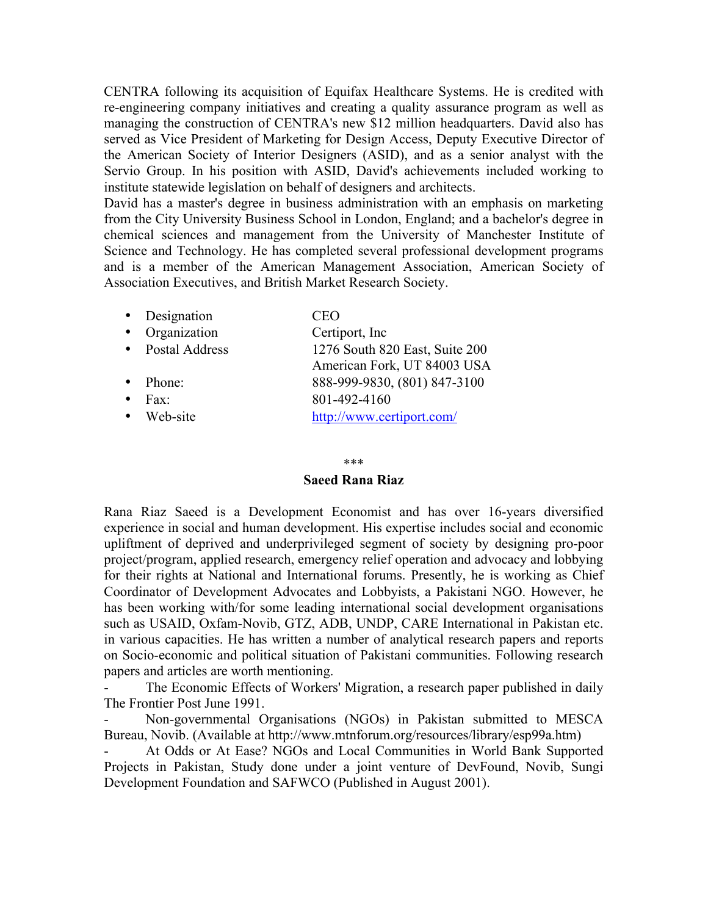CENTRA following its acquisition of Equifax Healthcare Systems. He is credited with re-engineering company initiatives and creating a quality assurance program as well as managing the construction of CENTRA's new \$12 million headquarters. David also has served as Vice President of Marketing for Design Access, Deputy Executive Director of the American Society of Interior Designers (ASID), and as a senior analyst with the Servio Group. In his position with ASID, David's achievements included working to institute statewide legislation on behalf of designers and architects.

David has a master's degree in business administration with an emphasis on marketing from the City University Business School in London, England; and a bachelor's degree in chemical sciences and management from the University of Manchester Institute of Science and Technology. He has completed several professional development programs and is a member of the American Management Association, American Society of Association Executives, and British Market Research Society.

|           | • Designation         | CEO                                                           |
|-----------|-----------------------|---------------------------------------------------------------|
| $\bullet$ | Organization          | Certiport, Inc.                                               |
| $\bullet$ | <b>Postal Address</b> | 1276 South 820 East, Suite 200<br>American Fork, UT 84003 USA |
| $\bullet$ | Phone:                | 888-999-9830, (801) 847-3100                                  |
|           | $Fax^{\cdot}$         | 801-492-4160                                                  |
|           | Web-site              | http://www.certiport.com/                                     |
|           |                       |                                                               |

#### \*\*\*

### **Saeed Rana Riaz**

Rana Riaz Saeed is a Development Economist and has over 16-years diversified experience in social and human development. His expertise includes social and economic upliftment of deprived and underprivileged segment of society by designing pro-poor project/program, applied research, emergency relief operation and advocacy and lobbying for their rights at National and International forums. Presently, he is working as Chief Coordinator of Development Advocates and Lobbyists, a Pakistani NGO. However, he has been working with/for some leading international social development organisations such as USAID, Oxfam-Novib, GTZ, ADB, UNDP, CARE International in Pakistan etc. in various capacities. He has written a number of analytical research papers and reports on Socio-economic and political situation of Pakistani communities. Following research papers and articles are worth mentioning.

The Economic Effects of Workers' Migration, a research paper published in daily The Frontier Post June 1991.

Non-governmental Organisations (NGOs) in Pakistan submitted to MESCA Bureau, Novib. (Available at http://www.mtnforum.org/resources/library/esp99a.htm)

- At Odds or At Ease? NGOs and Local Communities in World Bank Supported Projects in Pakistan, Study done under a joint venture of DevFound, Novib, Sungi Development Foundation and SAFWCO (Published in August 2001).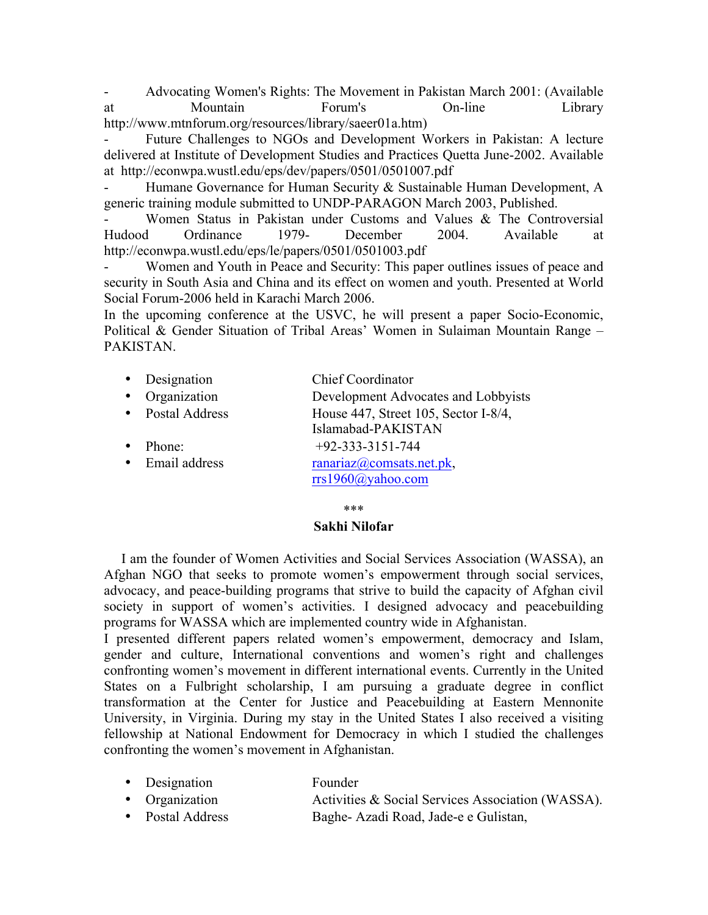- Advocating Women's Rights: The Movement in Pakistan March 2001: (Available at Mountain Forum's On-line Library http://www.mtnforum.org/resources/library/saeer01a.htm)

Future Challenges to NGOs and Development Workers in Pakistan: A lecture delivered at Institute of Development Studies and Practices Quetta June-2002. Available at http://econwpa.wustl.edu/eps/dev/papers/0501/0501007.pdf

- Humane Governance for Human Security & Sustainable Human Development, A generic training module submitted to UNDP-PARAGON March 2003, Published.

Women Status in Pakistan under Customs and Values & The Controversial Hudood Ordinance 1979- December 2004. Available at http://econwpa.wustl.edu/eps/le/papers/0501/0501003.pdf

- Women and Youth in Peace and Security: This paper outlines issues of peace and security in South Asia and China and its effect on women and youth. Presented at World Social Forum-2006 held in Karachi March 2006.

In the upcoming conference at the USVC, he will present a paper Socio-Economic, Political & Gender Situation of Tribal Areas' Women in Sulaiman Mountain Range – PAKISTAN.

- Designation Chief Coordinator
- Organization Development Advocates and Lobbyists
- Postal Address House 447, Street 105, Sector I-8/4,
- 

• Phone:  $+92-333-3151-744$ • Email address ranariaz@comsats.net.pk,

Islamabad-PAKISTAN

rrs1960@yahoo.com

### \*\*\*

# **Sakhi Nilofar**

 I am the founder of Women Activities and Social Services Association (WASSA), an Afghan NGO that seeks to promote women's empowerment through social services, advocacy, and peace-building programs that strive to build the capacity of Afghan civil society in support of women's activities. I designed advocacy and peacebuilding programs for WASSA which are implemented country wide in Afghanistan.

I presented different papers related women's empowerment, democracy and Islam, gender and culture, International conventions and women's right and challenges confronting women's movement in different international events. Currently in the United States on a Fulbright scholarship, I am pursuing a graduate degree in conflict transformation at the Center for Justice and Peacebuilding at Eastern Mennonite University, in Virginia. During my stay in the United States I also received a visiting fellowship at National Endowment for Democracy in which I studied the challenges confronting the women's movement in Afghanistan.

| • Designation  | Founder                                           |
|----------------|---------------------------------------------------|
| • Organization | Activities & Social Services Association (WASSA). |

• Postal Address Baghe- Azadi Road, Jade-e e Gulistan,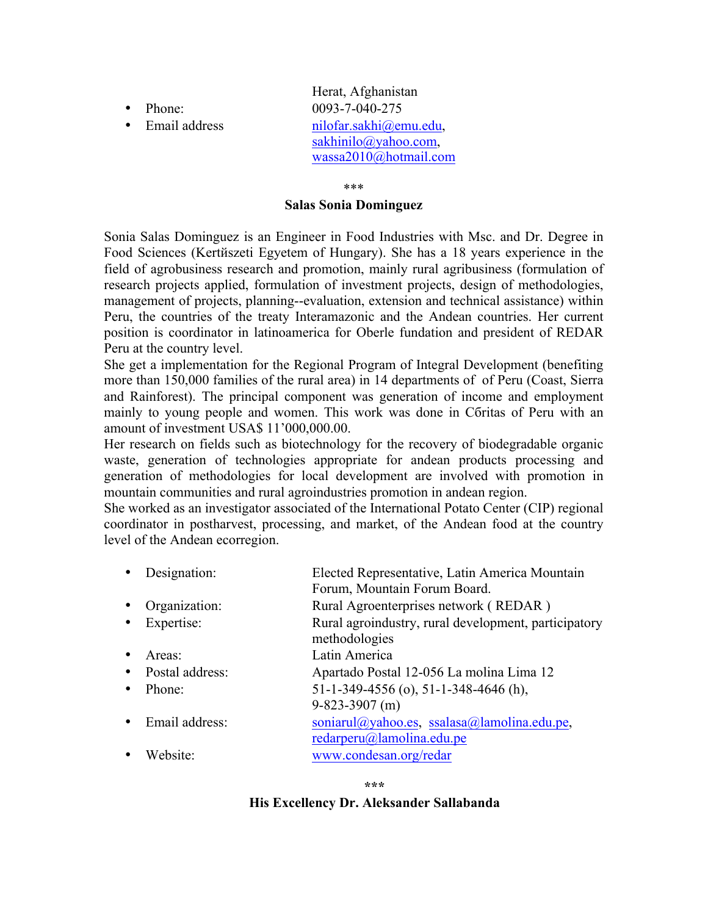- 
- 

Herat, Afghanistan • Phone: 0093-7-040-275 • Email address nilofar.sakhi@emu.edu, sakhinilo@yahoo.com, wassa2010@hotmail.com

\*\*\*

### **Salas Sonia Dominguez**

Sonia Salas Dominguez is an Engineer in Food Industries with Msc. and Dr. Degree in Food Sciences (Kertйszeti Egyetem of Hungary). She has a 18 years experience in the field of agrobusiness research and promotion, mainly rural agribusiness (formulation of research projects applied, formulation of investment projects, design of methodologies, management of projects, planning--evaluation, extension and technical assistance) within Peru, the countries of the treaty Interamazonic and the Andean countries. Her current position is coordinator in latinoamerica for Oberle fundation and president of REDAR Peru at the country level.

She get a implementation for the Regional Program of Integral Development (benefiting more than 150,000 families of the rural area) in 14 departments of of Peru (Coast, Sierra and Rainforest). The principal component was generation of income and employment mainly to young people and women. This work was done in Cбritas of Peru with an amount of investment USA\$ 11'000,000.00.

Her research on fields such as biotechnology for the recovery of biodegradable organic waste, generation of technologies appropriate for andean products processing and generation of methodologies for local development are involved with promotion in mountain communities and rural agroindustries promotion in andean region.

She worked as an investigator associated of the International Potato Center (CIP) regional coordinator in postharvest, processing, and market, of the Andean food at the country level of the Andean ecorregion.

| Designation:         | Elected Representative, Latin America Mountain                        |
|----------------------|-----------------------------------------------------------------------|
|                      | Forum, Mountain Forum Board.                                          |
| Organization:        | Rural Agroenterprises network (REDAR)                                 |
| Expertise:           | Rural agroindustry, rural development, participatory<br>methodologies |
| Areas:               | Latin America                                                         |
| Postal address:      | Apartado Postal 12-056 La molina Lima 12                              |
| Phone:               | 51-1-349-4556 (o), 51-1-348-4646 (h),                                 |
|                      | $9 - 823 - 3907$ (m)                                                  |
| Email address:       | soniarul@yahoo.es, ssalasa@lamolina.edu.pe,                           |
|                      | $redarperu(a)$ lamolina.edu.pe                                        |
| Website <sup>.</sup> | www.condesan.org/redar                                                |
|                      |                                                                       |

**\*\*\***

# **His Excellency Dr. Aleksander Sallabanda**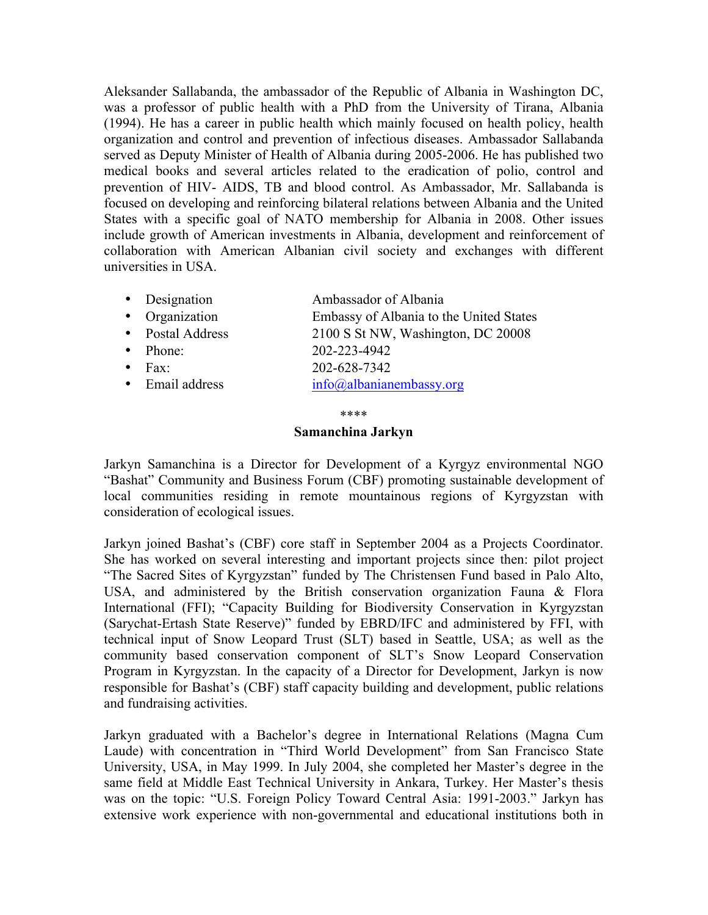Aleksander Sallabanda, the ambassador of the Republic of Albania in Washington DC, was a professor of public health with a PhD from the University of Tirana, Albania (1994). He has a career in public health which mainly focused on health policy, health organization and control and prevention of infectious diseases. Ambassador Sallabanda served as Deputy Minister of Health of Albania during 2005-2006. He has published two medical books and several articles related to the eradication of polio, control and prevention of HIV- AIDS, TB and blood control. As Ambassador, Mr. Sallabanda is focused on developing and reinforcing bilateral relations between Albania and the United States with a specific goal of NATO membership for Albania in 2008. Other issues include growth of American investments in Albania, development and reinforcement of collaboration with American Albanian civil society and exchanges with different universities in USA.

- Designation Ambassador of Albania
- Organization Embassy of Albania to the United States
- Postal Address 2100 S St NW, Washington, DC 20008<br>• Phone: 202-223-4942
- Phone: 202-223-4942
- Fax: 202-628-7342
- Email address info@albanianembassy.org

\*\*\*\*

# **Samanchina Jarkyn**

Jarkyn Samanchina is a Director for Development of a Kyrgyz environmental NGO "Bashat" Community and Business Forum (CBF) promoting sustainable development of local communities residing in remote mountainous regions of Kyrgyzstan with consideration of ecological issues.

Jarkyn joined Bashat's (CBF) core staff in September 2004 as a Projects Coordinator. She has worked on several interesting and important projects since then: pilot project "The Sacred Sites of Kyrgyzstan" funded by The Christensen Fund based in Palo Alto, USA, and administered by the British conservation organization Fauna  $\&$  Flora International (FFI); "Capacity Building for Biodiversity Conservation in Kyrgyzstan (Sarychat-Ertash State Reserve)" funded by EBRD/IFC and administered by FFI, with technical input of Snow Leopard Trust (SLT) based in Seattle, USA; as well as the community based conservation component of SLT's Snow Leopard Conservation Program in Kyrgyzstan. In the capacity of a Director for Development, Jarkyn is now responsible for Bashat's (CBF) staff capacity building and development, public relations and fundraising activities.

Jarkyn graduated with a Bachelor's degree in International Relations (Magna Cum Laude) with concentration in "Third World Development" from San Francisco State University, USA, in May 1999. In July 2004, she completed her Master's degree in the same field at Middle East Technical University in Ankara, Turkey. Her Master's thesis was on the topic: "U.S. Foreign Policy Toward Central Asia: 1991-2003." Jarkyn has extensive work experience with non-governmental and educational institutions both in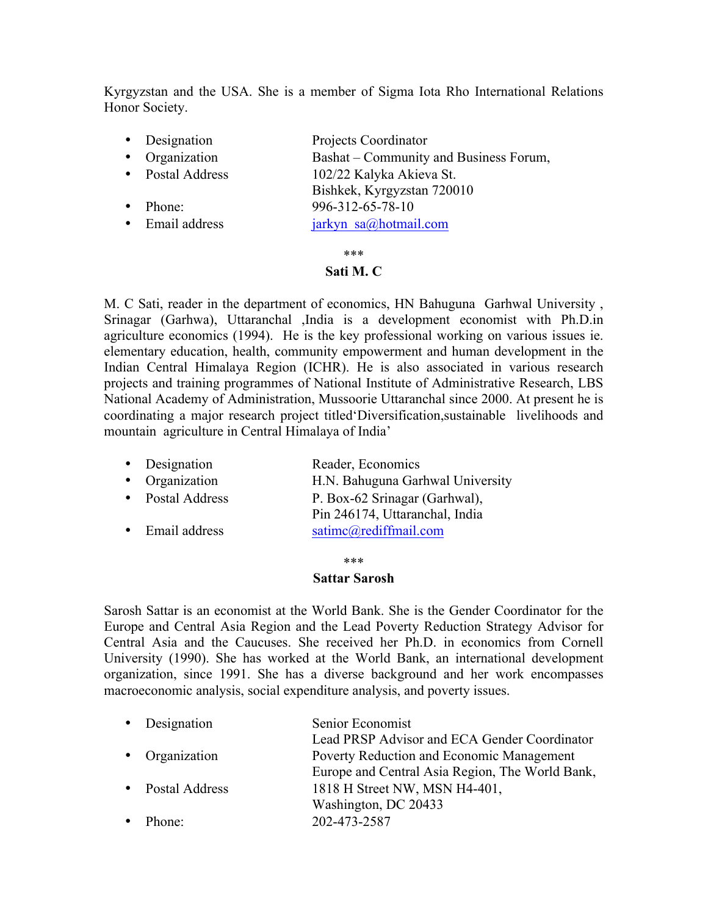Kyrgyzstan and the USA. She is a member of Sigma Iota Rho International Relations Honor Society.

• Designation Projects Coordinator • Organization Bashat – Community and Business Forum, • Postal Address 102/22 Kalyka Akieva St. Bishkek, Kyrgyzstan 720010 • Phone: 996-312-65-78-10 • Email address jarkyn sa@hotmail.com

\*\*\*

### **Sati M. C**

M. C Sati, reader in the department of economics, HN Bahuguna Garhwal University , Srinagar (Garhwa), Uttaranchal ,India is a development economist with Ph.D.in agriculture economics (1994). He is the key professional working on various issues ie. elementary education, health, community empowerment and human development in the Indian Central Himalaya Region (ICHR). He is also associated in various research projects and training programmes of National Institute of Administrative Research, LBS National Academy of Administration, Mussoorie Uttaranchal since 2000. At present he is coordinating a major research project titled'Diversification,sustainable livelihoods and mountain agriculture in Central Himalaya of India'

| • Designation    | Reader, Economics                |
|------------------|----------------------------------|
| • Organization   | H.N. Bahuguna Garhwal University |
| • Postal Address | P. Box-62 Srinagar (Garhwal),    |

Pin 246174, Uttaranchal, India • Email address satimc@rediffmail.com

\*\*\*

### **Sattar Sarosh**

Sarosh Sattar is an economist at the World Bank. She is the Gender Coordinator for the Europe and Central Asia Region and the Lead Poverty Reduction Strategy Advisor for Central Asia and the Caucuses. She received her Ph.D. in economics from Cornell University (1990). She has worked at the World Bank, an international development organization, since 1991. She has a diverse background and her work encompasses macroeconomic analysis, social expenditure analysis, and poverty issues.

| • Designation    | Senior Economist                                |
|------------------|-------------------------------------------------|
|                  | Lead PRSP Advisor and ECA Gender Coordinator    |
| • Organization   | Poverty Reduction and Economic Management       |
|                  | Europe and Central Asia Region, The World Bank, |
| • Postal Address | 1818 H Street NW, MSN H4-401,                   |
|                  | Washington, DC 20433                            |
| Phone:           | 202-473-2587                                    |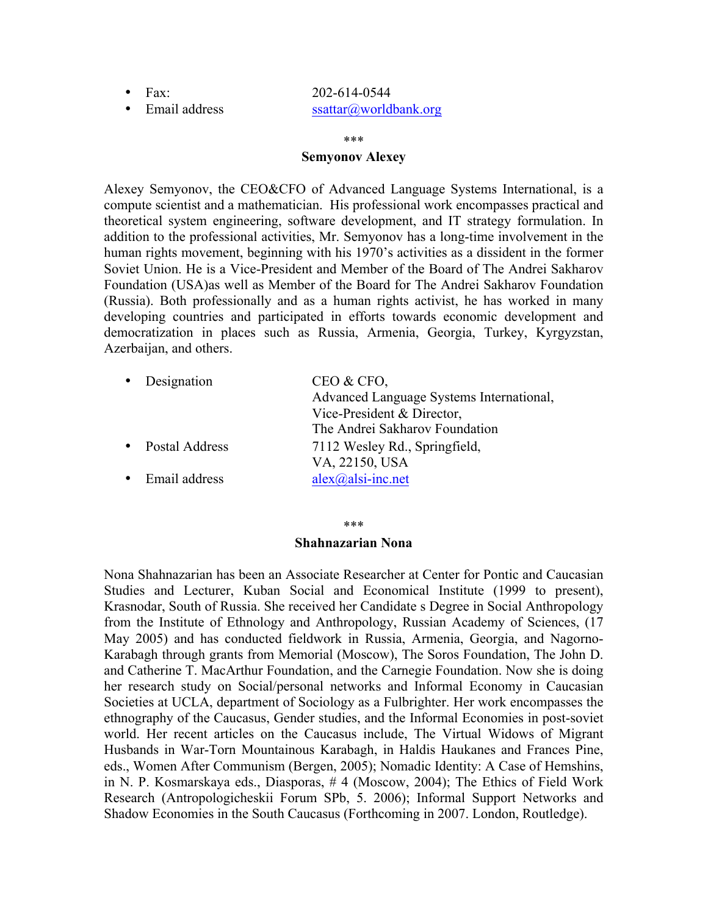# • Fax: 202-614-0544 • Email address ssattar@worldbank.org

#### \*\*\*

### **Semyonov Alexey**

Alexey Semyonov, the CEO&CFO of Advanced Language Systems International, is a compute scientist and a mathematician. His professional work encompasses practical and theoretical system engineering, software development, and IT strategy formulation. In addition to the professional activities, Mr. Semyonov has a long-time involvement in the human rights movement, beginning with his 1970's activities as a dissident in the former Soviet Union. He is a Vice-President and Member of the Board of The Andrei Sakharov Foundation (USA)as well as Member of the Board for The Andrei Sakharov Foundation (Russia). Both professionally and as a human rights activist, he has worked in many developing countries and participated in efforts towards economic development and democratization in places such as Russia, Armenia, Georgia, Turkey, Kyrgyzstan, Azerbaijan, and others.

| • Designation  | CEO & CFO,                               |
|----------------|------------------------------------------|
|                | Advanced Language Systems International, |
|                | Vice-President & Director,               |
|                | The Andrei Sakharov Foundation           |
| Postal Address | 7112 Wesley Rd., Springfield,            |
|                | VA, 22150, USA                           |
| Email address  | $alex(a)$ alsi-inc.net                   |

\*\*\*

### **Shahnazarian Nona**

Nona Shahnazarian has been an Associate Researcher at Center for Pontic and Caucasian Studies and Lecturer, Kuban Social and Economical Institute (1999 to present), Krasnodar, South of Russia. She received her Candidate s Degree in Social Anthropology from the Institute of Ethnology and Anthropology, Russian Academy of Sciences, (17 May 2005) and has conducted fieldwork in Russia, Armenia, Georgia, and Nagorno-Karabagh through grants from Memorial (Moscow), The Soros Foundation, The John D. and Catherine T. MacArthur Foundation, and the Carnegie Foundation. Now she is doing her research study on Social/personal networks and Informal Economy in Caucasian Societies at UCLA, department of Sociology as a Fulbrighter. Her work encompasses the ethnography of the Caucasus, Gender studies, and the Informal Economies in post-soviet world. Her recent articles on the Caucasus include, The Virtual Widows of Migrant Husbands in War-Torn Mountainous Karabagh, in Haldis Haukanes and Frances Pine, eds., Women After Communism (Bergen, 2005); Nomadic Identity: A Case of Hemshins, in N. P. Kosmarskaya eds., Diasporas, # 4 (Moscow, 2004); The Ethics of Field Work Research (Antropologicheskii Forum SPb, 5. 2006); Informal Support Networks and Shadow Economies in the South Caucasus (Forthcoming in 2007. London, Routledge).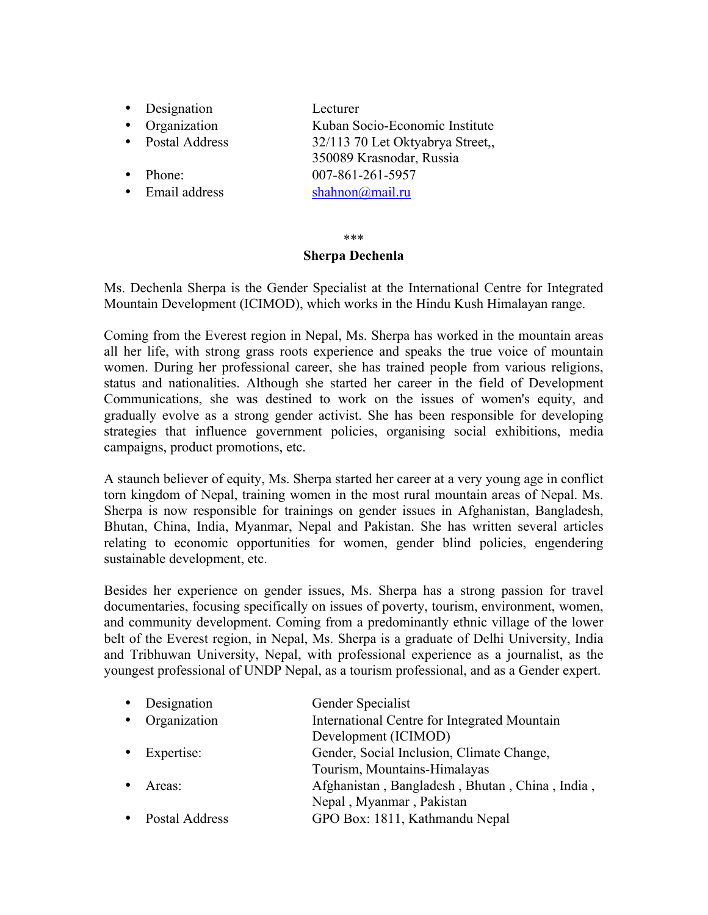- Designation Lecturer<br>• Organization Kuban So
- 
- Postal Address 32/113 70 Let Oktyabrya Street,
- Phone: 007-861-261-5957
- Email address shahnon@mail.ru

### \*\*\* **Sherpa Dechenla**

Kuban Socio-Economic Institute

350089 Krasnodar, Russia

Ms. Dechenla Sherpa is the Gender Specialist at the International Centre for Integrated Mountain Development (ICIMOD), which works in the Hindu Kush Himalayan range.

Coming from the Everest region in Nepal, Ms. Sherpa has worked in the mountain areas all her life, with strong grass roots experience and speaks the true voice of mountain women. During her professional career, she has trained people from various religions, status and nationalities. Although she started her career in the field of Development Communications, she was destined to work on the issues of women's equity, and gradually evolve as a strong gender activist. She has been responsible for developing strategies that influence government policies, organising social exhibitions, media campaigns, product promotions, etc.

A staunch believer of equity, Ms. Sherpa started her career at a very young age in conflict torn kingdom of Nepal, training women in the most rural mountain areas of Nepal. Ms. Sherpa is now responsible for trainings on gender issues in Afghanistan, Bangladesh, Bhutan, China, India, Myanmar, Nepal and Pakistan. She has written several articles relating to economic opportunities for women, gender blind policies, engendering sustainable development, etc.

Besides her experience on gender issues, Ms. Sherpa has a strong passion for travel documentaries, focusing specifically on issues of poverty, tourism, environment, women, and community development. Coming from a predominantly ethnic village of the lower belt of the Everest region, in Nepal, Ms. Sherpa is a graduate of Delhi University, India and Tribhuwan University, Nepal, with professional experience as a journalist, as the youngest professional of UNDP Nepal, as a tourism professional, and as a Gender expert.

| • Designation        | Gender Specialist                              |
|----------------------|------------------------------------------------|
| • Organization       | International Centre for Integrated Mountain   |
|                      | Development (ICIMOD)                           |
| $\bullet$ Expertise: | Gender, Social Inclusion, Climate Change,      |
|                      | Tourism, Mountains-Himalayas                   |
| Areas:               | Afghanistan, Bangladesh, Bhutan, China, India, |
|                      | Nepal, Myanmar, Pakistan                       |
| Postal Address       | GPO Box: 1811, Kathmandu Nepal                 |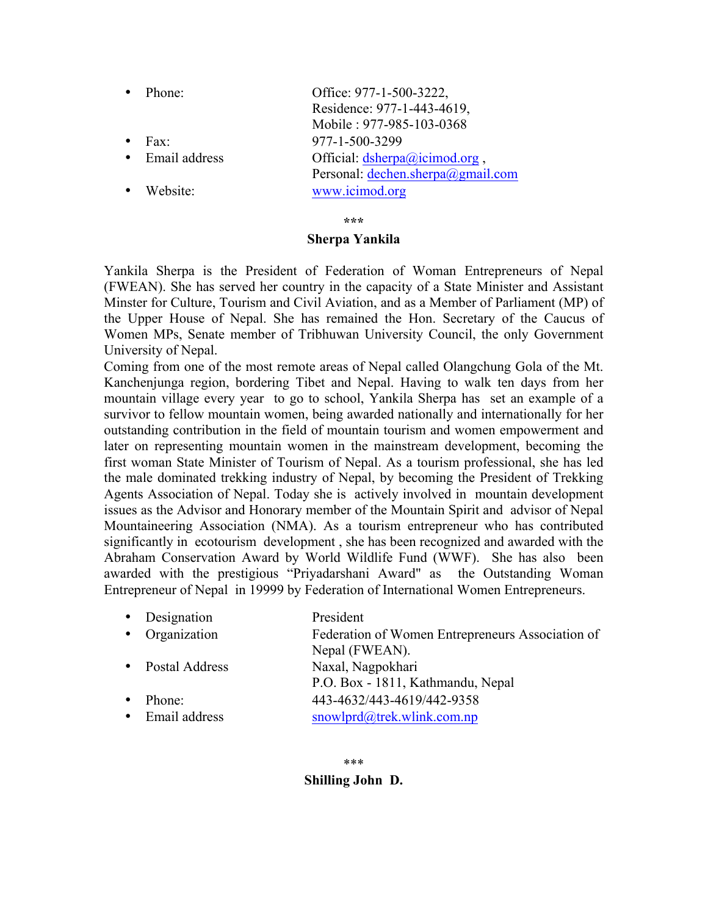|           | Phone:           | Office: 977-1-500-3222,                   |
|-----------|------------------|-------------------------------------------|
|           |                  | Residence: 977-1-443-4619,                |
|           |                  | Mobile: 977-985-103-0368                  |
| $\bullet$ | Fax <sup>-</sup> | 977-1-500-3299                            |
|           | • Email address  | Official: $d\text{sherpa}(a)$ icimod.org, |
|           |                  | Personal: dechen.sherpa@gmail.com         |
| $\bullet$ | Website:         | www.icimod.org                            |

**\*\*\***

### **Sherpa Yankila**

Yankila Sherpa is the President of Federation of Woman Entrepreneurs of Nepal (FWEAN). She has served her country in the capacity of a State Minister and Assistant Minster for Culture, Tourism and Civil Aviation, and as a Member of Parliament (MP) of the Upper House of Nepal. She has remained the Hon. Secretary of the Caucus of Women MPs, Senate member of Tribhuwan University Council, the only Government University of Nepal.

Coming from one of the most remote areas of Nepal called Olangchung Gola of the Mt. Kanchenjunga region, bordering Tibet and Nepal. Having to walk ten days from her mountain village every year to go to school, Yankila Sherpa has set an example of a survivor to fellow mountain women, being awarded nationally and internationally for her outstanding contribution in the field of mountain tourism and women empowerment and later on representing mountain women in the mainstream development, becoming the first woman State Minister of Tourism of Nepal. As a tourism professional, she has led the male dominated trekking industry of Nepal, by becoming the President of Trekking Agents Association of Nepal. Today she is actively involved in mountain development issues as the Advisor and Honorary member of the Mountain Spirit and advisor of Nepal Mountaineering Association (NMA). As a tourism entrepreneur who has contributed significantly in ecotourism development , she has been recognized and awarded with the Abraham Conservation Award by World Wildlife Fund (WWF). She has also been awarded with the prestigious "Priyadarshani Award" as the Outstanding Woman Entrepreneur of Nepal in 19999 by Federation of International Women Entrepreneurs.

|           | • Designation    | President                                        |
|-----------|------------------|--------------------------------------------------|
|           | • Organization   | Federation of Women Entrepreneurs Association of |
|           |                  | Nepal (FWEAN).                                   |
|           | • Postal Address | Naxal, Nagpokhari                                |
|           |                  | P.O. Box - 1811, Kathmandu, Nepal                |
| $\bullet$ | Phone:           | 443-4632/443-4619/442-9358                       |
|           | • Email address  | snowlprd@trek.wlink.com.np                       |

# **Shilling John D.**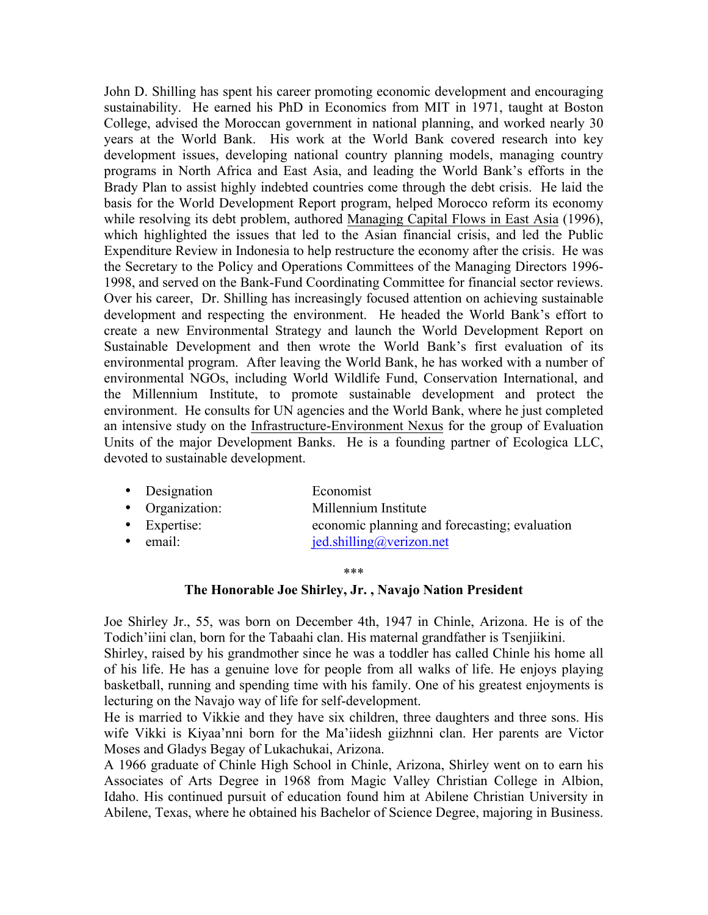John D. Shilling has spent his career promoting economic development and encouraging sustainability. He earned his PhD in Economics from MIT in 1971, taught at Boston College, advised the Moroccan government in national planning, and worked nearly 30 years at the World Bank. His work at the World Bank covered research into key development issues, developing national country planning models, managing country programs in North Africa and East Asia, and leading the World Bank's efforts in the Brady Plan to assist highly indebted countries come through the debt crisis. He laid the basis for the World Development Report program, helped Morocco reform its economy while resolving its debt problem, authored Managing Capital Flows in East Asia (1996), which highlighted the issues that led to the Asian financial crisis, and led the Public Expenditure Review in Indonesia to help restructure the economy after the crisis. He was the Secretary to the Policy and Operations Committees of the Managing Directors 1996- 1998, and served on the Bank-Fund Coordinating Committee for financial sector reviews. Over his career, Dr. Shilling has increasingly focused attention on achieving sustainable development and respecting the environment. He headed the World Bank's effort to create a new Environmental Strategy and launch the World Development Report on Sustainable Development and then wrote the World Bank's first evaluation of its environmental program. After leaving the World Bank, he has worked with a number of environmental NGOs, including World Wildlife Fund, Conservation International, and the Millennium Institute, to promote sustainable development and protect the environment. He consults for UN agencies and the World Bank, where he just completed an intensive study on the Infrastructure-Environment Nexus for the group of Evaluation Units of the major Development Banks. He is a founding partner of Ecologica LLC, devoted to sustainable development.

| • Designation        | Economist                                     |
|----------------------|-----------------------------------------------|
| • Organization:      | Millennium Institute                          |
| $\bullet$ Expertise: | economic planning and forecasting; evaluation |
| $\bullet$ email:     | $j$ ed.shilling@verizon.net                   |

#### \*\*\*

### **The Honorable Joe Shirley, Jr. , Navajo Nation President**

Joe Shirley Jr., 55, was born on December 4th, 1947 in Chinle, Arizona. He is of the Todich'iini clan, born for the Tabaahi clan. His maternal grandfather is Tsenjiikini.

Shirley, raised by his grandmother since he was a toddler has called Chinle his home all of his life. He has a genuine love for people from all walks of life. He enjoys playing basketball, running and spending time with his family. One of his greatest enjoyments is lecturing on the Navajo way of life for self-development.

He is married to Vikkie and they have six children, three daughters and three sons. His wife Vikki is Kiyaa'nni born for the Ma'iidesh giizhnni clan. Her parents are Victor Moses and Gladys Begay of Lukachukai, Arizona.

A 1966 graduate of Chinle High School in Chinle, Arizona, Shirley went on to earn his Associates of Arts Degree in 1968 from Magic Valley Christian College in Albion, Idaho. His continued pursuit of education found him at Abilene Christian University in Abilene, Texas, where he obtained his Bachelor of Science Degree, majoring in Business.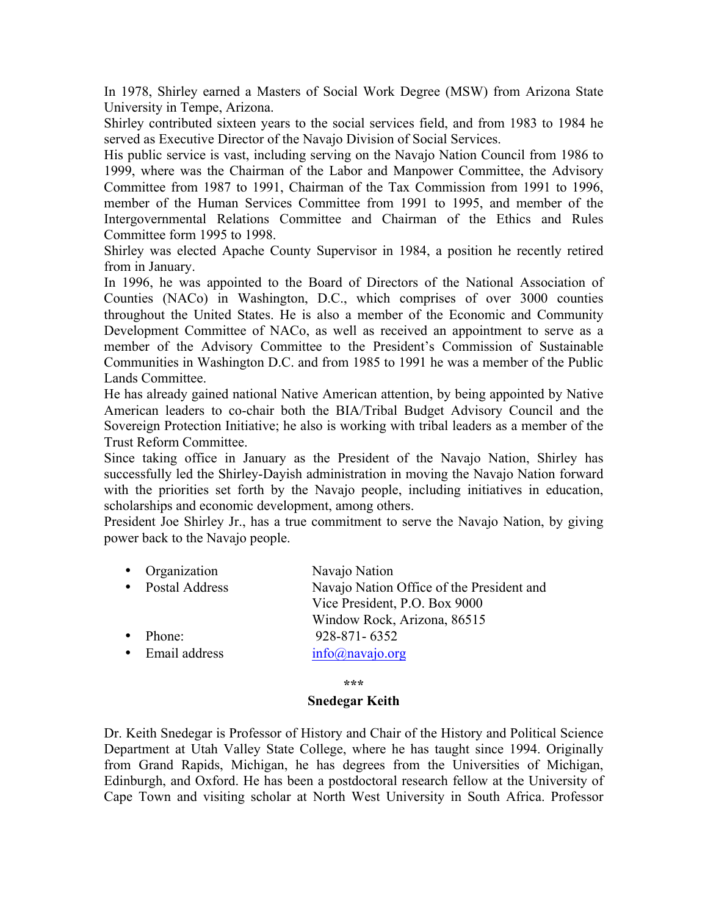In 1978, Shirley earned a Masters of Social Work Degree (MSW) from Arizona State University in Tempe, Arizona.

Shirley contributed sixteen years to the social services field, and from 1983 to 1984 he served as Executive Director of the Navajo Division of Social Services.

His public service is vast, including serving on the Navajo Nation Council from 1986 to 1999, where was the Chairman of the Labor and Manpower Committee, the Advisory Committee from 1987 to 1991, Chairman of the Tax Commission from 1991 to 1996, member of the Human Services Committee from 1991 to 1995, and member of the Intergovernmental Relations Committee and Chairman of the Ethics and Rules Committee form 1995 to 1998.

Shirley was elected Apache County Supervisor in 1984, a position he recently retired from in January.

In 1996, he was appointed to the Board of Directors of the National Association of Counties (NACo) in Washington, D.C., which comprises of over 3000 counties throughout the United States. He is also a member of the Economic and Community Development Committee of NACo, as well as received an appointment to serve as a member of the Advisory Committee to the President's Commission of Sustainable Communities in Washington D.C. and from 1985 to 1991 he was a member of the Public Lands Committee.

He has already gained national Native American attention, by being appointed by Native American leaders to co-chair both the BIA/Tribal Budget Advisory Council and the Sovereign Protection Initiative; he also is working with tribal leaders as a member of the Trust Reform Committee.

Since taking office in January as the President of the Navajo Nation, Shirley has successfully led the Shirley-Dayish administration in moving the Navajo Nation forward with the priorities set forth by the Navajo people, including initiatives in education, scholarships and economic development, among others.

President Joe Shirley Jr., has a true commitment to serve the Navajo Nation, by giving power back to the Navajo people.

| Organization   | Navajo Nation                             |
|----------------|-------------------------------------------|
| Postal Address | Navajo Nation Office of the President and |
|                | Vice President, P.O. Box 9000             |
|                | Window Rock, Arizona, 86515               |
| Phone:         | 928-871-6352                              |
| Email address  | $info(a)$ navajo.org                      |
|                |                                           |

**\*\*\***

# **Snedegar Keith**

Dr. Keith Snedegar is Professor of History and Chair of the History and Political Science Department at Utah Valley State College, where he has taught since 1994. Originally from Grand Rapids, Michigan, he has degrees from the Universities of Michigan, Edinburgh, and Oxford. He has been a postdoctoral research fellow at the University of Cape Town and visiting scholar at North West University in South Africa. Professor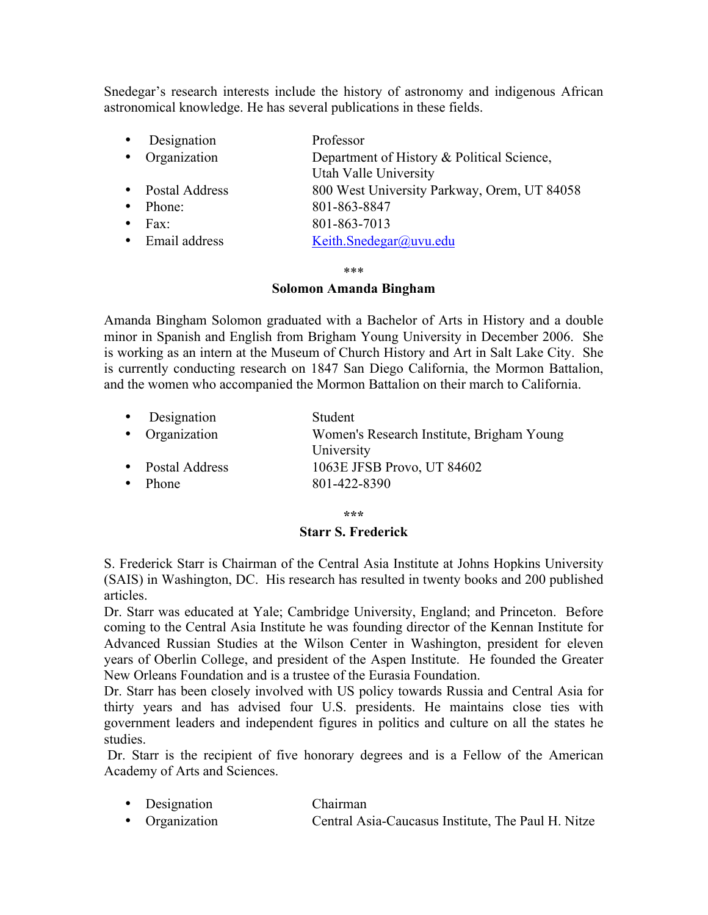Snedegar's research interests include the history of astronomy and indigenous African astronomical knowledge. He has several publications in these fields.

| Designation    | Professor                                                           |
|----------------|---------------------------------------------------------------------|
| Organization   | Department of History & Political Science,<br>Utah Valle University |
| Postal Address | 800 West University Parkway, Orem, UT 84058                         |
| Phone:         | 801-863-8847                                                        |
| Fax:           | 801-863-7013                                                        |
| Email address  | Keith.Snedegar@uvu.edu                                              |

\*\*\*

### **Solomon Amanda Bingham**

Amanda Bingham Solomon graduated with a Bachelor of Arts in History and a double minor in Spanish and English from Brigham Young University in December 2006. She is working as an intern at the Museum of Church History and Art in Salt Lake City. She is currently conducting research on 1847 San Diego California, the Mormon Battalion, and the women who accompanied the Mormon Battalion on their march to California.

|           | • Designation    | Student                                   |
|-----------|------------------|-------------------------------------------|
|           | • Organization   | Women's Research Institute, Brigham Young |
|           |                  | University                                |
|           | • Postal Address | 1063E JFSB Provo, UT 84602                |
| $\bullet$ | Phone            | 801-422-8390                              |
|           |                  |                                           |

**\*\*\***

# **Starr S. Frederick**

S. Frederick Starr is Chairman of the Central Asia Institute at Johns Hopkins University (SAIS) in Washington, DC. His research has resulted in twenty books and 200 published articles.

Dr. Starr was educated at Yale; Cambridge University, England; and Princeton. Before coming to the Central Asia Institute he was founding director of the Kennan Institute for Advanced Russian Studies at the Wilson Center in Washington, president for eleven years of Oberlin College, and president of the Aspen Institute. He founded the Greater New Orleans Foundation and is a trustee of the Eurasia Foundation.

Dr. Starr has been closely involved with US policy towards Russia and Central Asia for thirty years and has advised four U.S. presidents. He maintains close ties with government leaders and independent figures in politics and culture on all the states he studies.

Dr. Starr is the recipient of five honorary degrees and is a Fellow of the American Academy of Arts and Sciences.

- Designation Chairman
- Organization Central Asia-Caucasus Institute, The Paul H. Nitze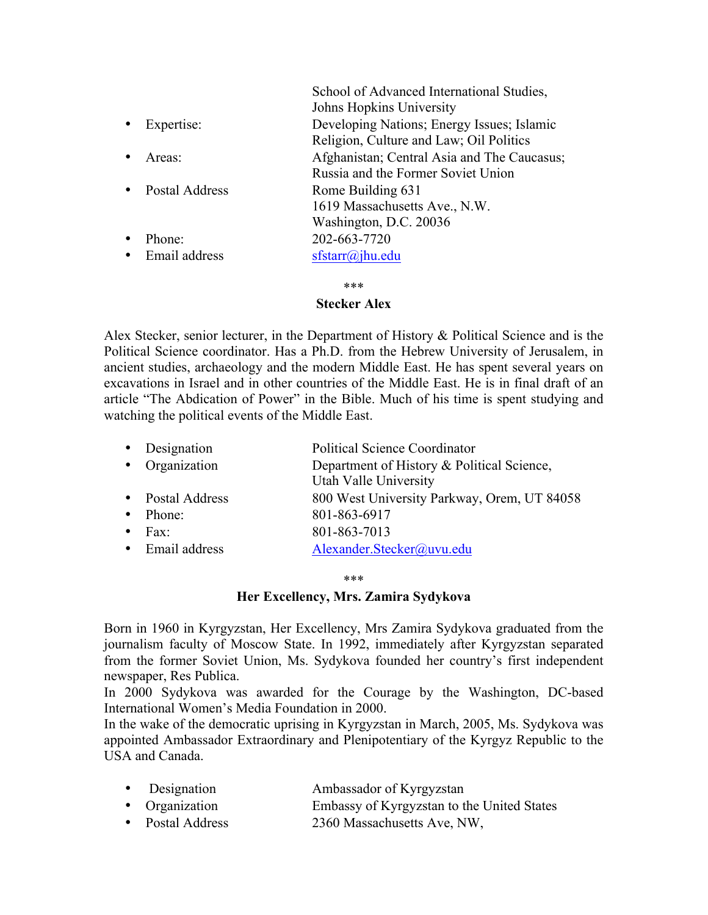|                | School of Advanced International Studies,   |
|----------------|---------------------------------------------|
|                | Johns Hopkins University                    |
| Expertise:     | Developing Nations; Energy Issues; Islamic  |
|                | Religion, Culture and Law; Oil Politics     |
| Areas:         | Afghanistan; Central Asia and The Caucasus; |
|                | Russia and the Former Soviet Union          |
| Postal Address | Rome Building 631                           |
|                | 1619 Massachusetts Ave., N.W.               |
|                | Washington, D.C. 20036                      |
| Phone:         | 202-663-7720                                |
| Email address  | $sfs\arr(a)$ jhu.edu                        |
|                |                                             |

\*\*\*

### **Stecker Alex**

Alex Stecker, senior lecturer, in the Department of History & Political Science and is the Political Science coordinator. Has a Ph.D. from the Hebrew University of Jerusalem, in ancient studies, archaeology and the modern Middle East. He has spent several years on excavations in Israel and in other countries of the Middle East. He is in final draft of an article "The Abdication of Power" in the Bible. Much of his time is spent studying and watching the political events of the Middle East.

| $\bullet$ | Designation      | <b>Political Science Coordinator</b>        |
|-----------|------------------|---------------------------------------------|
|           | • Organization   | Department of History & Political Science,  |
|           |                  | Utah Valle University                       |
|           | • Postal Address | 800 West University Parkway, Orem, UT 84058 |
|           | Phone:           | 801-863-6917                                |
|           | Fax:             | 801-863-7013                                |
|           | • Email address  | Alexander.Stecker@uvu.edu                   |
|           |                  |                                             |

\*\*\*

### **Her Excellency, Mrs. Zamira Sydykova**

Born in 1960 in Kyrgyzstan, Her Excellency, Mrs Zamira Sydykova graduated from the journalism faculty of Moscow State. In 1992, immediately after Kyrgyzstan separated from the former Soviet Union, Ms. Sydykova founded her country's first independent newspaper, Res Publica.

In 2000 Sydykova was awarded for the Courage by the Washington, DC-based International Women's Media Foundation in 2000.

In the wake of the democratic uprising in Kyrgyzstan in March, 2005, Ms. Sydykova was appointed Ambassador Extraordinary and Plenipotentiary of the Kyrgyz Republic to the USA and Canada.

| • Designation    | Ambassador of Kyrgyzstan                   |
|------------------|--------------------------------------------|
| • Organization   | Embassy of Kyrgyzstan to the United States |
| • Postal Address | 2360 Massachusetts Ave, NW,                |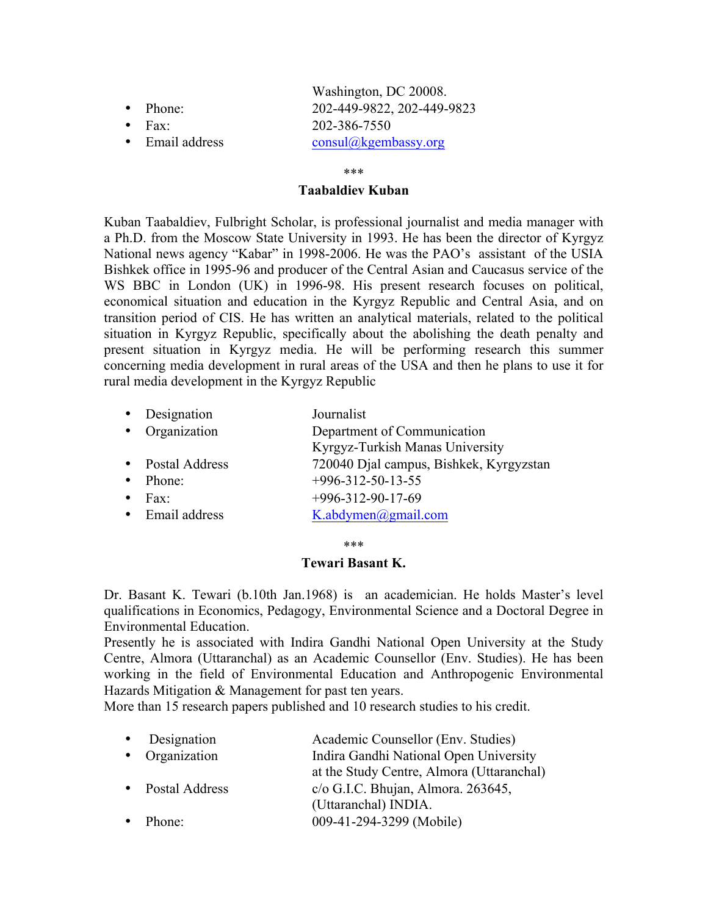|                  | Washington, DC 20008.      |
|------------------|----------------------------|
| $\bullet$ Phone: | 202-449-9822, 202-449-9823 |
| $\bullet$ Fax:   | 202-386-7550               |
| • Email address  | consul@kgembassy.org       |
|                  |                            |

\*\*\*

## **Taabaldiev Kuban**

Kuban Taabaldiev, Fulbright Scholar, is professional journalist and media manager with a Ph.D. from the Moscow State University in 1993. He has been the director of Kyrgyz National news agency "Kabar" in 1998-2006. He was the PAO's assistant of the USIA Bishkek office in 1995-96 and producer of the Central Asian and Caucasus service of the WS BBC in London (UK) in 1996-98. His present research focuses on political, economical situation and education in the Kyrgyz Republic and Central Asia, and on transition period of CIS. He has written an analytical materials, related to the political situation in Kyrgyz Republic, specifically about the abolishing the death penalty and present situation in Kyrgyz media. He will be performing research this summer concerning media development in rural areas of the USA and then he plans to use it for rural media development in the Kyrgyz Republic

| Designation    | Journalist                              |
|----------------|-----------------------------------------|
| Organization   | Department of Communication             |
|                | Kyrgyz-Turkish Manas University         |
| Postal Address | 720040 Djal campus, Bishkek, Kyrgyzstan |
| Phone:         | $+996 - 312 - 50 - 13 - 55$             |
| Fax:           | $+996-312-90-17-69$                     |
| Email address  | K.abdymen@gmail.com                     |
|                |                                         |

\*\*\*

### **Tewari Basant K.**

Dr. Basant K. Tewari (b.10th Jan.1968) is an academician. He holds Master's level qualifications in Economics, Pedagogy, Environmental Science and a Doctoral Degree in Environmental Education.

Presently he is associated with Indira Gandhi National Open University at the Study Centre, Almora (Uttaranchal) as an Academic Counsellor (Env. Studies). He has been working in the field of Environmental Education and Anthropogenic Environmental Hazards Mitigation & Management for past ten years.

More than 15 research papers published and 10 research studies to his credit.

| Academic Counsellor (Env. Studies)        |
|-------------------------------------------|
| Indira Gandhi National Open University    |
| at the Study Centre, Almora (Uttaranchal) |
| $c$ /o G.I.C. Bhujan, Almora. 263645,     |
|                                           |
| 009-41-294-3299 (Mobile)                  |
|                                           |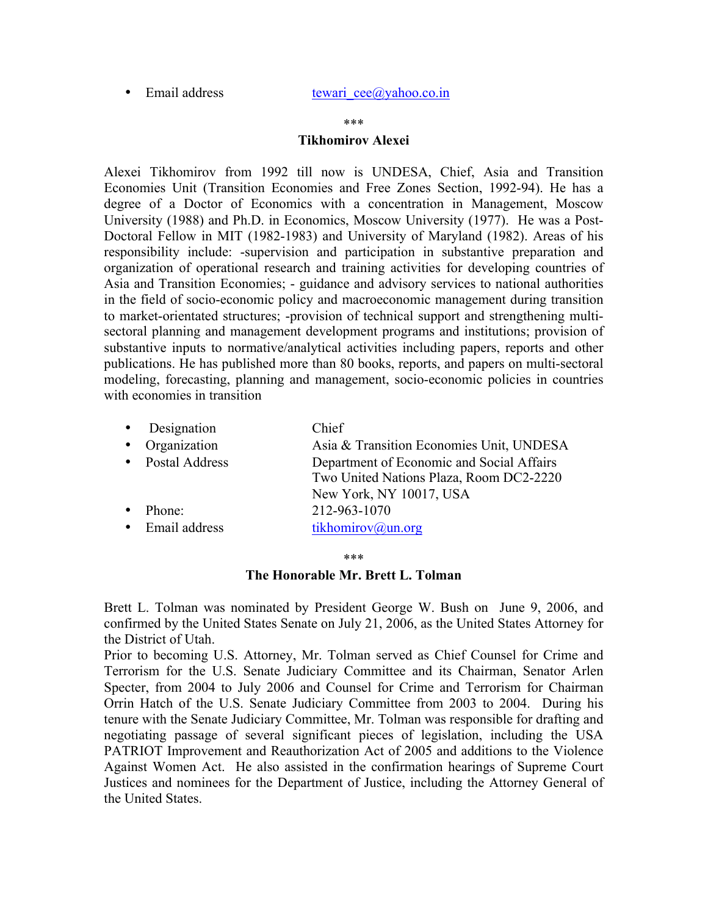• Email address tewari  $ce@yahoo.co.in$ 

#### \*\*\*

### **Tikhomirov Alexei**

Alexei Tikhomirov from 1992 till now is UNDESA, Chief, Asia and Transition Economies Unit (Transition Economies and Free Zones Section, 1992-94). He has a degree of a Doctor of Economics with a concentration in Management, Moscow University (1988) and Ph.D. in Economics, Moscow University (1977). He was a Post-Doctoral Fellow in MIT (1982-1983) and University of Maryland (1982). Areas of his responsibility include: -supervision and participation in substantive preparation and organization of operational research and training activities for developing countries of Asia and Transition Economies; - guidance and advisory services to national authorities in the field of socio-economic policy and macroeconomic management during transition to market-orientated structures; -provision of technical support and strengthening multisectoral planning and management development programs and institutions; provision of substantive inputs to normative/analytical activities including papers, reports and other publications. He has published more than 80 books, reports, and papers on multi-sectoral modeling, forecasting, planning and management, socio-economic policies in countries with economies in transition

|           | • Designation  | Chief                                                                                                           |
|-----------|----------------|-----------------------------------------------------------------------------------------------------------------|
| $\bullet$ | Organization   | Asia & Transition Economies Unit, UNDESA                                                                        |
| $\bullet$ | Postal Address | Department of Economic and Social Affairs<br>Two United Nations Plaza, Room DC2-2220<br>New York, NY 10017, USA |
|           | Phone:         | 212-963-1070                                                                                                    |
| $\bullet$ | Email address  | tikhomirov@un.org                                                                                               |

\*\*\*

**The Honorable Mr. Brett L. Tolman** 

Brett L. Tolman was nominated by President George W. Bush on June 9, 2006, and confirmed by the United States Senate on July 21, 2006, as the United States Attorney for the District of Utah.

Prior to becoming U.S. Attorney, Mr. Tolman served as Chief Counsel for Crime and Terrorism for the U.S. Senate Judiciary Committee and its Chairman, Senator Arlen Specter, from 2004 to July 2006 and Counsel for Crime and Terrorism for Chairman Orrin Hatch of the U.S. Senate Judiciary Committee from 2003 to 2004. During his tenure with the Senate Judiciary Committee, Mr. Tolman was responsible for drafting and negotiating passage of several significant pieces of legislation, including the USA PATRIOT Improvement and Reauthorization Act of 2005 and additions to the Violence Against Women Act. He also assisted in the confirmation hearings of Supreme Court Justices and nominees for the Department of Justice, including the Attorney General of the United States.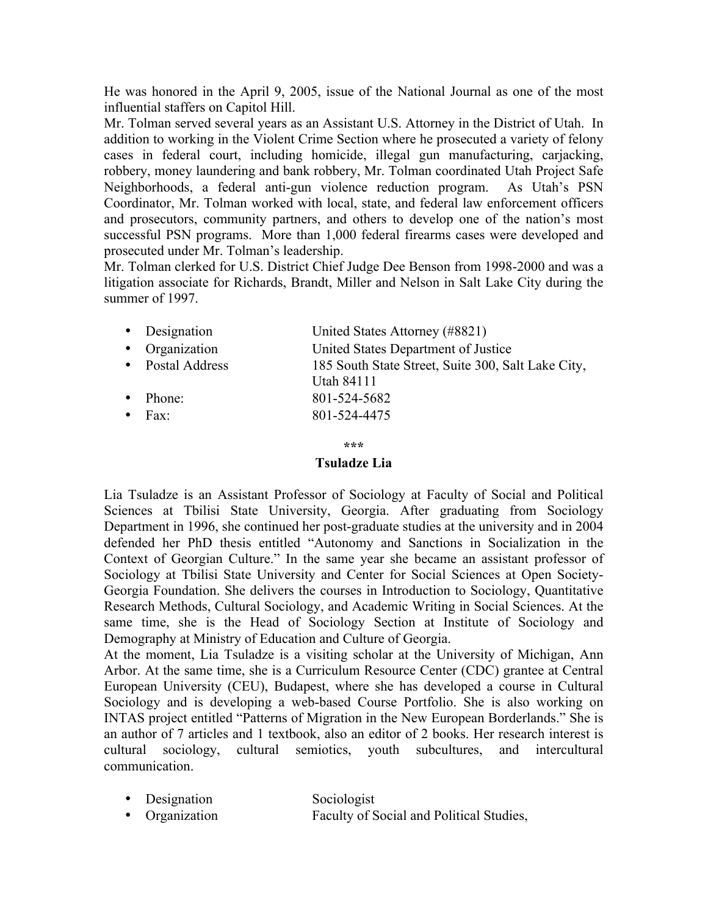He was honored in the April 9, 2005, issue of the National Journal as one of the most influential staffers on Capitol Hill.

Mr. Tolman served several years as an Assistant U.S. Attorney in the District of Utah. In addition to working in the Violent Crime Section where he prosecuted a variety of felony cases in federal court, including homicide, illegal gun manufacturing, carjacking, robbery, money laundering and bank robbery, Mr. Tolman coordinated Utah Project Safe Neighborhoods, a federal anti-gun violence reduction program. As Utah's PSN Coordinator, Mr. Tolman worked with local, state, and federal law enforcement officers and prosecutors, community partners, and others to develop one of the nation's most successful PSN programs. More than 1,000 federal firearms cases were developed and prosecuted under Mr. Tolman's leadership.

Mr. Tolman clerked for U.S. District Chief Judge Dee Benson from 1998-2000 and was a litigation associate for Richards, Brandt, Miller and Nelson in Salt Lake City during the summer of 1997.

| • Designation    | United States Attorney (#8821)                     |
|------------------|----------------------------------------------------|
| • Organization   | United States Department of Justice                |
| • Postal Address | 185 South State Street, Suite 300, Salt Lake City, |
|                  | <b>Utah 84111</b>                                  |
| $\bullet$ Phone: | 801-524-5682                                       |
| $\bullet$ Fax    | 801-524-4475                                       |
|                  |                                                    |

**\*\*\***

### **Tsuladze Lia**

Lia Tsuladze is an Assistant Professor of Sociology at Faculty of Social and Political Sciences at Tbilisi State University, Georgia. After graduating from Sociology Department in 1996, she continued her post-graduate studies at the university and in 2004 defended her PhD thesis entitled "Autonomy and Sanctions in Socialization in the Context of Georgian Culture." In the same year she became an assistant professor of Sociology at Tbilisi State University and Center for Social Sciences at Open Society-Georgia Foundation. She delivers the courses in Introduction to Sociology, Quantitative Research Methods, Cultural Sociology, and Academic Writing in Social Sciences. At the same time, she is the Head of Sociology Section at Institute of Sociology and Demography at Ministry of Education and Culture of Georgia.

At the moment, Lia Tsuladze is a visiting scholar at the University of Michigan, Ann Arbor. At the same time, she is a Curriculum Resource Center (CDC) grantee at Central European University (CEU), Budapest, where she has developed a course in Cultural Sociology and is developing a web-based Course Portfolio. She is also working on INTAS project entitled "Patterns of Migration in the New European Borderlands." She is an author of 7 articles and 1 textbook, also an editor of 2 books. Her research interest is cultural sociology, cultural semiotics, youth subcultures, and intercultural communication.

- Designation Sociologist
- Organization Faculty of Social and Political Studies,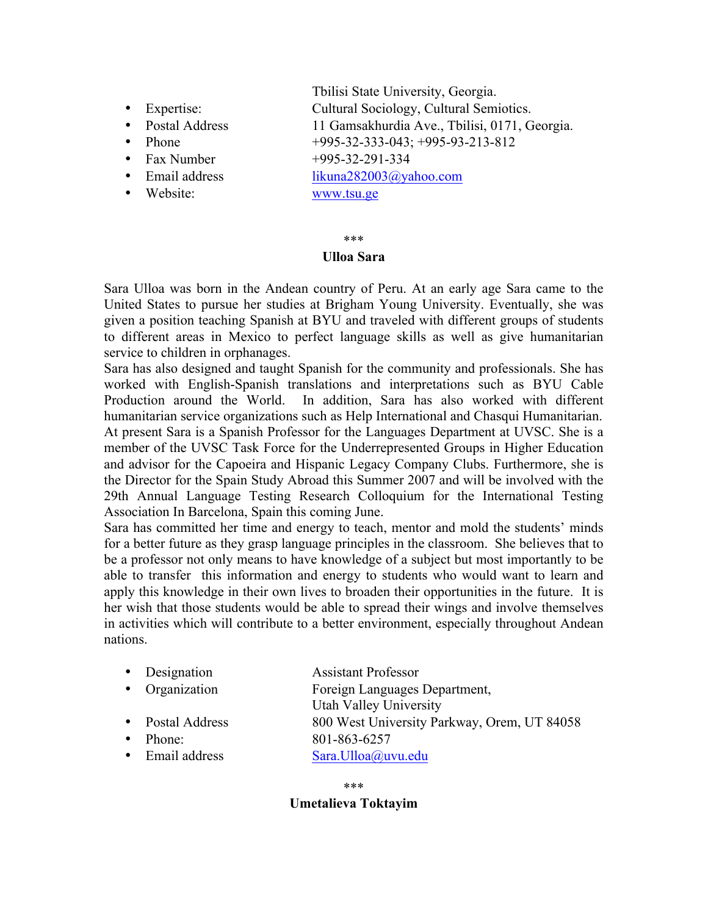- 
- 
- 
- 
- 
- 
- 

 Tbilisi State University, Georgia. • Expertise: Cultural Sociology, Cultural Semiotics. • Postal Address 11 Gamsakhurdia Ave., Tbilisi, 0171, Georgia. • Phone  $+995-32-333-043; +995-93-213-812$ • Fax Number  $+995-32-291-334$ • Email address likuna282003@yahoo.com • Website: www.tsu.ge

# \*\*\*

# **Ulloa Sara**

Sara Ulloa was born in the Andean country of Peru. At an early age Sara came to the United States to pursue her studies at Brigham Young University. Eventually, she was given a position teaching Spanish at BYU and traveled with different groups of students to different areas in Mexico to perfect language skills as well as give humanitarian service to children in orphanages.

Sara has also designed and taught Spanish for the community and professionals. She has worked with English-Spanish translations and interpretations such as BYU Cable Production around the World. In addition, Sara has also worked with different humanitarian service organizations such as Help International and Chasqui Humanitarian. At present Sara is a Spanish Professor for the Languages Department at UVSC. She is a member of the UVSC Task Force for the Underrepresented Groups in Higher Education and advisor for the Capoeira and Hispanic Legacy Company Clubs. Furthermore, she is the Director for the Spain Study Abroad this Summer 2007 and will be involved with the 29th Annual Language Testing Research Colloquium for the International Testing Association In Barcelona, Spain this coming June.

Sara has committed her time and energy to teach, mentor and mold the students' minds for a better future as they grasp language principles in the classroom. She believes that to be a professor not only means to have knowledge of a subject but most importantly to be able to transfer this information and energy to students who would want to learn and apply this knowledge in their own lives to broaden their opportunities in the future. It is her wish that those students would be able to spread their wings and involve themselves in activities which will contribute to a better environment, especially throughout Andean nations.

|           | • Designation    | <b>Assistant Professor</b>                  |
|-----------|------------------|---------------------------------------------|
|           | • Organization   | Foreign Languages Department,               |
|           |                  | Utah Valley University                      |
|           | • Postal Address | 800 West University Parkway, Orem, UT 84058 |
| $\bullet$ | Phone:           | 801-863-6257                                |
|           | • Email address  | Sara.Ulloa@uvu.edu                          |

\*\*\* **Umetalieva Toktayim**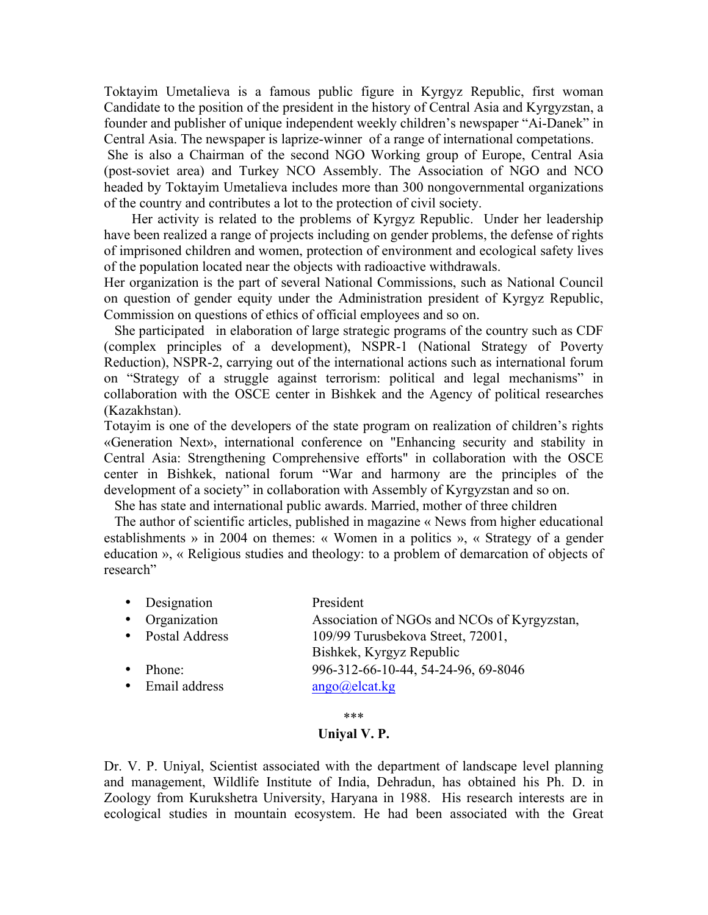Toktayim Umetalieva is a famous public figure in Kyrgyz Republic, first woman Candidate to the position of the president in the history of Central Asia and Kyrgyzstan, a founder and publisher of unique independent weekly children's newspaper "Ai-Danek" in Central Asia. The newspaper is laprize-winner of a range of international competations.

She is also a Chairman of the second NGO Working group of Europe, Central Asia (post-soviet area) and Turkey NCO Assembly. The Association of NGO and NCO headed by Toktayim Umetalieva includes more than 300 nongovernmental organizations of the country and contributes a lot to the protection of civil society.

 Her activity is related to the problems of Kyrgyz Republic. Under her leadership have been realized a range of projects including on gender problems, the defense of rights of imprisoned children and women, protection of environment and ecological safety lives of the population located near the objects with radioactive withdrawals.

Her organization is the part of several National Commissions, such as National Council on question of gender equity under the Administration president of Kyrgyz Republic, Commission on questions of ethics of official employees and so on.

 She participated in elaboration of large strategic programs of the country such as CDF (complex principles of a development), NSPR-1 (National Strategy of Poverty Reduction), NSPR-2, carrying out of the international actions such as international forum on "Strategy of a struggle against terrorism: political and legal mechanisms" in collaboration with the OSCE center in Bishkek and the Agency of political researches (Kazakhstan).

Totayim is one of the developers of the state program on realization of children's rights «Generation Next», international conference on "Enhancing security and stability in Central Asia: Strengthening Comprehensive efforts" in collaboration with the OSCE center in Bishkek, national forum "War and harmony are the principles of the development of a society" in collaboration with Assembly of Kyrgyzstan and so on.

She has state and international public awards. Married, mother of three children

 The author of scientific articles, published in magazine « News from higher educational establishments » in 2004 on themes: « Women in a politics », « Strategy of a gender education », « Religious studies and theology: to a problem of demarcation of objects of research"

| • Designation    | President                                   |
|------------------|---------------------------------------------|
| • Organization   | Association of NGOs and NCOs of Kyrgyzstan, |
| • Postal Address | 109/99 Turusbekova Street, 72001,           |
|                  | Bishkek, Kyrgyz Republic                    |
| $\bullet$ Phone: | 996-312-66-10-44, 54-24-96, 69-8046         |

• Email address  $\qquad \qquad \text{ango}(Q)$ elcat.kg

\*\*\*

# **Uniyal V. P.**

Dr. V. P. Uniyal, Scientist associated with the department of landscape level planning and management, Wildlife Institute of India, Dehradun, has obtained his Ph. D. in Zoology from Kurukshetra University, Haryana in 1988. His research interests are in ecological studies in mountain ecosystem. He had been associated with the Great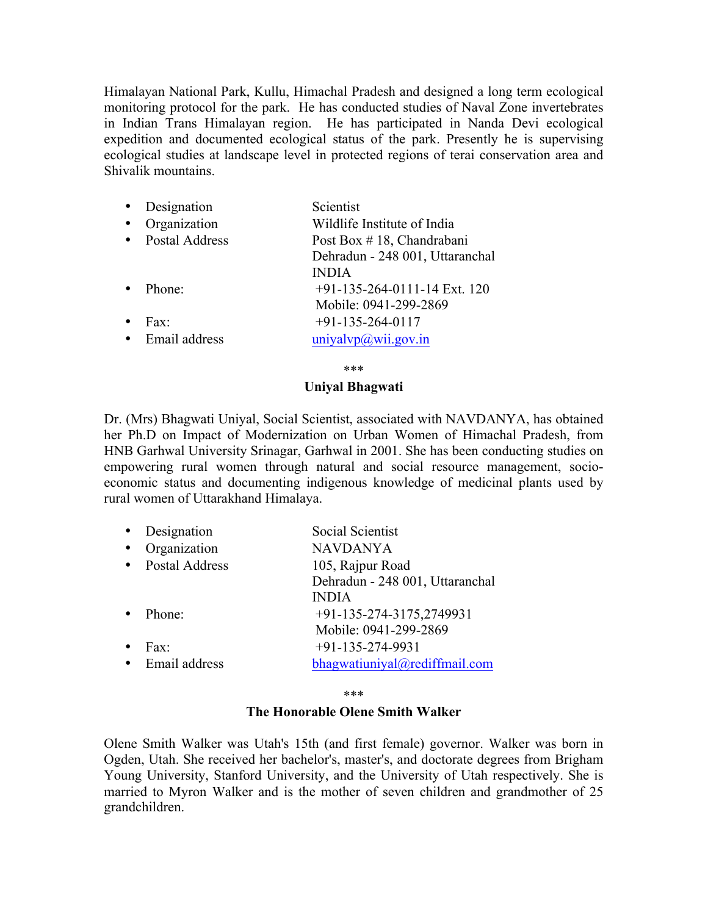Himalayan National Park, Kullu, Himachal Pradesh and designed a long term ecological monitoring protocol for the park. He has conducted studies of Naval Zone invertebrates in Indian Trans Himalayan region. He has participated in Nanda Devi ecological expedition and documented ecological status of the park. Presently he is supervising ecological studies at landscape level in protected regions of terai conservation area and Shivalik mountains.

| $\bullet$ | Designation           | Scientist                       |
|-----------|-----------------------|---------------------------------|
|           | Organization          | Wildlife Institute of India     |
|           | <b>Postal Address</b> | Post Box #18, Chandrabani       |
|           |                       | Dehradun - 248 001, Uttaranchal |
|           |                       | <b>INDIA</b>                    |
|           | Phone:                | $+91-135-264-0111-14$ Ext. 120  |
|           |                       | Mobile: 0941-299-2869           |
|           | Fax:                  | $+91-135-264-0117$              |
|           | Email address         | uniyalvp@wii.gov.in             |

\*\*\*

# **Uniyal Bhagwati**

Dr. (Mrs) Bhagwati Uniyal, Social Scientist, associated with NAVDANYA, has obtained her Ph.D on Impact of Modernization on Urban Women of Himachal Pradesh, from HNB Garhwal University Srinagar, Garhwal in 2001. She has been conducting studies on empowering rural women through natural and social resource management, socioeconomic status and documenting indigenous knowledge of medicinal plants used by rural women of Uttarakhand Himalaya.

| Designation    | Social Scientist                |
|----------------|---------------------------------|
| Organization   | <b>NAVDANYA</b>                 |
| Postal Address | 105, Rajpur Road                |
|                | Dehradun - 248 001, Uttaranchal |
|                | <b>INDIA</b>                    |
| Phone:         | +91-135-274-3175,2749931        |
|                | Mobile: 0941-299-2869           |
| Fax            | $+91-135-274-9931$              |
| Email address  | bhagwatiuniyal@rediffmail.com   |

\*\*\*

### **The Honorable Olene Smith Walker**

Olene Smith Walker was Utah's 15th (and first female) governor. Walker was born in Ogden, Utah. She received her bachelor's, master's, and doctorate degrees from Brigham Young University, Stanford University, and the University of Utah respectively. She is married to Myron Walker and is the mother of seven children and grandmother of 25 grandchildren.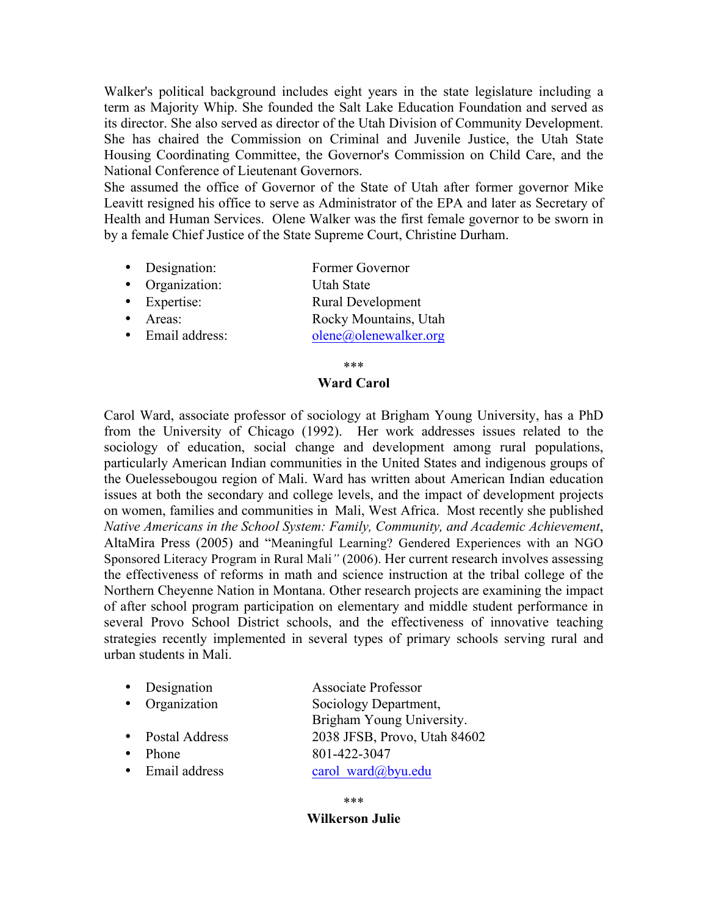Walker's political background includes eight years in the state legislature including a term as Majority Whip. She founded the Salt Lake Education Foundation and served as its director. She also served as director of the Utah Division of Community Development. She has chaired the Commission on Criminal and Juvenile Justice, the Utah State Housing Coordinating Committee, the Governor's Commission on Child Care, and the National Conference of Lieutenant Governors.

She assumed the office of Governor of the State of Utah after former governor Mike Leavitt resigned his office to serve as Administrator of the EPA and later as Secretary of Health and Human Services. Olene Walker was the first female governor to be sworn in by a female Chief Justice of the State Supreme Court, Christine Durham.

- Designation: Former Governor
- Organization: Utah State
- Expertise: Rural Development
- Areas: Rocky Mountains, Utah
- Email address: olene@olenewalker.org

\*\*\*

# **Ward Carol**

Carol Ward, associate professor of sociology at Brigham Young University, has a PhD from the University of Chicago (1992). Her work addresses issues related to the sociology of education, social change and development among rural populations, particularly American Indian communities in the United States and indigenous groups of the Ouelessebougou region of Mali. Ward has written about American Indian education issues at both the secondary and college levels, and the impact of development projects on women, families and communities in Mali, West Africa. Most recently she published *Native Americans in the School System: Family, Community, and Academic Achievement*, AltaMira Press (2005) and "Meaningful Learning? Gendered Experiences with an NGO Sponsored Literacy Program in Rural Mali*"* (2006). Her current research involves assessing the effectiveness of reforms in math and science instruction at the tribal college of the Northern Cheyenne Nation in Montana. Other research projects are examining the impact of after school program participation on elementary and middle student performance in several Provo School District schools, and the effectiveness of innovative teaching strategies recently implemented in several types of primary schools serving rural and urban students in Mali.

• Designation Associate Professor • Organization Sociology Department, Brigham Young University. • Postal Address 2038 JFSB, Provo, Utah 84602 • Phone  $801-422-3047$ • Email address carol ward $@by$ u.edu

\*\*\*

# **Wilkerson Julie**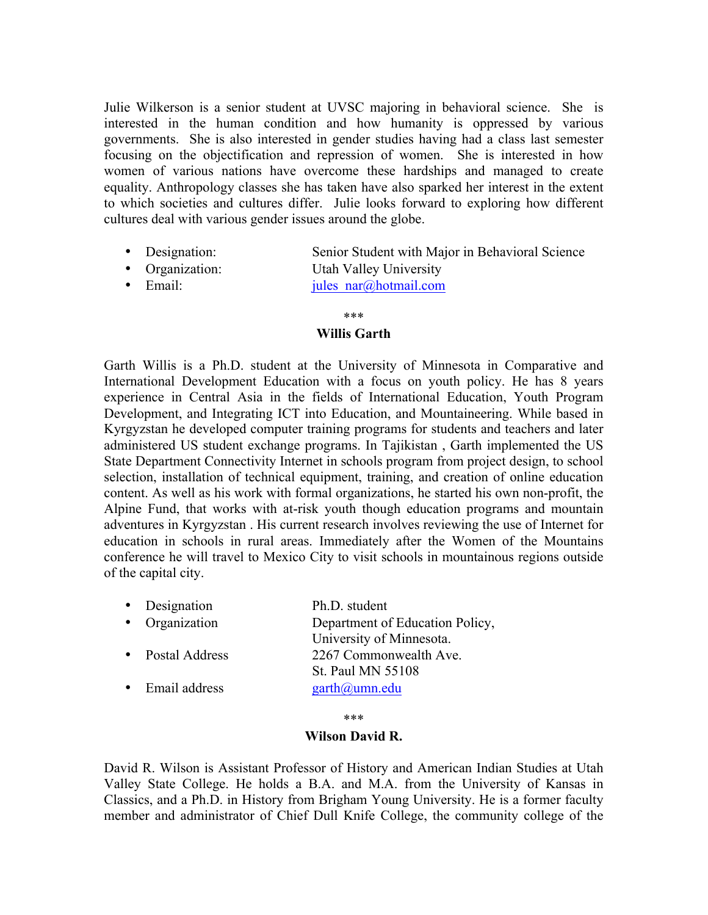Julie Wilkerson is a senior student at UVSC majoring in behavioral science. She is interested in the human condition and how humanity is oppressed by various governments. She is also interested in gender studies having had a class last semester focusing on the objectification and repression of women. She is interested in how women of various nations have overcome these hardships and managed to create equality. Anthropology classes she has taken have also sparked her interest in the extent to which societies and cultures differ. Julie looks forward to exploring how different cultures deal with various gender issues around the globe.

- Designation: Senior Student with Major in Behavioral Science
- Organization: Utah Valley University
- Email:  $\qquad \qquad \text{iules} \ \text{nar}(\partial_i \text{hotmail.com})$

### \*\*\*

# **Willis Garth**

Garth Willis is a Ph.D. student at the University of Minnesota in Comparative and International Development Education with a focus on youth policy. He has 8 years experience in Central Asia in the fields of International Education, Youth Program Development, and Integrating ICT into Education, and Mountaineering. While based in Kyrgyzstan he developed computer training programs for students and teachers and later administered US student exchange programs. In Tajikistan , Garth implemented the US State Department Connectivity Internet in schools program from project design, to school selection, installation of technical equipment, training, and creation of online education content. As well as his work with formal organizations, he started his own non-profit, the Alpine Fund, that works with at-risk youth though education programs and mountain adventures in Kyrgyzstan . His current research involves reviewing the use of Internet for education in schools in rural areas. Immediately after the Women of the Mountains conference he will travel to Mexico City to visit schools in mountainous regions outside of the capital city.

| Designation           | Ph.D. student                   |
|-----------------------|---------------------------------|
| • Organization        | Department of Education Policy, |
|                       | University of Minnesota.        |
| <b>Postal Address</b> | 2267 Commonwealth Ave.          |
|                       | St. Paul MN 55108               |
| Email address         | garth@umn.edu                   |
|                       |                                 |

\*\*\*

### **Wilson David R.**

David R. Wilson is Assistant Professor of History and American Indian Studies at Utah Valley State College. He holds a B.A. and M.A. from the University of Kansas in Classics, and a Ph.D. in History from Brigham Young University. He is a former faculty member and administrator of Chief Dull Knife College, the community college of the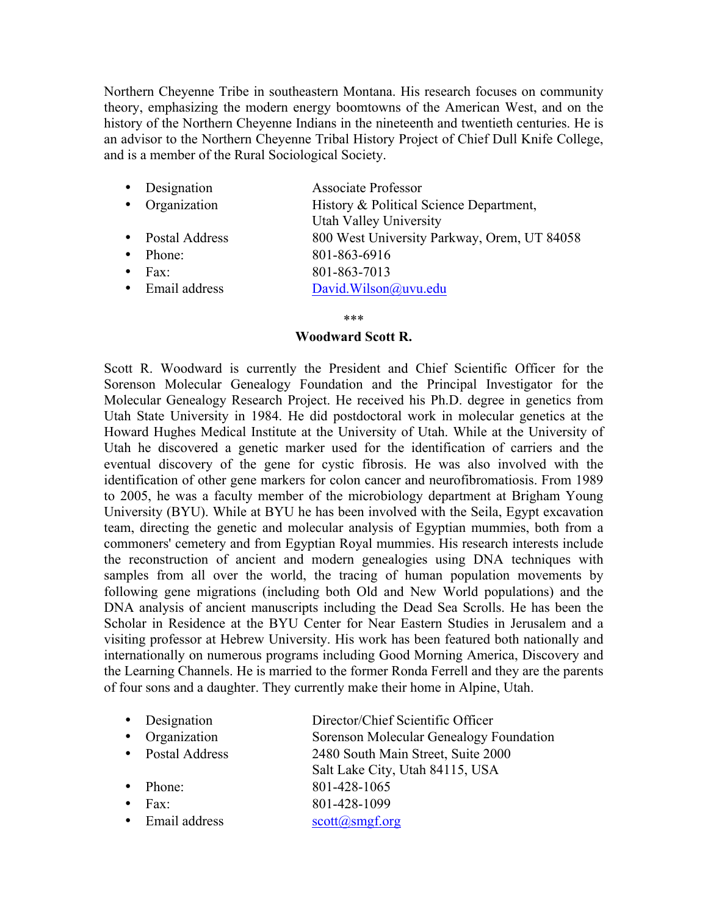Northern Cheyenne Tribe in southeastern Montana. His research focuses on community theory, emphasizing the modern energy boomtowns of the American West, and on the history of the Northern Cheyenne Indians in the nineteenth and twentieth centuries. He is an advisor to the Northern Cheyenne Tribal History Project of Chief Dull Knife College, and is a member of the Rural Sociological Society.

- Designation Associate Professor
- Organization History & Political Science Department, Utah Valley University
- Postal Address 800 West University Parkway, Orem, UT 84058
- Phone: 801-863-6916
- Fax: 801-863-7013
- Email address David.Wilson@uvu.edu

### \*\*\*

# **Woodward Scott R.**

Scott R. Woodward is currently the President and Chief Scientific Officer for the Sorenson Molecular Genealogy Foundation and the Principal Investigator for the Molecular Genealogy Research Project. He received his Ph.D. degree in genetics from Utah State University in 1984. He did postdoctoral work in molecular genetics at the Howard Hughes Medical Institute at the University of Utah. While at the University of Utah he discovered a genetic marker used for the identification of carriers and the eventual discovery of the gene for cystic fibrosis. He was also involved with the identification of other gene markers for colon cancer and neurofibromatiosis. From 1989 to 2005, he was a faculty member of the microbiology department at Brigham Young University (BYU). While at BYU he has been involved with the Seila, Egypt excavation team, directing the genetic and molecular analysis of Egyptian mummies, both from a commoners' cemetery and from Egyptian Royal mummies. His research interests include the reconstruction of ancient and modern genealogies using DNA techniques with samples from all over the world, the tracing of human population movements by following gene migrations (including both Old and New World populations) and the DNA analysis of ancient manuscripts including the Dead Sea Scrolls. He has been the Scholar in Residence at the BYU Center for Near Eastern Studies in Jerusalem and a visiting professor at Hebrew University. His work has been featured both nationally and internationally on numerous programs including Good Morning America, Discovery and the Learning Channels. He is married to the former Ronda Ferrell and they are the parents of four sons and a daughter. They currently make their home in Alpine, Utah.

| • Designation    | Director/Chief Scientific Officer       |
|------------------|-----------------------------------------|
| • Organization   | Sorenson Molecular Genealogy Foundation |
| • Postal Address | 2480 South Main Street, Suite 2000      |
|                  | Salt Lake City, Utah 84115, USA         |
| $\bullet$ Phone: | 801-428-1065                            |
| Fax:             | 801-428-1099                            |
| • Email address  | $scott(a)$ smgf.org                     |
|                  |                                         |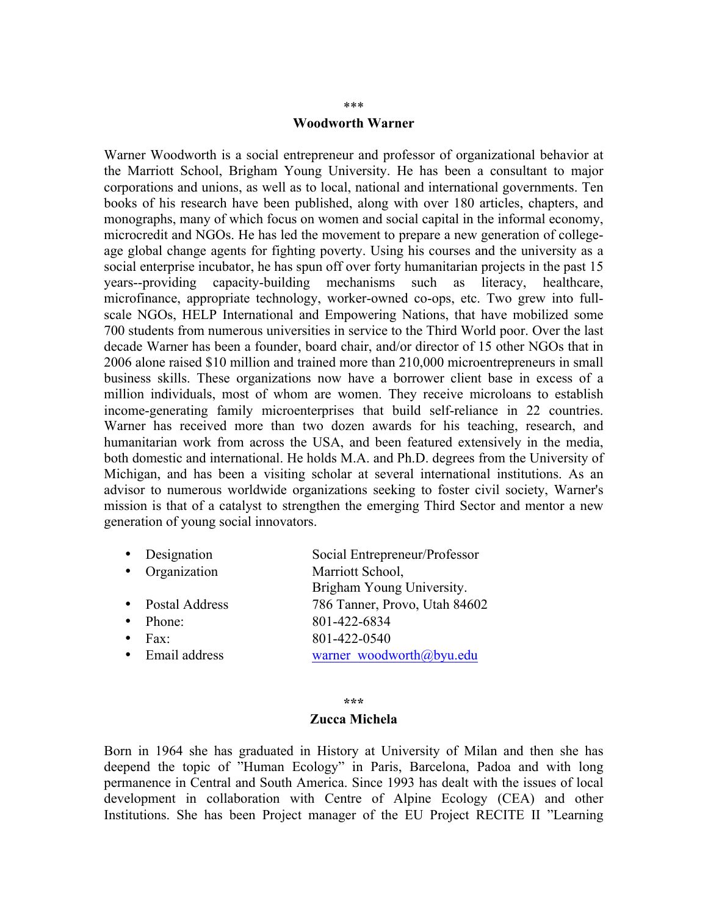### **Woodworth Warner**

Warner Woodworth is a social entrepreneur and professor of organizational behavior at the Marriott School, Brigham Young University. He has been a consultant to major corporations and unions, as well as to local, national and international governments. Ten books of his research have been published, along with over 180 articles, chapters, and monographs, many of which focus on women and social capital in the informal economy, microcredit and NGOs. He has led the movement to prepare a new generation of collegeage global change agents for fighting poverty. Using his courses and the university as a social enterprise incubator, he has spun off over forty humanitarian projects in the past 15 years--providing capacity-building mechanisms such as literacy, healthcare, microfinance, appropriate technology, worker-owned co-ops, etc. Two grew into fullscale NGOs, HELP International and Empowering Nations, that have mobilized some 700 students from numerous universities in service to the Third World poor. Over the last decade Warner has been a founder, board chair, and/or director of 15 other NGOs that in 2006 alone raised \$10 million and trained more than 210,000 microentrepreneurs in small business skills. These organizations now have a borrower client base in excess of a million individuals, most of whom are women. They receive microloans to establish income-generating family microenterprises that build self-reliance in 22 countries. Warner has received more than two dozen awards for his teaching, research, and humanitarian work from across the USA, and been featured extensively in the media, both domestic and international. He holds M.A. and Ph.D. degrees from the University of Michigan, and has been a visiting scholar at several international institutions. As an advisor to numerous worldwide organizations seeking to foster civil society, Warner's mission is that of a catalyst to strengthen the emerging Third Sector and mentor a new generation of young social innovators.

- Designation Social Entrepreneur/Professor
- Organization Marriott School,
- Postal Address 786 Tanner, Provo, Utah 84602
- Phone: 801-422-6834
- Fax: 801-422-0540
- Email address warner woodworth@byu.edu

#### **\*\*\***

Brigham Young University.

### **Zucca Michela**

Born in 1964 she has graduated in History at University of Milan and then she has deepend the topic of "Human Ecology" in Paris, Barcelona, Padoa and with long permanence in Central and South America. Since 1993 has dealt with the issues of local development in collaboration with Centre of Alpine Ecology (CEA) and other Institutions. She has been Project manager of the EU Project RECITE II "Learning